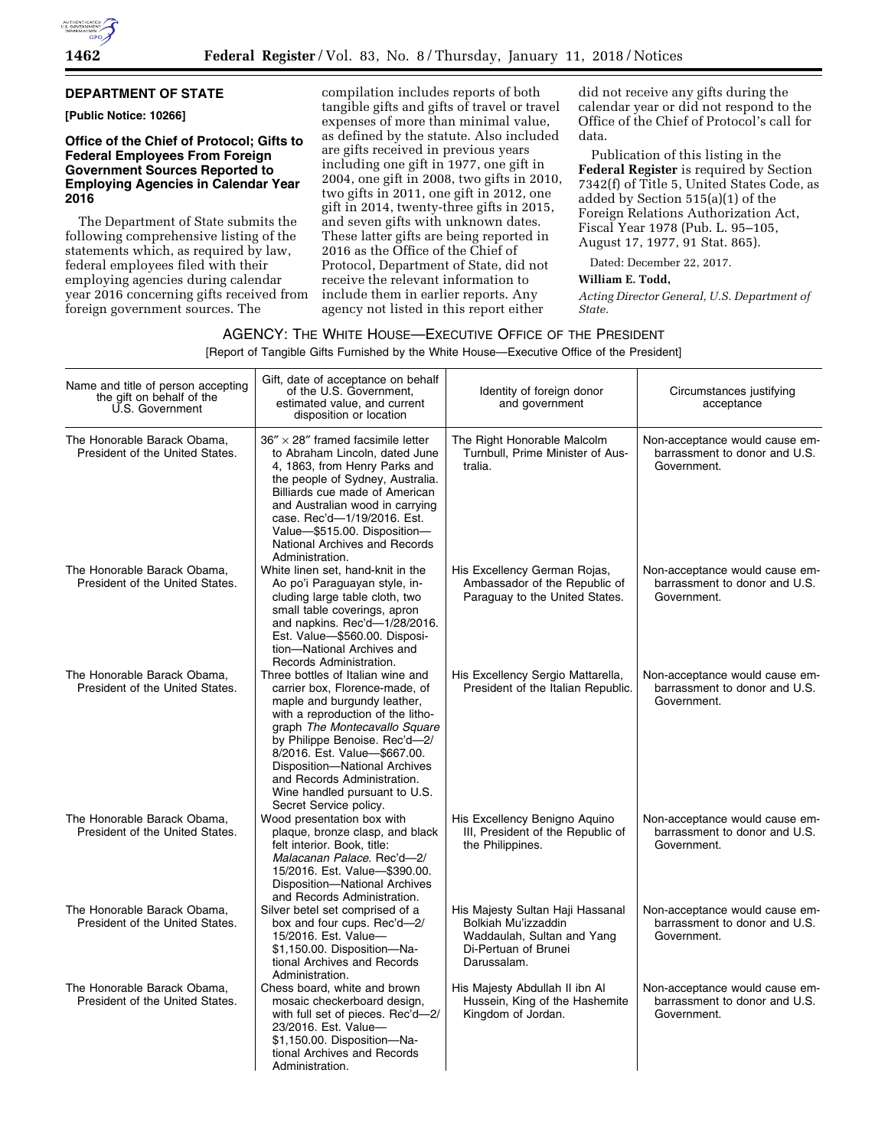

#### **DEPARTMENT OF STATE**

**[Public Notice: 10266]** 

#### **Office of the Chief of Protocol; Gifts to Federal Employees From Foreign Government Sources Reported to Employing Agencies in Calendar Year 2016**

The Department of State submits the following comprehensive listing of the statements which, as required by law, federal employees filed with their employing agencies during calendar year 2016 concerning gifts received from foreign government sources. The

compilation includes reports of both tangible gifts and gifts of travel or travel expenses of more than minimal value, as defined by the statute. Also included are gifts received in previous years including one gift in 1977, one gift in 2004, one gift in 2008, two gifts in 2010, two gifts in 2011, one gift in 2012, one gift in 2014, twenty-three gifts in 2015, and seven gifts with unknown dates. These latter gifts are being reported in 2016 as the Office of the Chief of Protocol, Department of State, did not receive the relevant information to include them in earlier reports. Any agency not listed in this report either

did not receive any gifts during the calendar year or did not respond to the Office of the Chief of Protocol's call for data.

Publication of this listing in the **Federal Register** is required by Section 7342(f) of Title 5, United States Code, as added by Section 515(a)(1) of the Foreign Relations Authorization Act, Fiscal Year 1978 (Pub. L. 95–105, August 17, 1977, 91 Stat. 865).

Dated: December 22, 2017.

#### **William E. Todd,**

*Acting Director General, U.S. Department of State.* 

#### AGENCY: THE WHITE HOUSE—EXECUTIVE OFFICE OF THE PRESIDENT

[Report of Tangible Gifts Furnished by the White House—Executive Office of the President]

| Name and title of person accepting<br>the gift on behalf of the<br>U.S. Government | Gift, date of acceptance on behalf<br>of the U.S. Government.<br>estimated value, and current<br>disposition or location                                                                                                                                                                                                                                             | Identity of foreign donor<br>and government                                                                                  | Circumstances justifying<br>acceptance                                         |
|------------------------------------------------------------------------------------|----------------------------------------------------------------------------------------------------------------------------------------------------------------------------------------------------------------------------------------------------------------------------------------------------------------------------------------------------------------------|------------------------------------------------------------------------------------------------------------------------------|--------------------------------------------------------------------------------|
| The Honorable Barack Obama,<br>President of the United States.                     | $36'' \times 28''$ framed facsimile letter<br>to Abraham Lincoln, dated June<br>4, 1863, from Henry Parks and<br>the people of Sydney, Australia.<br>Billiards cue made of American<br>and Australian wood in carrying<br>case. Rec'd-1/19/2016. Est.<br>Value-\$515.00. Disposition-<br>National Archives and Records<br>Administration.                            | The Right Honorable Malcolm<br>Turnbull, Prime Minister of Aus-<br>tralia.                                                   | Non-acceptance would cause em-<br>barrassment to donor and U.S.<br>Government. |
| The Honorable Barack Obama.<br>President of the United States.                     | White linen set, hand-knit in the<br>Ao po'i Paraguayan style, in-<br>cluding large table cloth, two<br>small table coverings, apron<br>and napkins. Rec'd-1/28/2016.<br>Est. Value-\$560.00. Disposi-<br>tion-National Archives and<br>Records Administration.                                                                                                      | His Excellency German Rojas,<br>Ambassador of the Republic of<br>Paraguay to the United States.                              | Non-acceptance would cause em-<br>barrassment to donor and U.S.<br>Government. |
| The Honorable Barack Obama,<br>President of the United States.                     | Three bottles of Italian wine and<br>carrier box, Florence-made, of<br>maple and burgundy leather,<br>with a reproduction of the litho-<br>graph The Montecavallo Square<br>by Philippe Benoise. Rec'd-2/<br>8/2016. Est. Value-\$667.00.<br>Disposition-National Archives<br>and Records Administration.<br>Wine handled pursuant to U.S.<br>Secret Service policy. | His Excellency Sergio Mattarella,<br>President of the Italian Republic.                                                      | Non-acceptance would cause em-<br>barrassment to donor and U.S.<br>Government. |
| The Honorable Barack Obama,<br>President of the United States.                     | Wood presentation box with<br>plaque, bronze clasp, and black<br>felt interior. Book, title:<br>Malacanan Palace. Rec'd-2/<br>15/2016. Est. Value-\$390.00.<br>Disposition-National Archives<br>and Records Administration.                                                                                                                                          | His Excellency Benigno Aquino<br>III, President of the Republic of<br>the Philippines.                                       | Non-acceptance would cause em-<br>barrassment to donor and U.S.<br>Government. |
| The Honorable Barack Obama,<br>President of the United States.                     | Silver betel set comprised of a<br>box and four cups. Rec'd-2/<br>15/2016. Est. Value-<br>\$1,150.00. Disposition-Na-<br>tional Archives and Records<br>Administration.                                                                                                                                                                                              | His Majesty Sultan Haji Hassanal<br>Bolkiah Mu'izzaddin<br>Waddaulah, Sultan and Yang<br>Di-Pertuan of Brunei<br>Darussalam. | Non-acceptance would cause em-<br>barrassment to donor and U.S.<br>Government. |
| The Honorable Barack Obama.<br>President of the United States.                     | Chess board, white and brown<br>mosaic checkerboard design,<br>with full set of pieces. Rec'd-2/<br>23/2016. Est. Value-<br>\$1,150.00. Disposition-Na-<br>tional Archives and Records<br>Administration.                                                                                                                                                            | His Majesty Abdullah II ibn Al<br>Hussein, King of the Hashemite<br>Kingdom of Jordan.                                       | Non-acceptance would cause em-<br>barrassment to donor and U.S.<br>Government. |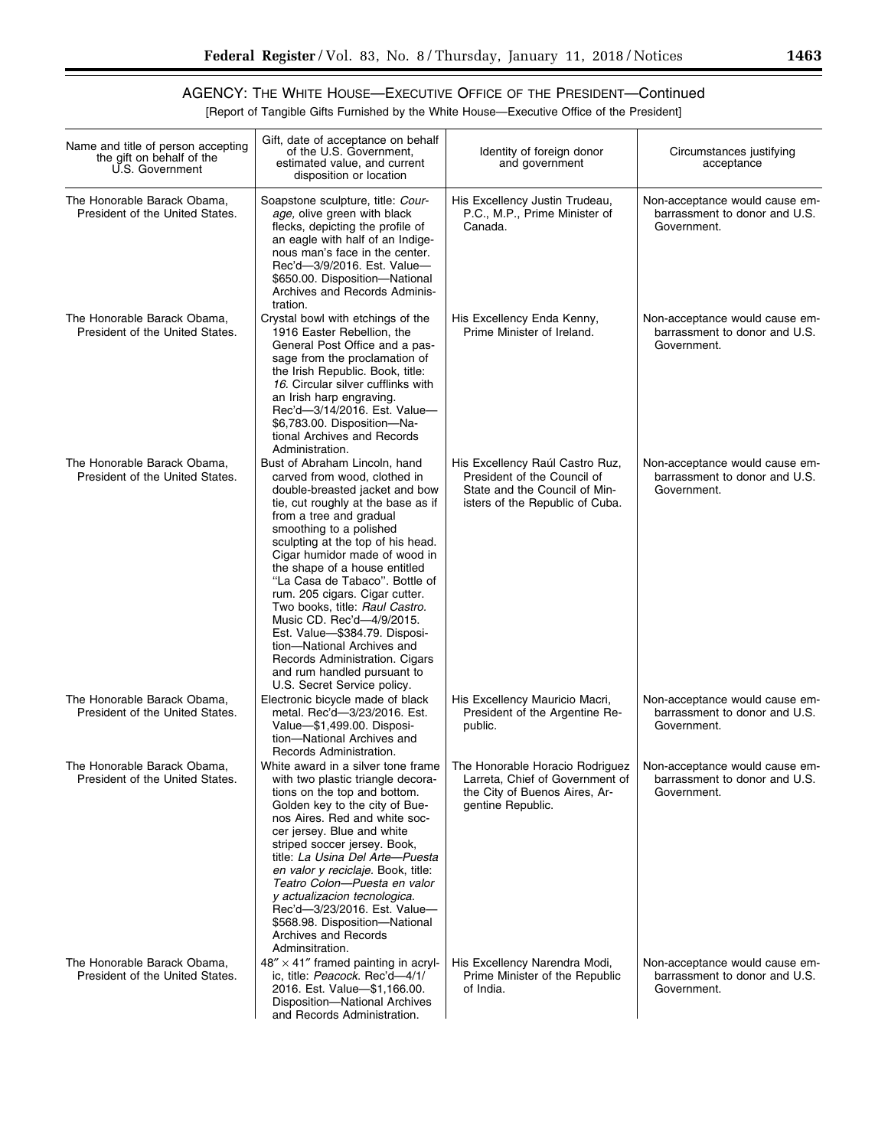۰

# AGENCY: THE WHITE HOUSE—EXECUTIVE OFFICE OF THE PRESIDENT—Continued

[Report of Tangible Gifts Furnished by the White House—Executive Office of the President]

| Name and title of person accepting<br>the gift on behalf of the<br>U.S. Government | Gift, date of acceptance on behalf<br>of the U.S. Government,<br>estimated value, and current<br>disposition or location                                                                                                                                                                                                                                                                                                                                                                                                                                                                             | Identity of foreign donor<br>and government                                                                                        | Circumstances justifying<br>acceptance                                         |
|------------------------------------------------------------------------------------|------------------------------------------------------------------------------------------------------------------------------------------------------------------------------------------------------------------------------------------------------------------------------------------------------------------------------------------------------------------------------------------------------------------------------------------------------------------------------------------------------------------------------------------------------------------------------------------------------|------------------------------------------------------------------------------------------------------------------------------------|--------------------------------------------------------------------------------|
| The Honorable Barack Obama,<br>President of the United States.                     | Soapstone sculpture, title: Cour-<br>age, olive green with black<br>flecks, depicting the profile of<br>an eagle with half of an Indige-<br>nous man's face in the center.<br>Rec'd-3/9/2016. Est. Value-<br>\$650.00. Disposition-National<br>Archives and Records Adminis-<br>tration.                                                                                                                                                                                                                                                                                                             | His Excellency Justin Trudeau,<br>P.C., M.P., Prime Minister of<br>Canada.                                                         | Non-acceptance would cause em-<br>barrassment to donor and U.S.<br>Government. |
| The Honorable Barack Obama,<br>President of the United States.                     | Crystal bowl with etchings of the<br>1916 Easter Rebellion, the<br>General Post Office and a pas-<br>sage from the proclamation of<br>the Irish Republic. Book, title:<br>16. Circular silver cufflinks with<br>an Irish harp engraving.<br>Rec'd-3/14/2016. Est. Value-<br>\$6,783.00. Disposition-Na-<br>tional Archives and Records<br>Administration.                                                                                                                                                                                                                                            | His Excellency Enda Kenny,<br>Prime Minister of Ireland.                                                                           | Non-acceptance would cause em-<br>barrassment to donor and U.S.<br>Government. |
| The Honorable Barack Obama.<br>President of the United States.                     | Bust of Abraham Lincoln, hand<br>carved from wood, clothed in<br>double-breasted jacket and bow<br>tie, cut roughly at the base as if<br>from a tree and gradual<br>smoothing to a polished<br>sculpting at the top of his head.<br>Cigar humidor made of wood in<br>the shape of a house entitled<br>"La Casa de Tabaco". Bottle of<br>rum. 205 cigars. Cigar cutter.<br>Two books, title: Raul Castro.<br>Music CD. Rec'd-4/9/2015.<br>Est. Value-\$384.79. Disposi-<br>tion-National Archives and<br>Records Administration. Cigars<br>and rum handled pursuant to<br>U.S. Secret Service policy. | His Excellency Raúl Castro Ruz,<br>President of the Council of<br>State and the Council of Min-<br>isters of the Republic of Cuba. | Non-acceptance would cause em-<br>barrassment to donor and U.S.<br>Government. |
| The Honorable Barack Obama,<br>President of the United States.                     | Electronic bicycle made of black<br>metal. Rec'd-3/23/2016. Est.<br>Value-\$1,499.00. Disposi-<br>tion-National Archives and<br>Records Administration.                                                                                                                                                                                                                                                                                                                                                                                                                                              | His Excellency Mauricio Macri,<br>President of the Argentine Re-<br>public.                                                        | Non-acceptance would cause em-<br>barrassment to donor and U.S.<br>Government. |
| The Honorable Barack Obama,<br>President of the United States.                     | White award in a silver tone frame<br>with two plastic triangle decora-<br>tions on the top and bottom.<br>Golden key to the city of Bue-<br>nos Aires. Red and white soc-<br>cer jersey. Blue and white<br>striped soccer jersey. Book,<br>title: La Usina Del Arte-Puesta<br>en valor y reciclaje. Book, title:<br>Teatro Colon-Puesta en valor<br>y actualizacion tecnologica.<br>Rec'd-3/23/2016. Est. Value-<br>\$568.98. Disposition-National<br>Archives and Records<br>Adminsitration.                                                                                                       | The Honorable Horacio Rodriguez<br>Larreta, Chief of Government of<br>the City of Buenos Aires, Ar-<br>gentine Republic.           | Non-acceptance would cause em-<br>barrassment to donor and U.S.<br>Government. |
| The Honorable Barack Obama,<br>President of the United States.                     | $48'' \times 41''$ framed painting in acryl-<br>ic, title: Peacock. Rec'd-4/1/<br>2016. Est. Value-\$1,166.00.<br>Disposition-National Archives<br>and Records Administration.                                                                                                                                                                                                                                                                                                                                                                                                                       | His Excellency Narendra Modi,<br>Prime Minister of the Republic<br>of India.                                                       | Non-acceptance would cause em-<br>barrassment to donor and U.S.<br>Government. |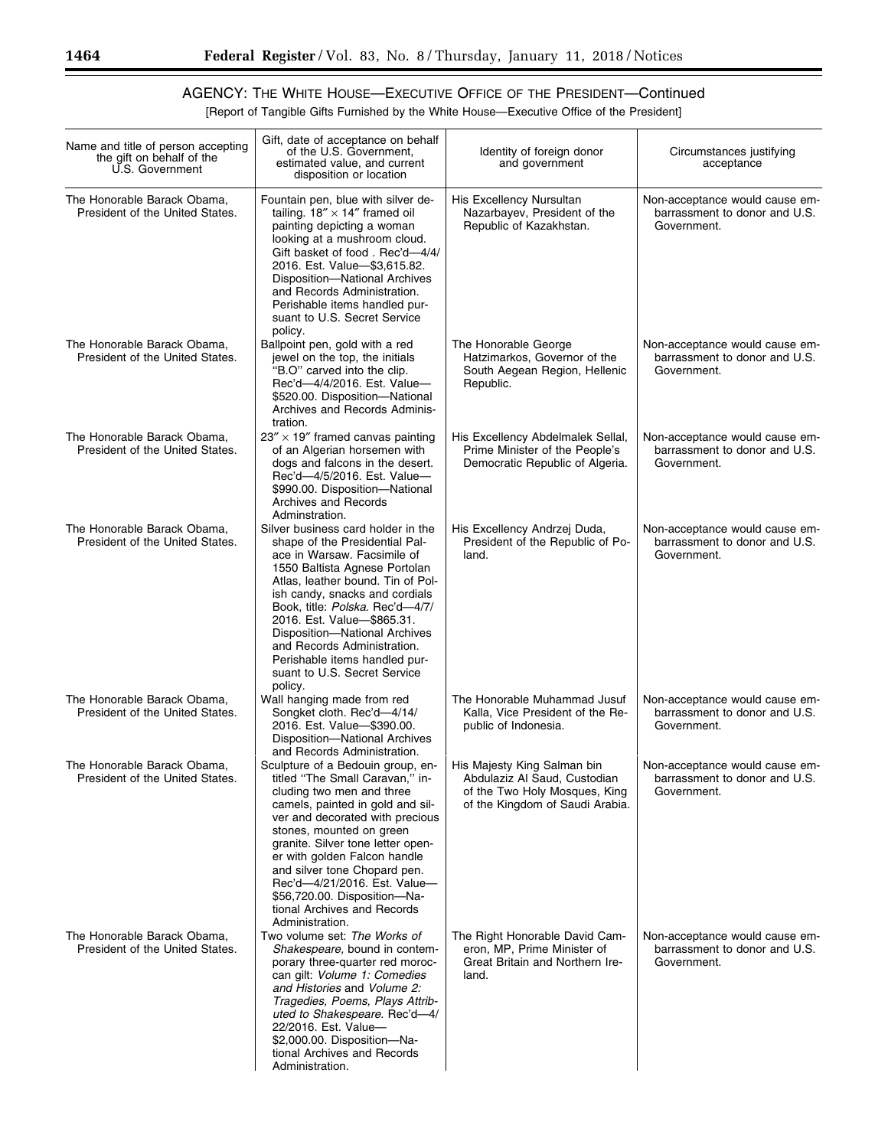[Report of Tangible Gifts Furnished by the White House—Executive Office of the President]

| Name and title of person accepting<br>the gift on behalf of the<br>U.S. Government | Gift, date of acceptance on behalf<br>of the U.S. Government,<br>estimated value, and current<br>disposition or location                                                                                                                                                                                                                                                                                                 | Identity of foreign donor<br>and government                                                                                     | Circumstances justifying<br>acceptance                                         |
|------------------------------------------------------------------------------------|--------------------------------------------------------------------------------------------------------------------------------------------------------------------------------------------------------------------------------------------------------------------------------------------------------------------------------------------------------------------------------------------------------------------------|---------------------------------------------------------------------------------------------------------------------------------|--------------------------------------------------------------------------------|
| The Honorable Barack Obama,<br>President of the United States.                     | Fountain pen, blue with silver de-<br>tailing. $18'' \times 14''$ framed oil<br>painting depicting a woman<br>looking at a mushroom cloud.<br>Gift basket of food. Rec'd-4/4/<br>2016. Est. Value- \$3,615.82.<br>Disposition-National Archives<br>and Records Administration.<br>Perishable items handled pur-<br>suant to U.S. Secret Service<br>policy.                                                               | His Excellency Nursultan<br>Nazarbayev, President of the<br>Republic of Kazakhstan.                                             | Non-acceptance would cause em-<br>barrassment to donor and U.S.<br>Government. |
| The Honorable Barack Obama,<br>President of the United States.                     | Ballpoint pen, gold with a red<br>jewel on the top, the initials<br>"B.O" carved into the clip.<br>Rec'd-4/4/2016. Est. Value-<br>\$520.00. Disposition-National<br>Archives and Records Adminis-<br>tration.                                                                                                                                                                                                            | The Honorable George<br>Hatzimarkos, Governor of the<br>South Aegean Region, Hellenic<br>Republic.                              | Non-acceptance would cause em-<br>barrassment to donor and U.S.<br>Government. |
| The Honorable Barack Obama,<br>President of the United States.                     | $23'' \times 19''$ framed canvas painting<br>of an Algerian horsemen with<br>dogs and falcons in the desert.<br>Rec'd-4/5/2016. Est. Value-<br>\$990.00. Disposition-National<br>Archives and Records<br>Adminstration.                                                                                                                                                                                                  | His Excellency Abdelmalek Sellal,<br>Prime Minister of the People's<br>Democratic Republic of Algeria.                          | Non-acceptance would cause em-<br>barrassment to donor and U.S.<br>Government. |
| The Honorable Barack Obama,<br>President of the United States.                     | Silver business card holder in the<br>shape of the Presidential Pal-<br>ace in Warsaw. Facsimile of<br>1550 Baltista Agnese Portolan<br>Atlas, leather bound. Tin of Pol-<br>ish candy, snacks and cordials<br>Book, title: Polska. Rec'd-4/7/<br>2016. Est. Value-\$865.31.<br>Disposition-National Archives<br>and Records Administration.<br>Perishable items handled pur-<br>suant to U.S. Secret Service<br>policy. | His Excellency Andrzej Duda,<br>President of the Republic of Po-<br>land.                                                       | Non-acceptance would cause em-<br>barrassment to donor and U.S.<br>Government. |
| The Honorable Barack Obama,<br>President of the United States.                     | Wall hanging made from red<br>Songket cloth. Rec'd-4/14/<br>2016. Est. Value- \$390.00.<br>Disposition-National Archives<br>and Records Administration.                                                                                                                                                                                                                                                                  | The Honorable Muhammad Jusuf<br>Kalla, Vice President of the Re-<br>public of Indonesia.                                        | Non-acceptance would cause em-<br>barrassment to donor and U.S.<br>Government. |
| The Honorable Barack Obama,<br>President of the United States.                     | Sculpture of a Bedouin group, en-<br>titled "The Small Caravan," in-<br>cluding two men and three<br>camels, painted in gold and sil-<br>ver and decorated with precious<br>stones, mounted on green<br>granite. Silver tone letter open-<br>er with golden Falcon handle<br>and silver tone Chopard pen.<br>Rec'd-4/21/2016. Est. Value-<br>\$56,720.00. Disposition-Na-<br>tional Archives and Records                 | His Majesty King Salman bin<br>Abdulaziz Al Saud, Custodian<br>of the Two Holy Mosques, King<br>of the Kingdom of Saudi Arabia. | Non-acceptance would cause em-<br>barrassment to donor and U.S.<br>Government. |
| The Honorable Barack Obama,<br>President of the United States.                     | Administration.<br>Two volume set: The Works of<br>Shakespeare, bound in contem-<br>porary three-quarter red moroc-<br>can gilt: Volume 1: Comedies<br>and Histories and Volume 2:<br>Tragedies, Poems, Plays Attrib-<br>uted to Shakespeare. Rec'd-4/<br>22/2016. Est. Value-<br>\$2,000.00. Disposition-Na-<br>tional Archives and Records<br>Administration.                                                          | The Right Honorable David Cam-<br>eron, MP, Prime Minister of<br>Great Britain and Northern Ire-<br>land.                       | Non-acceptance would cause em-<br>barrassment to donor and U.S.<br>Government. |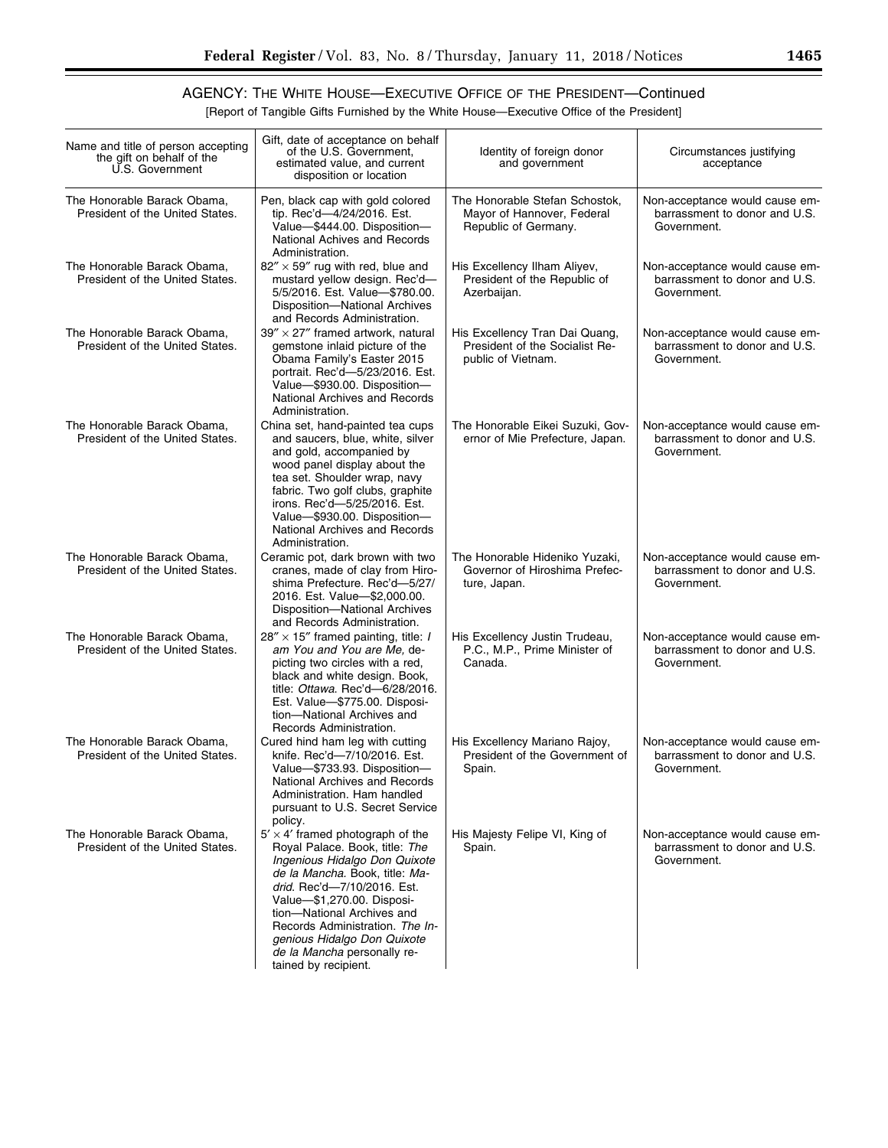[Report of Tangible Gifts Furnished by the White House—Executive Office of the President]

| Name and title of person accepting<br>the gift on behalf of the<br>U.S. Government | Gift, date of acceptance on behalf<br>of the U.S. Government,<br>estimated value, and current<br>disposition or location                                                                                                                                                                                                                                         | Identity of foreign donor<br>and government                                            | Circumstances justifying<br>acceptance                                         |
|------------------------------------------------------------------------------------|------------------------------------------------------------------------------------------------------------------------------------------------------------------------------------------------------------------------------------------------------------------------------------------------------------------------------------------------------------------|----------------------------------------------------------------------------------------|--------------------------------------------------------------------------------|
| The Honorable Barack Obama,<br>President of the United States.                     | Pen, black cap with gold colored<br>tip. Rec'd-4/24/2016. Est.<br>Value-\$444.00. Disposition-<br>National Achives and Records<br>Administration.                                                                                                                                                                                                                | The Honorable Stefan Schostok,<br>Mayor of Hannover, Federal<br>Republic of Germany.   | Non-acceptance would cause em-<br>barrassment to donor and U.S.<br>Government. |
| The Honorable Barack Obama,<br>President of the United States.                     | $82'' \times 59''$ rug with red, blue and<br>mustard yellow design. Rec'd-<br>5/5/2016. Est. Value-\$780.00.<br>Disposition-National Archives<br>and Records Administration.                                                                                                                                                                                     | His Excellency Ilham Aliyev,<br>President of the Republic of<br>Azerbaijan.            | Non-acceptance would cause em-<br>barrassment to donor and U.S.<br>Government. |
| The Honorable Barack Obama,<br>President of the United States.                     | $39'' \times 27''$ framed artwork, natural<br>gemstone inlaid picture of the<br>Obama Family's Easter 2015<br>portrait. Rec'd-5/23/2016. Est.<br>Value-\$930.00. Disposition-<br>National Archives and Records<br>Administration.                                                                                                                                | His Excellency Tran Dai Quang,<br>President of the Socialist Re-<br>public of Vietnam. | Non-acceptance would cause em-<br>barrassment to donor and U.S.<br>Government. |
| The Honorable Barack Obama,<br>President of the United States.                     | China set, hand-painted tea cups<br>and saucers, blue, white, silver<br>and gold, accompanied by<br>wood panel display about the<br>tea set. Shoulder wrap, navy<br>fabric. Two golf clubs, graphite<br>irons. Rec'd-5/25/2016. Est.<br>Value-\$930.00. Disposition-<br>National Archives and Records<br>Administration.                                         | The Honorable Eikei Suzuki, Gov-<br>ernor of Mie Prefecture, Japan.                    | Non-acceptance would cause em-<br>barrassment to donor and U.S.<br>Government. |
| The Honorable Barack Obama,<br>President of the United States.                     | Ceramic pot, dark brown with two<br>cranes, made of clay from Hiro-<br>shima Prefecture. Rec'd-5/27/<br>2016. Est. Value-\$2,000.00.<br>Disposition-National Archives<br>and Records Administration.                                                                                                                                                             | The Honorable Hideniko Yuzaki,<br>Governor of Hiroshima Prefec-<br>ture, Japan.        | Non-acceptance would cause em-<br>barrassment to donor and U.S.<br>Government. |
| The Honorable Barack Obama,<br>President of the United States.                     | $28'' \times 15''$ framed painting, title: <i>I</i><br>am You and You are Me, de-<br>picting two circles with a red,<br>black and white design. Book,<br>title: Ottawa. Rec'd-6/28/2016.<br>Est. Value-\$775.00. Disposi-<br>tion-National Archives and<br>Records Administration.                                                                               | His Excellency Justin Trudeau,<br>P.C., M.P., Prime Minister of<br>Canada.             | Non-acceptance would cause em-<br>barrassment to donor and U.S.<br>Government. |
| The Honorable Barack Obama.<br>President of the United States.                     | Cured hind ham leg with cutting<br>knife. Rec'd-7/10/2016. Est.<br>Value-\$733.93. Disposition-<br>National Archives and Records<br>Administration. Ham handled<br>pursuant to U.S. Secret Service<br>policy.                                                                                                                                                    | His Excellency Mariano Rajoy,<br>President of the Government of<br>Spain.              | Non-acceptance would cause em-<br>barrassment to donor and U.S.<br>Government. |
| The Honorable Barack Obama,<br>President of the United States.                     | $5' \times 4'$ framed photograph of the<br>Royal Palace. Book, title: The<br>Ingenious Hidalgo Don Quixote<br>de la Mancha. Book, title: Ma-<br>drid. Rec'd-7/10/2016. Est.<br>Value-\$1,270.00. Disposi-<br>tion-National Archives and<br>Records Administration. The In-<br>genious Hidalgo Don Quixote<br>de la Mancha personally re-<br>tained by recipient. | His Majesty Felipe VI, King of<br>Spain.                                               | Non-acceptance would cause em-<br>barrassment to donor and U.S.<br>Government. |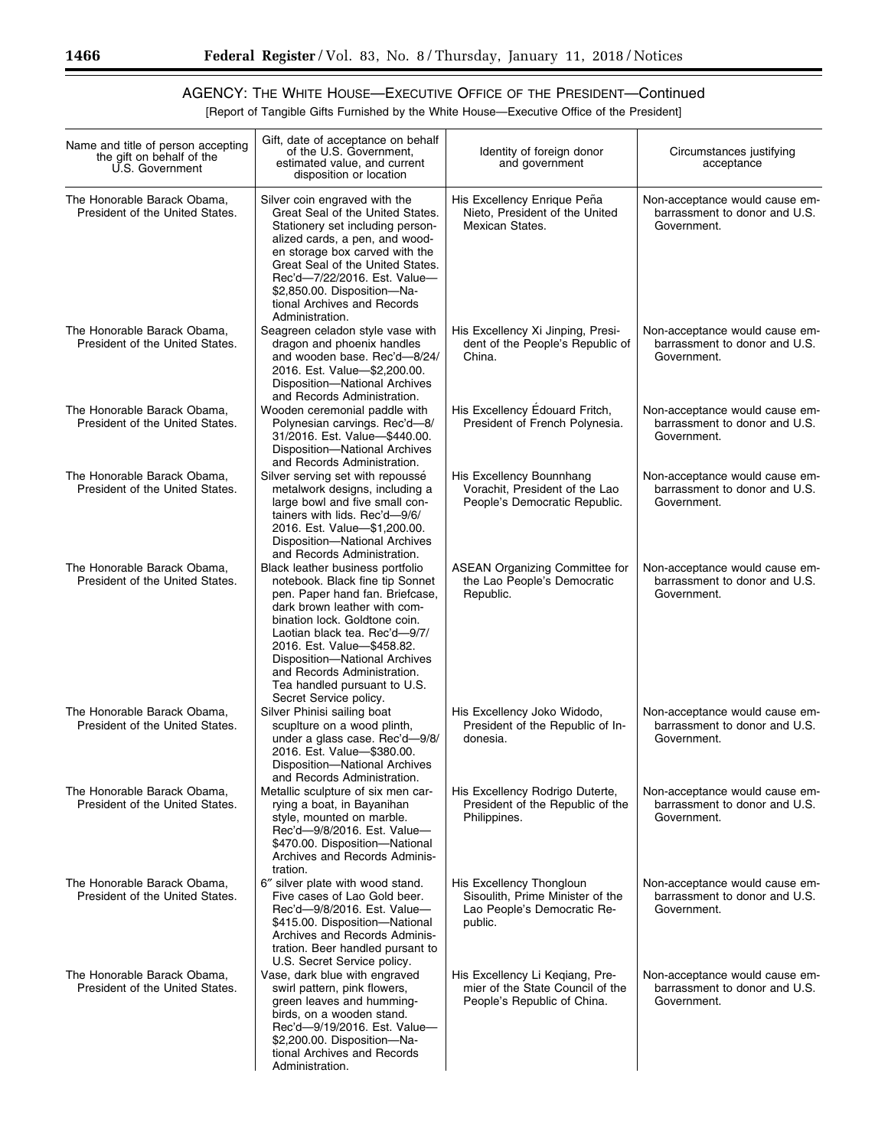[Report of Tangible Gifts Furnished by the White House—Executive Office of the President]

| Name and title of person accepting<br>the gift on behalf of the<br>U.S. Government | Gift, date of acceptance on behalf<br>of the U.S. Government,<br>estimated value, and current<br>disposition or location                                                                                                                                                                                                                                         | Identity of foreign donor<br>and government                                                            | Circumstances justifying<br>acceptance                                         |
|------------------------------------------------------------------------------------|------------------------------------------------------------------------------------------------------------------------------------------------------------------------------------------------------------------------------------------------------------------------------------------------------------------------------------------------------------------|--------------------------------------------------------------------------------------------------------|--------------------------------------------------------------------------------|
| The Honorable Barack Obama,<br>President of the United States.                     | Silver coin engraved with the<br>Great Seal of the United States.<br>Stationery set including person-<br>alized cards, a pen, and wood-<br>en storage box carved with the<br>Great Seal of the United States.<br>Rec'd-7/22/2016. Est. Value-<br>\$2,850.00. Disposition-Na-<br>tional Archives and Records<br>Administration.                                   | His Excellency Enrique Peña<br>Nieto, President of the United<br>Mexican States.                       | Non-acceptance would cause em-<br>barrassment to donor and U.S.<br>Government. |
| The Honorable Barack Obama,<br>President of the United States.                     | Seagreen celadon style vase with<br>dragon and phoenix handles<br>and wooden base. Rec'd-8/24/<br>2016. Est. Value-\$2,200.00.<br>Disposition-National Archives<br>and Records Administration.                                                                                                                                                                   | His Excellency Xi Jinping, Presi-<br>dent of the People's Republic of<br>China.                        | Non-acceptance would cause em-<br>barrassment to donor and U.S.<br>Government. |
| The Honorable Barack Obama,<br>President of the United States.                     | Wooden ceremonial paddle with<br>Polynesian carvings. Rec'd-8/<br>31/2016. Est. Value-\$440.00.<br>Disposition-National Archives<br>and Records Administration.                                                                                                                                                                                                  | His Excellency Edouard Fritch,<br>President of French Polynesia.                                       | Non-acceptance would cause em-<br>barrassment to donor and U.S.<br>Government. |
| The Honorable Barack Obama,<br>President of the United States.                     | Silver serving set with repoussé<br>metalwork designs, including a<br>large bowl and five small con-<br>tainers with lids. Rec'd-9/6/<br>2016. Est. Value-\$1,200.00.<br>Disposition-National Archives<br>and Records Administration.                                                                                                                            | His Excellency Bounnhang<br>Vorachit. President of the Lao<br>People's Democratic Republic.            | Non-acceptance would cause em-<br>barrassment to donor and U.S.<br>Government. |
| The Honorable Barack Obama,<br>President of the United States.                     | Black leather business portfolio<br>notebook. Black fine tip Sonnet<br>pen. Paper hand fan. Briefcase,<br>dark brown leather with com-<br>bination lock. Goldtone coin.<br>Laotian black tea. Rec'd-9/7/<br>2016. Est. Value-\$458.82.<br>Disposition-National Archives<br>and Records Administration.<br>Tea handled pursuant to U.S.<br>Secret Service policy. | <b>ASEAN Organizing Committee for</b><br>the Lao People's Democratic<br>Republic.                      | Non-acceptance would cause em-<br>barrassment to donor and U.S.<br>Government. |
| The Honorable Barack Obama,<br>President of the United States.                     | Silver Phinisi sailing boat<br>scuplture on a wood plinth,<br>under a glass case. Rec'd-9/8/<br>2016. Est. Value-\$380.00.<br>Disposition-National Archives<br>and Records Administration.                                                                                                                                                                       | His Excellency Joko Widodo,<br>President of the Republic of In-<br>donesia.                            | Non-acceptance would cause em-<br>barrassment to donor and U.S.<br>Government. |
| The Honorable Barack Obama,<br>President of the United States.                     | Metallic sculpture of six men car-<br>rying a boat, in Bayanihan<br>style, mounted on marble.<br>Rec'd-9/8/2016. Est. Value-<br>\$470.00. Disposition-National<br>Archives and Records Adminis-<br>tration.                                                                                                                                                      | His Excellency Rodrigo Duterte,<br>President of the Republic of the<br>Philippines.                    | Non-acceptance would cause em-<br>barrassment to donor and U.S.<br>Government. |
| The Honorable Barack Obama,<br>President of the United States.                     | 6" silver plate with wood stand.<br>Five cases of Lao Gold beer.<br>Rec'd-9/8/2016. Est. Value-<br>\$415.00. Disposition-National<br>Archives and Records Adminis-<br>tration. Beer handled pursant to<br>U.S. Secret Service policy.                                                                                                                            | His Excellency Thongloun<br>Sisoulith, Prime Minister of the<br>Lao People's Democratic Re-<br>public. | Non-acceptance would cause em-<br>barrassment to donor and U.S.<br>Government. |
| The Honorable Barack Obama,<br>President of the United States.                     | Vase, dark blue with engraved<br>swirl pattern, pink flowers,<br>green leaves and humming-<br>birds, on a wooden stand.<br>Rec'd-9/19/2016. Est. Value-<br>\$2,200.00. Disposition-Na-<br>tional Archives and Records<br>Administration.                                                                                                                         | His Excellency Li Keqiang, Pre-<br>mier of the State Council of the<br>People's Republic of China.     | Non-acceptance would cause em-<br>barrassment to donor and U.S.<br>Government. |

-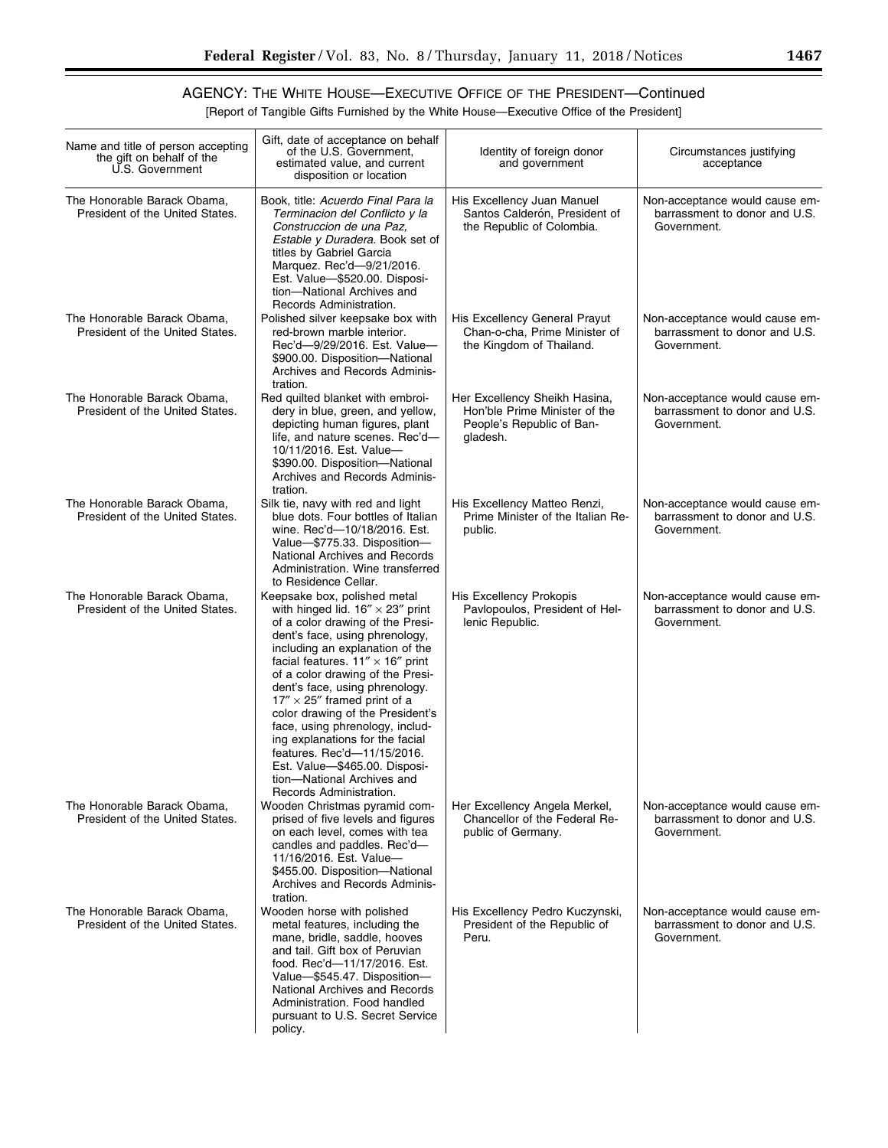▀

## AGENCY: THE WHITE HOUSE—EXECUTIVE OFFICE OF THE PRESIDENT—Continued

[Report of Tangible Gifts Furnished by the White House—Executive Office of the President]

| Name and title of person accepting<br>the gift on behalf of the<br>U.S. Government | Gift, date of acceptance on behalf<br>of the U.S. Government.<br>estimated value, and current<br>disposition or location                                                                                                                                                                                                                                                                                                                                                                                                                                                         | Identity of foreign donor<br>and government                                                             | Circumstances justifying<br>acceptance                                         |
|------------------------------------------------------------------------------------|----------------------------------------------------------------------------------------------------------------------------------------------------------------------------------------------------------------------------------------------------------------------------------------------------------------------------------------------------------------------------------------------------------------------------------------------------------------------------------------------------------------------------------------------------------------------------------|---------------------------------------------------------------------------------------------------------|--------------------------------------------------------------------------------|
| The Honorable Barack Obama,<br>President of the United States.                     | Book, title: Acuerdo Final Para la<br>Terminacion del Conflicto y la<br>Construccion de una Paz,<br>Estable y Duradera. Book set of<br>titles by Gabriel Garcia<br>Marquez. Rec'd-9/21/2016.<br>Est. Value-\$520.00. Disposi-<br>tion-National Archives and<br>Records Administration.                                                                                                                                                                                                                                                                                           | His Excellency Juan Manuel<br>Santos Calderón. President of<br>the Republic of Colombia.                | Non-acceptance would cause em-<br>barrassment to donor and U.S.<br>Government. |
| The Honorable Barack Obama,<br>President of the United States.                     | Polished silver keepsake box with<br>red-brown marble interior.<br>Rec'd-9/29/2016. Est. Value-<br>\$900.00. Disposition-National<br>Archives and Records Adminis-<br>tration.                                                                                                                                                                                                                                                                                                                                                                                                   | His Excellency General Prayut<br>Chan-o-cha, Prime Minister of<br>the Kingdom of Thailand.              | Non-acceptance would cause em-<br>barrassment to donor and U.S.<br>Government. |
| The Honorable Barack Obama,<br>President of the United States.                     | Red quilted blanket with embroi-<br>dery in blue, green, and yellow,<br>depicting human figures, plant<br>life, and nature scenes. Rec'd-<br>10/11/2016. Est. Value-<br>\$390.00. Disposition-National<br>Archives and Records Adminis-<br>tration.                                                                                                                                                                                                                                                                                                                              | Her Excellency Sheikh Hasina,<br>Hon'ble Prime Minister of the<br>People's Republic of Ban-<br>gladesh. | Non-acceptance would cause em-<br>barrassment to donor and U.S.<br>Government. |
| The Honorable Barack Obama,<br>President of the United States.                     | Silk tie, navy with red and light<br>blue dots. Four bottles of Italian<br>wine. Rec'd-10/18/2016. Est.<br>Value-\$775.33. Disposition-<br>National Archives and Records<br>Administration. Wine transferred<br>to Residence Cellar.                                                                                                                                                                                                                                                                                                                                             | His Excellency Matteo Renzi,<br>Prime Minister of the Italian Re-<br>public.                            | Non-acceptance would cause em-<br>barrassment to donor and U.S.<br>Government. |
| The Honorable Barack Obama,<br>President of the United States.                     | Keepsake box, polished metal<br>with hinged lid. $16'' \times 23''$ print<br>of a color drawing of the Presi-<br>dent's face, using phrenology,<br>including an explanation of the<br>facial features. $11'' \times 16''$ print<br>of a color drawing of the Presi-<br>dent's face, using phrenology.<br>$17'' \times 25''$ framed print of a<br>color drawing of the President's<br>face, using phrenology, includ-<br>ing explanations for the facial<br>features. Rec'd-11/15/2016.<br>Est. Value-\$465.00. Disposi-<br>tion-National Archives and<br>Records Administration. | <b>His Excellency Prokopis</b><br>Pavlopoulos, President of Hel-<br>lenic Republic.                     | Non-acceptance would cause em-<br>barrassment to donor and U.S.<br>Government. |
| The Honorable Barack Obama,<br>President of the United States.                     | Wooden Christmas pyramid com-<br>prised of five levels and figures<br>on each level, comes with tea<br>candles and paddles. Rec'd-<br>11/16/2016. Est. Value-<br>\$455.00. Disposition-National<br>Archives and Records Adminis-<br>tration.                                                                                                                                                                                                                                                                                                                                     | Her Excellency Angela Merkel,<br>Chancellor of the Federal Re-<br>public of Germany.                    | Non-acceptance would cause em-<br>barrassment to donor and U.S.<br>Government. |
| The Honorable Barack Obama,<br>President of the United States.                     | Wooden horse with polished<br>metal features, including the<br>mane, bridle, saddle, hooves<br>and tail. Gift box of Peruvian<br>food. Rec'd-11/17/2016. Est.<br>Value-\$545.47. Disposition-<br>National Archives and Records<br>Administration. Food handled<br>pursuant to U.S. Secret Service<br>policy.                                                                                                                                                                                                                                                                     | His Excellency Pedro Kuczynski,<br>President of the Republic of<br>Peru.                                | Non-acceptance would cause em-<br>barrassment to donor and U.S.<br>Government. |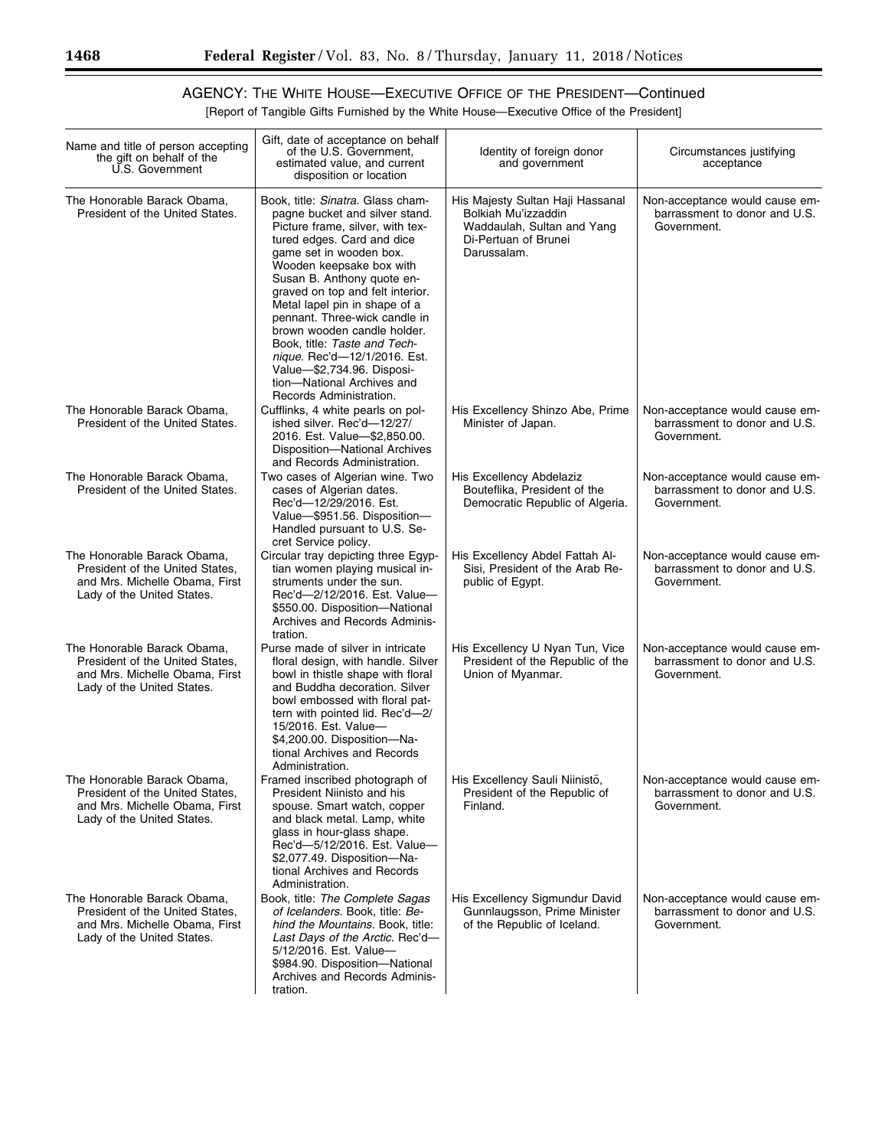[Report of Tangible Gifts Furnished by the White House—Executive Office of the President]

| Name and title of person accepting<br>the gift on behalf of the<br>U.S. Government                                             | Gift, date of acceptance on behalf<br>of the U.S. Government,<br>estimated value, and current<br>disposition or location                                                                                                                                                                                                                                                                                                                                                                                                      | Identity of foreign donor<br>and government                                                                                  | Circumstances justifying<br>acceptance                                         |
|--------------------------------------------------------------------------------------------------------------------------------|-------------------------------------------------------------------------------------------------------------------------------------------------------------------------------------------------------------------------------------------------------------------------------------------------------------------------------------------------------------------------------------------------------------------------------------------------------------------------------------------------------------------------------|------------------------------------------------------------------------------------------------------------------------------|--------------------------------------------------------------------------------|
| The Honorable Barack Obama,<br>President of the United States.                                                                 | Book, title: Sinatra, Glass cham-<br>pagne bucket and silver stand.<br>Picture frame, silver, with tex-<br>tured edges. Card and dice<br>game set in wooden box.<br>Wooden keepsake box with<br>Susan B. Anthony quote en-<br>graved on top and felt interior.<br>Metal lapel pin in shape of a<br>pennant. Three-wick candle in<br>brown wooden candle holder.<br>Book, title: Taste and Tech-<br><i>nique.</i> Rec'd-12/1/2016. Est.<br>Value-\$2,734.96. Disposi-<br>tion-National Archives and<br>Records Administration. | His Majesty Sultan Haji Hassanal<br>Bolkiah Mu'izzaddin<br>Waddaulah, Sultan and Yang<br>Di-Pertuan of Brunei<br>Darussalam. | Non-acceptance would cause em-<br>barrassment to donor and U.S.<br>Government. |
| The Honorable Barack Obama,<br>President of the United States.                                                                 | Cufflinks, 4 white pearls on pol-<br>ished silver. Rec'd-12/27/<br>2016. Est. Value-\$2,850.00.<br>Disposition-National Archives<br>and Records Administration.                                                                                                                                                                                                                                                                                                                                                               | His Excellency Shinzo Abe, Prime<br>Minister of Japan.                                                                       | Non-acceptance would cause em-<br>barrassment to donor and U.S.<br>Government. |
| The Honorable Barack Obama,<br>President of the United States.                                                                 | Two cases of Algerian wine. Two<br>cases of Algerian dates.<br>Rec'd-12/29/2016. Est.<br>Value-\$951.56. Disposition-<br>Handled pursuant to U.S. Se-<br>cret Service policy.                                                                                                                                                                                                                                                                                                                                                 | His Excellency Abdelaziz<br>Bouteflika. President of the<br>Democratic Republic of Algeria.                                  | Non-acceptance would cause em-<br>barrassment to donor and U.S.<br>Government. |
| The Honorable Barack Obama,<br>President of the United States,<br>and Mrs. Michelle Obama, First<br>Lady of the United States. | Circular tray depicting three Egyp-<br>tian women playing musical in-<br>struments under the sun.<br>Rec'd-2/12/2016. Est. Value-<br>\$550.00. Disposition-National<br>Archives and Records Adminis-<br>tration.                                                                                                                                                                                                                                                                                                              | His Excellency Abdel Fattah Al-<br>Sisi, President of the Arab Re-<br>public of Egypt.                                       | Non-acceptance would cause em-<br>barrassment to donor and U.S.<br>Government. |
| The Honorable Barack Obama,<br>President of the United States,<br>and Mrs. Michelle Obama, First<br>Lady of the United States. | Purse made of silver in intricate<br>floral design, with handle. Silver<br>bowl in thistle shape with floral<br>and Buddha decoration. Silver<br>bowl embossed with floral pat-<br>tern with pointed lid. Rec'd-2/<br>15/2016. Est. Value-<br>\$4,200.00. Disposition-Na-<br>tional Archives and Records<br>Administration.                                                                                                                                                                                                   | His Excellency U Nyan Tun, Vice<br>President of the Republic of the<br>Union of Myanmar.                                     | Non-acceptance would cause em-<br>barrassment to donor and U.S.<br>Government. |
| The Honorable Barack Obama,<br>President of the United States,<br>and Mrs. Michelle Obama, First<br>Lady of the United States. | Framed inscribed photograph of<br>President Niinisto and his<br>spouse. Smart watch, copper<br>and black metal. Lamp, white<br>glass in hour-glass shape.<br>Rec'd-5/12/2016. Est. Value-<br>\$2,077.49. Disposition-Na-<br>tional Archives and Records<br>Administration.                                                                                                                                                                                                                                                    | His Excellency Sauli Niinistö,<br>President of the Republic of<br>Finland.                                                   | Non-acceptance would cause em-<br>barrassment to donor and U.S.<br>Government. |
| The Honorable Barack Obama,<br>President of the United States.<br>and Mrs. Michelle Obama. First<br>Lady of the United States. | Book, title: The Complete Sagas<br>of Icelanders. Book, title: Be-<br>hind the Mountains. Book, title:<br>Last Days of the Arctic. Rec'd-<br>5/12/2016. Est. Value-<br>\$984.90. Disposition-National<br>Archives and Records Adminis-<br>tration.                                                                                                                                                                                                                                                                            | His Excellency Sigmundur David<br>Gunnlaugsson, Prime Minister<br>of the Republic of Iceland.                                | Non-acceptance would cause em-<br>barrassment to donor and U.S.<br>Government. |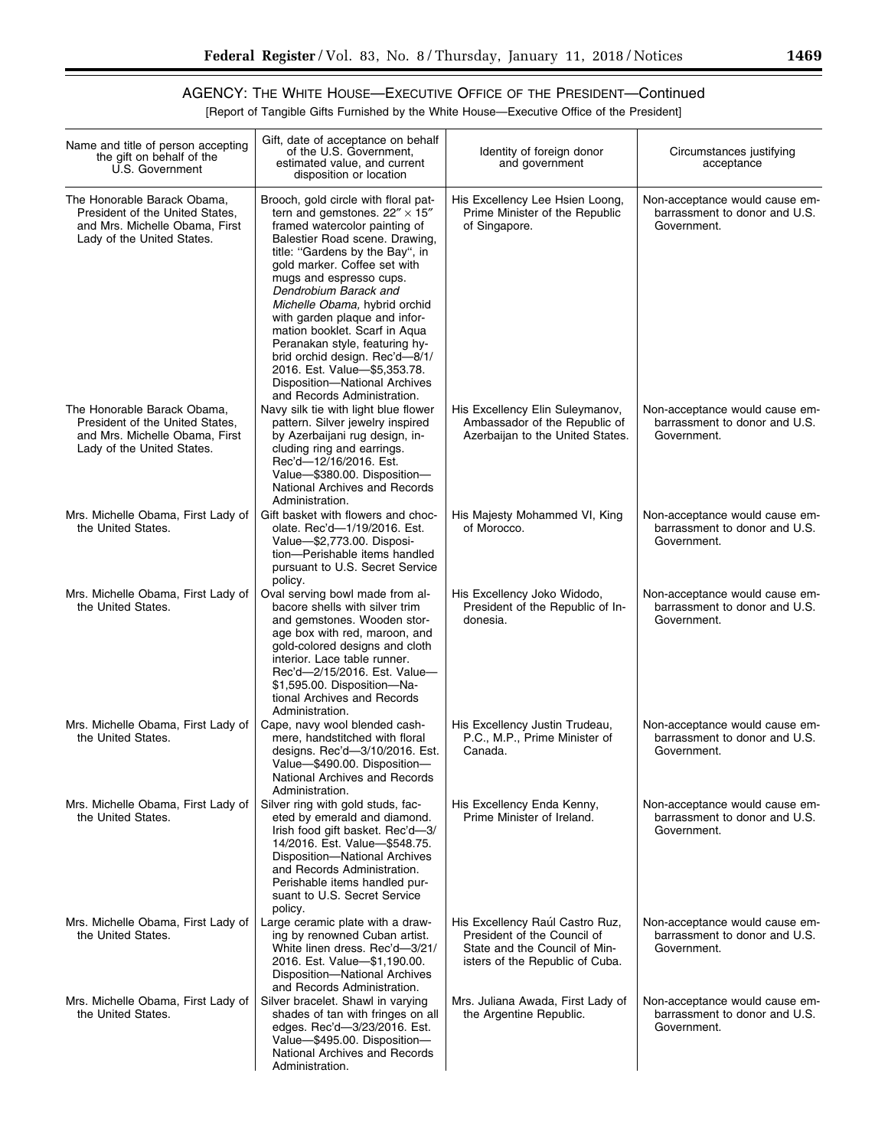▀

# AGENCY: THE WHITE HOUSE—EXECUTIVE OFFICE OF THE PRESIDENT—Continued

[Report of Tangible Gifts Furnished by the White House—Executive Office of the President]

| Name and title of person accepting<br>the gift on behalf of the<br>U.S. Government                                             | Gift, date of acceptance on behalf<br>of the U.S. Government,<br>estimated value, and current<br>disposition or location                                                                                                                                                                                                                                                                                                                                                                                                                        | Identity of foreign donor<br>and government                                                                                        | Circumstances justifying<br>acceptance                                         |
|--------------------------------------------------------------------------------------------------------------------------------|-------------------------------------------------------------------------------------------------------------------------------------------------------------------------------------------------------------------------------------------------------------------------------------------------------------------------------------------------------------------------------------------------------------------------------------------------------------------------------------------------------------------------------------------------|------------------------------------------------------------------------------------------------------------------------------------|--------------------------------------------------------------------------------|
| The Honorable Barack Obama,<br>President of the United States,<br>and Mrs. Michelle Obama, First<br>Lady of the United States. | Brooch, gold circle with floral pat-<br>tern and gemstones. $22'' \times 15''$<br>framed watercolor painting of<br>Balestier Road scene. Drawing,<br>title: "Gardens by the Bay", in<br>gold marker. Coffee set with<br>mugs and espresso cups.<br>Dendrobium Barack and<br>Michelle Obama, hybrid orchid<br>with garden plaque and infor-<br>mation booklet. Scarf in Aqua<br>Peranakan style, featuring hy-<br>brid orchid design. Rec'd-8/1/<br>2016. Est. Value-\$5,353.78.<br>Disposition-National Archives<br>and Records Administration. | His Excellency Lee Hsien Loong,<br>Prime Minister of the Republic<br>of Singapore.                                                 | Non-acceptance would cause em-<br>barrassment to donor and U.S.<br>Government. |
| The Honorable Barack Obama,<br>President of the United States,<br>and Mrs. Michelle Obama, First<br>Lady of the United States. | Navy silk tie with light blue flower<br>pattern. Silver jewelry inspired<br>by Azerbaijani rug design, in-<br>cluding ring and earrings.<br>Rec'd-12/16/2016. Est.<br>Value-\$380.00. Disposition-<br>National Archives and Records<br>Administration.                                                                                                                                                                                                                                                                                          | His Excellency Elin Suleymanov,<br>Ambassador of the Republic of<br>Azerbaijan to the United States.                               | Non-acceptance would cause em-<br>barrassment to donor and U.S.<br>Government. |
| Mrs. Michelle Obama, First Lady of<br>the United States.                                                                       | Gift basket with flowers and choc-<br>olate. Rec'd-1/19/2016. Est.<br>Value-\$2,773.00. Disposi-<br>tion-Perishable items handled<br>pursuant to U.S. Secret Service<br>policy.                                                                                                                                                                                                                                                                                                                                                                 | His Majesty Mohammed VI, King<br>of Morocco.                                                                                       | Non-acceptance would cause em-<br>barrassment to donor and U.S.<br>Government. |
| Mrs. Michelle Obama, First Lady of<br>the United States.                                                                       | Oval serving bowl made from al-<br>bacore shells with silver trim<br>and gemstones. Wooden stor-<br>age box with red, maroon, and<br>gold-colored designs and cloth<br>interior. Lace table runner.<br>Rec'd-2/15/2016. Est. Value-<br>\$1,595.00. Disposition-Na-<br>tional Archives and Records<br>Administration.                                                                                                                                                                                                                            | His Excellency Joko Widodo,<br>President of the Republic of In-<br>donesia.                                                        | Non-acceptance would cause em-<br>barrassment to donor and U.S.<br>Government. |
| Mrs. Michelle Obama, First Lady of<br>the United States.                                                                       | Cape, navy wool blended cash-<br>mere, handstitched with floral<br>designs. Rec'd-3/10/2016. Est.<br>Value-\$490.00. Disposition-<br>National Archives and Records<br>Administration.                                                                                                                                                                                                                                                                                                                                                           | His Excellency Justin Trudeau,<br>P.C., M.P., Prime Minister of<br>Canada.                                                         | Non-acceptance would cause em-<br>barrassment to donor and U.S.<br>Government. |
| Mrs. Michelle Obama, First Lady of<br>the United States.                                                                       | Silver ring with gold studs, fac-<br>eted by emerald and diamond.<br>Irish food gift basket. Rec'd-3/<br>14/2016. Est. Value-\$548.75.<br>Disposition-National Archives<br>and Records Administration.<br>Perishable items handled pur-<br>suant to U.S. Secret Service<br>policy.                                                                                                                                                                                                                                                              | His Excellency Enda Kenny,<br>Prime Minister of Ireland.                                                                           | Non-acceptance would cause em-<br>barrassment to donor and U.S.<br>Government. |
| Mrs. Michelle Obama, First Lady of<br>the United States.                                                                       | Large ceramic plate with a draw-<br>ing by renowned Cuban artist.<br>White linen dress. Rec'd-3/21/<br>2016. Est. Value-\$1,190.00.<br>Disposition-National Archives<br>and Records Administration.                                                                                                                                                                                                                                                                                                                                             | His Excellency Raúl Castro Ruz,<br>President of the Council of<br>State and the Council of Min-<br>isters of the Republic of Cuba. | Non-acceptance would cause em-<br>barrassment to donor and U.S.<br>Government. |
| Mrs. Michelle Obama, First Lady of<br>the United States.                                                                       | Silver bracelet. Shawl in varying<br>shades of tan with fringes on all<br>edges. Rec'd-3/23/2016. Est.<br>Value-\$495.00. Disposition-<br>National Archives and Records<br>Administration.                                                                                                                                                                                                                                                                                                                                                      | Mrs. Juliana Awada, First Lady of<br>the Argentine Republic.                                                                       | Non-acceptance would cause em-<br>barrassment to donor and U.S.<br>Government. |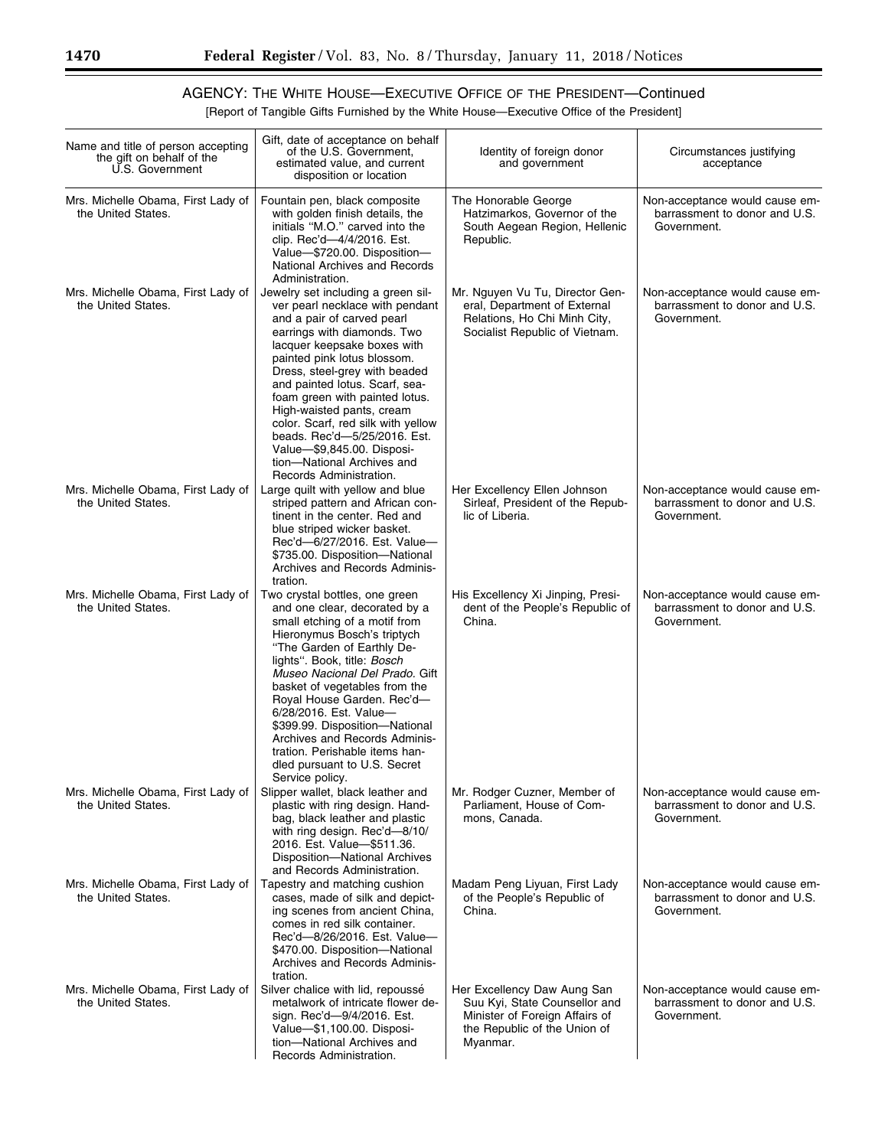[Report of Tangible Gifts Furnished by the White House—Executive Office of the President]

| Name and title of person accepting<br>the gift on behalf of the<br>U.S. Government | Gift, date of acceptance on behalf<br>of the U.S. Government,<br>estimated value, and current<br>disposition or location                                                                                                                                                                                                                                                                                                                                                                        | Identity of foreign donor<br>and government                                                                                                | Circumstances justifying<br>acceptance                                         |
|------------------------------------------------------------------------------------|-------------------------------------------------------------------------------------------------------------------------------------------------------------------------------------------------------------------------------------------------------------------------------------------------------------------------------------------------------------------------------------------------------------------------------------------------------------------------------------------------|--------------------------------------------------------------------------------------------------------------------------------------------|--------------------------------------------------------------------------------|
| Mrs. Michelle Obama, First Lady of<br>the United States.                           | Fountain pen, black composite<br>with golden finish details, the<br>initials "M.O." carved into the<br>clip. Rec'd-4/4/2016. Est.<br>Value-\$720.00. Disposition-<br>National Archives and Records<br>Administration.                                                                                                                                                                                                                                                                           | The Honorable George<br>Hatzimarkos, Governor of the<br>South Aegean Region, Hellenic<br>Republic.                                         | Non-acceptance would cause em-<br>barrassment to donor and U.S.<br>Government. |
| Mrs. Michelle Obama, First Lady of<br>the United States.                           | Jewelry set including a green sil-<br>ver pearl necklace with pendant<br>and a pair of carved pearl<br>earrings with diamonds. Two<br>lacquer keepsake boxes with<br>painted pink lotus blossom.<br>Dress, steel-grey with beaded<br>and painted lotus. Scarf, sea-<br>foam green with painted lotus.<br>High-waisted pants, cream<br>color. Scarf, red silk with yellow<br>beads. Rec'd-5/25/2016. Est.<br>Value-\$9,845.00. Disposi-<br>tion-National Archives and<br>Records Administration. | Mr. Nguyen Vu Tu, Director Gen-<br>eral, Department of External<br>Relations, Ho Chi Minh City,<br>Socialist Republic of Vietnam.          | Non-acceptance would cause em-<br>barrassment to donor and U.S.<br>Government. |
| Mrs. Michelle Obama, First Lady of<br>the United States.                           | Large quilt with yellow and blue<br>striped pattern and African con-<br>tinent in the center. Red and<br>blue striped wicker basket.<br>Rec'd-6/27/2016. Est. Value-<br>\$735.00. Disposition-National<br>Archives and Records Adminis-<br>tration.                                                                                                                                                                                                                                             | Her Excellency Ellen Johnson<br>Sirleaf, President of the Repub-<br>lic of Liberia.                                                        | Non-acceptance would cause em-<br>barrassment to donor and U.S.<br>Government. |
| Mrs. Michelle Obama, First Lady of<br>the United States.                           | Two crystal bottles, one green<br>and one clear, decorated by a<br>small etching of a motif from<br>Hieronymus Bosch's triptych<br>"The Garden of Earthly De-<br>lights". Book, title: Bosch<br>Museo Nacional Del Prado. Gift<br>basket of vegetables from the<br>Royal House Garden. Rec'd-<br>6/28/2016. Est. Value-<br>\$399.99. Disposition-National<br>Archives and Records Adminis-<br>tration. Perishable items han-<br>dled pursuant to U.S. Secret<br>Service policy.                 | His Excellency Xi Jinping, Presi-<br>dent of the People's Republic of<br>China.                                                            | Non-acceptance would cause em-<br>barrassment to donor and U.S.<br>Government. |
| Mrs. Michelle Obama, First Lady of<br>the United States.                           | Slipper wallet, black leather and<br>plastic with ring design. Hand-<br>bag, black leather and plastic<br>with ring design. Rec'd-8/10/<br>2016. Est. Value-\$511.36.<br>Disposition-National Archives<br>and Records Administration.                                                                                                                                                                                                                                                           | Mr. Rodger Cuzner, Member of<br>Parliament, House of Com-<br>mons, Canada.                                                                 | Non-acceptance would cause em-<br>barrassment to donor and U.S.<br>Government. |
| Mrs. Michelle Obama, First Lady of<br>the United States.                           | Tapestry and matching cushion<br>cases, made of silk and depict-<br>ing scenes from ancient China,<br>comes in red silk container.<br>Rec'd-8/26/2016. Est. Value-<br>\$470.00. Disposition-National<br>Archives and Records Adminis-<br>tration.                                                                                                                                                                                                                                               | Madam Peng Liyuan, First Lady<br>of the People's Republic of<br>China.                                                                     | Non-acceptance would cause em-<br>barrassment to donor and U.S.<br>Government. |
| Mrs. Michelle Obama, First Lady of<br>the United States.                           | Silver chalice with lid, repoussé<br>metalwork of intricate flower de-<br>sign. Rec'd-9/4/2016. Est.<br>Value-\$1,100.00. Disposi-<br>tion-National Archives and<br>Records Administration.                                                                                                                                                                                                                                                                                                     | Her Excellency Daw Aung San<br>Suu Kyi, State Counsellor and<br>Minister of Foreign Affairs of<br>the Republic of the Union of<br>Myanmar. | Non-acceptance would cause em-<br>barrassment to donor and U.S.<br>Government. |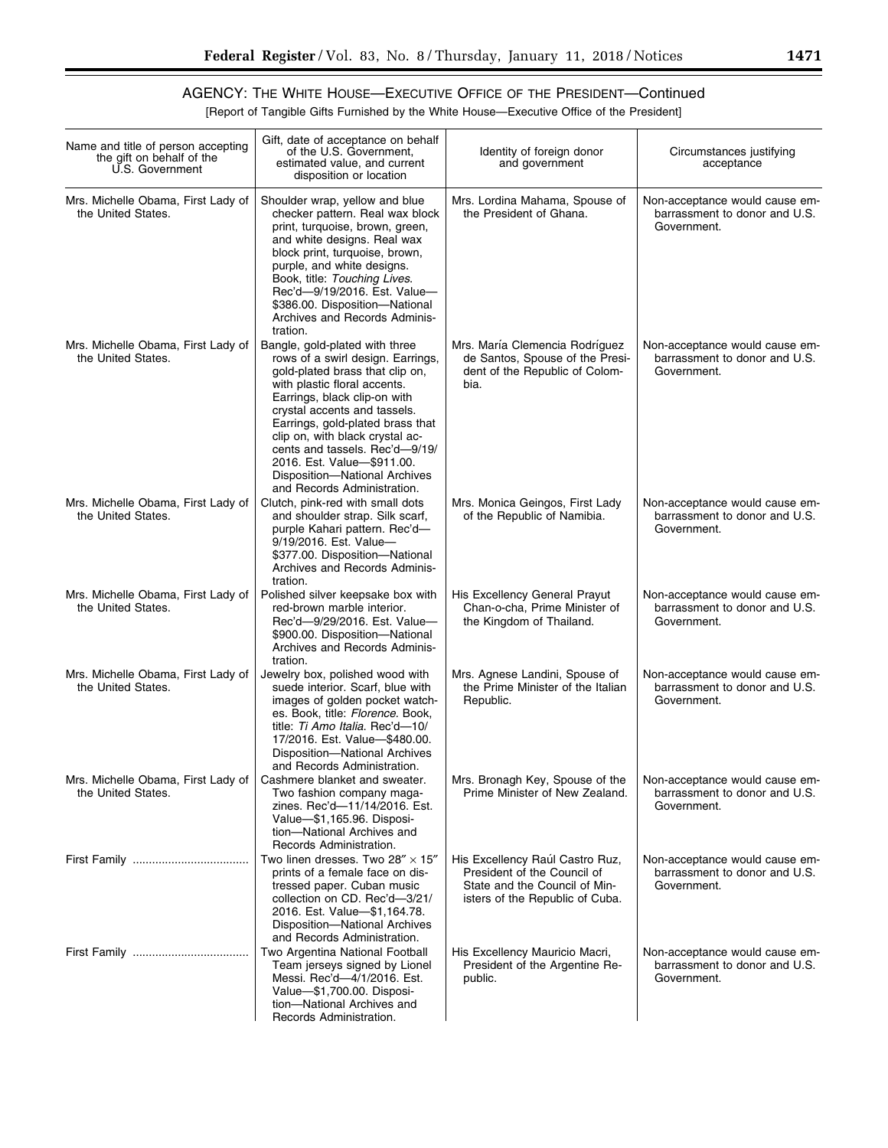| Name and title of person accepting<br>the gift on behalf of the<br>U.S. Government | Gift, date of acceptance on behalf<br>of the U.S. Government.<br>estimated value, and current<br>disposition or location                                                                                                                                                                                                                                                                                      | Identity of foreign donor<br>and government                                                                                        | Circumstances justifying<br>acceptance                                         |
|------------------------------------------------------------------------------------|---------------------------------------------------------------------------------------------------------------------------------------------------------------------------------------------------------------------------------------------------------------------------------------------------------------------------------------------------------------------------------------------------------------|------------------------------------------------------------------------------------------------------------------------------------|--------------------------------------------------------------------------------|
| Mrs. Michelle Obama, First Lady of<br>the United States.                           | Shoulder wrap, yellow and blue<br>checker pattern. Real wax block<br>print, turquoise, brown, green,<br>and white designs. Real wax<br>block print, turquoise, brown,<br>purple, and white designs.<br>Book, title: Touching Lives.<br>Rec'd-9/19/2016. Est. Value-<br>\$386.00. Disposition-National<br>Archives and Records Adminis-<br>tration.                                                            | Mrs. Lordina Mahama, Spouse of<br>the President of Ghana.                                                                          | Non-acceptance would cause em-<br>barrassment to donor and U.S.<br>Government. |
| Mrs. Michelle Obama, First Lady of<br>the United States.                           | Bangle, gold-plated with three<br>rows of a swirl design. Earrings,<br>gold-plated brass that clip on,<br>with plastic floral accents.<br>Earrings, black clip-on with<br>crystal accents and tassels.<br>Earrings, gold-plated brass that<br>clip on, with black crystal ac-<br>cents and tassels. Rec'd-9/19/<br>2016. Est. Value-\$911.00.<br>Disposition-National Archives<br>and Records Administration. | Mrs. María Clemencia Rodríguez<br>de Santos, Spouse of the Presi-<br>dent of the Republic of Colom-<br>bia.                        | Non-acceptance would cause em-<br>barrassment to donor and U.S.<br>Government. |
| Mrs. Michelle Obama, First Lady of<br>the United States.                           | Clutch, pink-red with small dots<br>and shoulder strap. Silk scarf,<br>purple Kahari pattern. Rec'd-<br>9/19/2016. Est. Value-<br>\$377.00. Disposition-National<br>Archives and Records Adminis-<br>tration.                                                                                                                                                                                                 | Mrs. Monica Geingos, First Lady<br>of the Republic of Namibia.                                                                     | Non-acceptance would cause em-<br>barrassment to donor and U.S.<br>Government. |
| Mrs. Michelle Obama, First Lady of<br>the United States.                           | Polished silver keepsake box with<br>red-brown marble interior.<br>Rec'd-9/29/2016. Est. Value-<br>\$900.00. Disposition-National<br>Archives and Records Adminis-<br>tration.                                                                                                                                                                                                                                | His Excellency General Prayut<br>Chan-o-cha, Prime Minister of<br>the Kingdom of Thailand.                                         | Non-acceptance would cause em-<br>barrassment to donor and U.S.<br>Government. |
| Mrs. Michelle Obama, First Lady of<br>the United States.                           | Jewelry box, polished wood with<br>suede interior. Scarf, blue with<br>images of golden pocket watch-<br>es. Book, title: Florence. Book,<br>title: Ti Amo Italia. Rec'd-10/<br>17/2016. Est. Value-\$480.00.<br>Disposition-National Archives<br>and Records Administration.                                                                                                                                 | Mrs. Agnese Landini, Spouse of<br>the Prime Minister of the Italian<br>Republic.                                                   | Non-acceptance would cause em-<br>barrassment to donor and U.S.<br>Government. |
| Mrs. Michelle Obama, First Lady of<br>the United States.                           | Cashmere blanket and sweater.<br>Two fashion company maga-<br>zines. Rec'd-11/14/2016. Est.<br>Value-\$1,165.96. Disposi-<br>tion-National Archives and<br>Records Administration.                                                                                                                                                                                                                            | Mrs. Bronagh Key, Spouse of the<br>Prime Minister of New Zealand.                                                                  | Non-acceptance would cause em-<br>barrassment to donor and U.S.<br>Government. |
|                                                                                    | Two linen dresses. Two 28" $\times$ 15"<br>prints of a female face on dis-<br>tressed paper. Cuban music<br>collection on CD. Rec'd-3/21/<br>2016. Est. Value-\$1,164.78.<br>Disposition-National Archives                                                                                                                                                                                                    | His Excellency Raúl Castro Ruz,<br>President of the Council of<br>State and the Council of Min-<br>isters of the Republic of Cuba. | Non-acceptance would cause em-<br>barrassment to donor and U.S.<br>Government. |
|                                                                                    | and Records Administration.<br>Two Argentina National Football<br>Team jerseys signed by Lionel<br>Messi. Rec'd-4/1/2016. Est.<br>Value-\$1,700.00. Disposi-<br>tion-National Archives and<br>Records Administration.                                                                                                                                                                                         | His Excellency Mauricio Macri,<br>President of the Argentine Re-<br>public.                                                        | Non-acceptance would cause em-<br>barrassment to donor and U.S.<br>Government. |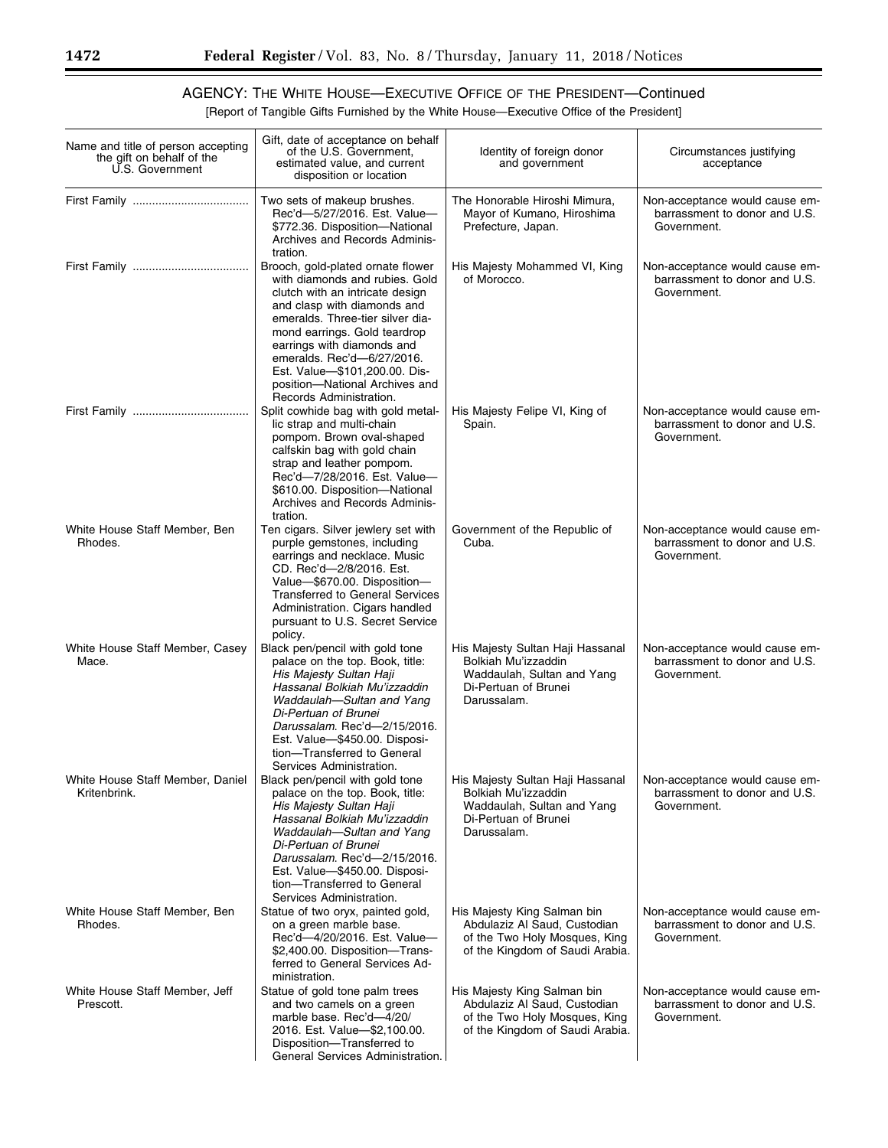[Report of Tangible Gifts Furnished by the White House—Executive Office of the President]

| Name and title of person accepting<br>the gift on behalf of the<br>U.S. Government | Gift, date of acceptance on behalf<br>of the U.S. Government,<br>estimated value, and current<br>disposition or location                                                                                                                                                                                                                                            | Identity of foreign donor<br>and government                                                                                     | Circumstances justifying<br>acceptance                                         |
|------------------------------------------------------------------------------------|---------------------------------------------------------------------------------------------------------------------------------------------------------------------------------------------------------------------------------------------------------------------------------------------------------------------------------------------------------------------|---------------------------------------------------------------------------------------------------------------------------------|--------------------------------------------------------------------------------|
|                                                                                    | Two sets of makeup brushes.<br>Rec'd-5/27/2016. Est. Value-<br>\$772.36. Disposition-National<br>Archives and Records Adminis-<br>tration.                                                                                                                                                                                                                          | The Honorable Hiroshi Mimura,<br>Mayor of Kumano, Hiroshima<br>Prefecture, Japan.                                               | Non-acceptance would cause em-<br>barrassment to donor and U.S.<br>Government. |
|                                                                                    | Brooch, gold-plated ornate flower<br>with diamonds and rubies. Gold<br>clutch with an intricate design<br>and clasp with diamonds and<br>emeralds. Three-tier silver dia-<br>mond earrings. Gold teardrop<br>earrings with diamonds and<br>emeralds. Rec'd-6/27/2016.<br>Est. Value-\$101,200.00. Dis-<br>position-National Archives and<br>Records Administration. | His Majesty Mohammed VI, King<br>of Morocco.                                                                                    | Non-acceptance would cause em-<br>barrassment to donor and U.S.<br>Government. |
|                                                                                    | Split cowhide bag with gold metal-<br>lic strap and multi-chain<br>pompom. Brown oval-shaped<br>calfskin bag with gold chain<br>strap and leather pompom.<br>Rec'd-7/28/2016. Est. Value-<br>\$610.00. Disposition-National<br>Archives and Records Adminis-<br>tration.                                                                                            | His Majesty Felipe VI, King of<br>Spain.                                                                                        | Non-acceptance would cause em-<br>barrassment to donor and U.S.<br>Government. |
| White House Staff Member, Ben<br>Rhodes.                                           | Ten cigars. Silver jewlery set with<br>purple gemstones, including<br>earrings and necklace. Music<br>CD. Rec'd-2/8/2016. Est.<br>Value-\$670.00. Disposition-<br><b>Transferred to General Services</b><br>Administration. Cigars handled<br>pursuant to U.S. Secret Service<br>policy.                                                                            | Government of the Republic of<br>Cuba.                                                                                          | Non-acceptance would cause em-<br>barrassment to donor and U.S.<br>Government. |
| White House Staff Member, Casey<br>Mace.                                           | Black pen/pencil with gold tone<br>palace on the top. Book, title:<br>His Majesty Sultan Haji<br>Hassanal Bolkiah Mu'izzaddin<br>Waddaulah-Sultan and Yang<br>Di-Pertuan of Brunei<br>Darussalam. Rec'd-2/15/2016.<br>Est. Value-\$450.00. Disposi-<br>tion-Transferred to General<br>Services Administration.                                                      | His Majesty Sultan Haji Hassanal<br>Bolkiah Mu'izzaddin<br>Waddaulah, Sultan and Yang<br>Di-Pertuan of Brunei<br>Darussalam.    | Non-acceptance would cause em-<br>barrassment to donor and U.S.<br>Government. |
| White House Staff Member, Daniel<br>Kritenbrink.                                   | Black pen/pencil with gold tone<br>palace on the top. Book, title:<br>His Majesty Sultan Haji<br>Hassanal Bolkiah Mu'izzaddin<br>Waddaulah-Sultan and Yang<br>Di-Pertuan of Brunei<br>Darussalam. Rec'd-2/15/2016.<br>Est. Value-\$450.00. Disposi-<br>tion-Transferred to General<br>Services Administration.                                                      | His Majesty Sultan Haji Hassanal<br>Bolkiah Mu'izzaddin<br>Waddaulah, Sultan and Yang<br>Di-Pertuan of Brunei<br>Darussalam.    | Non-acceptance would cause em-<br>barrassment to donor and U.S.<br>Government. |
| White House Staff Member, Ben<br>Rhodes.                                           | Statue of two oryx, painted gold,<br>on a green marble base.<br>Rec'd-4/20/2016. Est. Value-<br>\$2,400.00. Disposition-Trans-<br>ferred to General Services Ad-<br>ministration.                                                                                                                                                                                   | His Majesty King Salman bin<br>Abdulaziz Al Saud, Custodian<br>of the Two Holy Mosques, King<br>of the Kingdom of Saudi Arabia. | Non-acceptance would cause em-<br>barrassment to donor and U.S.<br>Government. |
| White House Staff Member, Jeff<br>Prescott.                                        | Statue of gold tone palm trees<br>and two camels on a green<br>marble base. Rec'd-4/20/<br>2016. Est. Value-\$2,100.00.<br>Disposition-Transferred to<br>General Services Administration.                                                                                                                                                                           | His Majesty King Salman bin<br>Abdulaziz Al Saud, Custodian<br>of the Two Holy Mosques, King<br>of the Kingdom of Saudi Arabia. | Non-acceptance would cause em-<br>barrassment to donor and U.S.<br>Government. |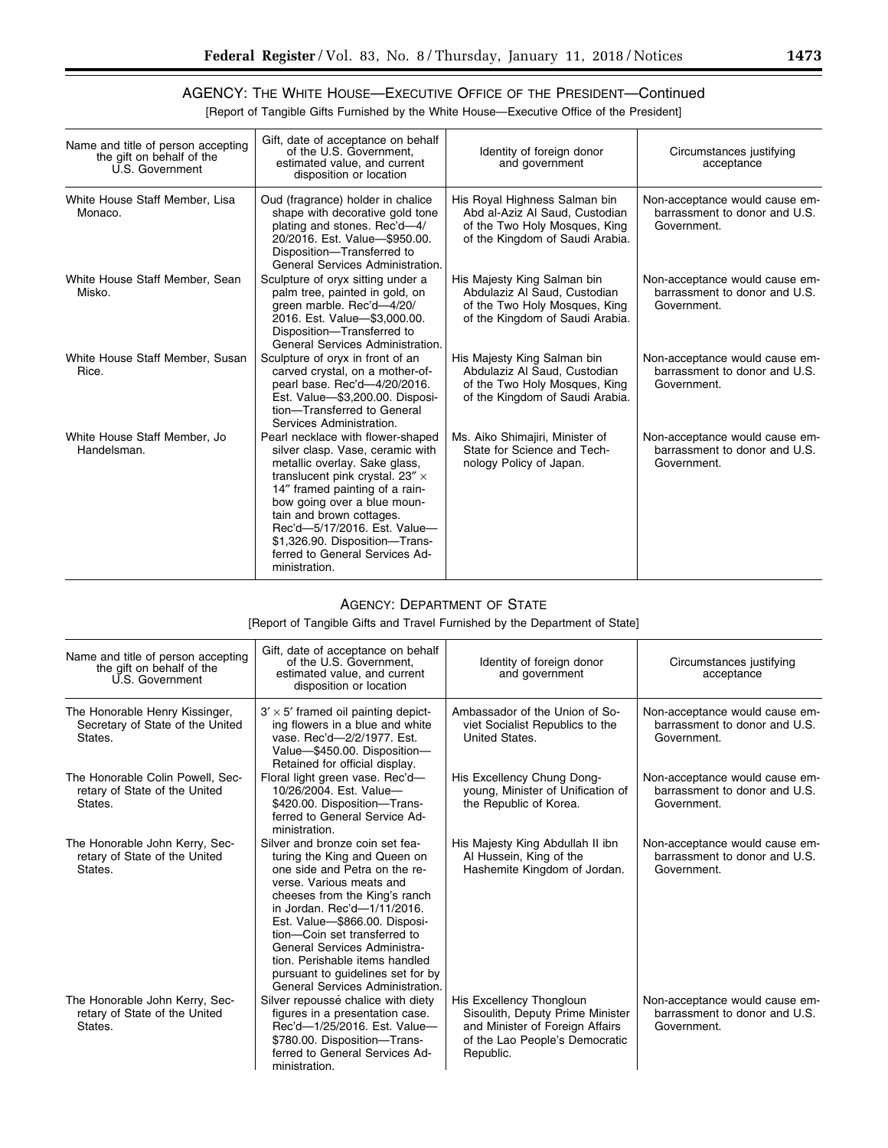÷.

#### AGENCY: THE WHITE HOUSE—EXECUTIVE OFFICE OF THE PRESIDENT—Continued [Report of Tangible Gifts Furnished by the White House—Executive Office of the President]

| Name and title of person accepting<br>the gift on behalf of the<br>U.S. Government | Gift, date of acceptance on behalf<br>of the U.S. Government.<br>estimated value, and current<br>disposition or location                                                                                                                                                                                                                                            | Identity of foreign donor<br>and government                                                                                         | Circumstances justifying<br>acceptance                                         |
|------------------------------------------------------------------------------------|---------------------------------------------------------------------------------------------------------------------------------------------------------------------------------------------------------------------------------------------------------------------------------------------------------------------------------------------------------------------|-------------------------------------------------------------------------------------------------------------------------------------|--------------------------------------------------------------------------------|
| White House Staff Member, Lisa<br>Monaco.                                          | Oud (fragrance) holder in chalice<br>shape with decorative gold tone<br>plating and stones. Rec'd-4/<br>20/2016. Est. Value-\$950.00.<br>Disposition-Transferred to<br>General Services Administration.                                                                                                                                                             | His Royal Highness Salman bin<br>Abd al-Aziz Al Saud, Custodian<br>of the Two Holy Mosques, King<br>of the Kingdom of Saudi Arabia. | Non-acceptance would cause em-<br>barrassment to donor and U.S.<br>Government. |
| White House Staff Member, Sean<br>Misko.                                           | Sculpture of oryx sitting under a<br>palm tree, painted in gold, on<br>green marble. Rec'd-4/20/<br>2016. Est. Value-\$3,000.00.<br>Disposition-Transferred to<br>General Services Administration.                                                                                                                                                                  | His Majesty King Salman bin<br>Abdulaziz Al Saud, Custodian<br>of the Two Holy Mosques, King<br>of the Kingdom of Saudi Arabia.     | Non-acceptance would cause em-<br>barrassment to donor and U.S.<br>Government. |
| White House Staff Member, Susan<br>Rice.                                           | Sculpture of oryx in front of an<br>carved crystal, on a mother-of-<br>pearl base. Rec'd-4/20/2016.<br>Est. Value-\$3,200.00. Disposi-<br>tion-Transferred to General<br>Services Administration.                                                                                                                                                                   | His Majesty King Salman bin<br>Abdulaziz Al Saud, Custodian<br>of the Two Holy Mosques, King<br>of the Kingdom of Saudi Arabia.     | Non-acceptance would cause em-<br>barrassment to donor and U.S.<br>Government. |
| White House Staff Member, Jo<br>Handelsman.                                        | Pearl necklace with flower-shaped<br>silver clasp. Vase, ceramic with<br>metallic overlay. Sake glass,<br>translucent pink crystal. $23'' \times$<br>14" framed painting of a rain-<br>bow going over a blue moun-<br>tain and brown cottages.<br>Rec'd-5/17/2016. Est. Value-<br>\$1,326.90. Disposition-Trans-<br>ferred to General Services Ad-<br>ministration. | Ms. Aiko Shimajiri, Minister of<br>State for Science and Tech-<br>nology Policy of Japan.                                           | Non-acceptance would cause em-<br>barrassment to donor and U.S.<br>Government. |

#### AGENCY: DEPARTMENT OF STATE

[Report of Tangible Gifts and Travel Furnished by the Department of State]

| Name and title of person accepting<br>the gift on behalf of the<br>U.S. Government | Gift, date of acceptance on behalf<br>of the U.S. Government.<br>estimated value, and current<br>disposition or location                                                                                                                                                                                                                                                                                 | Identity of foreign donor<br>and government                                                                                                    | Circumstances justifying<br>acceptance                                         |
|------------------------------------------------------------------------------------|----------------------------------------------------------------------------------------------------------------------------------------------------------------------------------------------------------------------------------------------------------------------------------------------------------------------------------------------------------------------------------------------------------|------------------------------------------------------------------------------------------------------------------------------------------------|--------------------------------------------------------------------------------|
| The Honorable Henry Kissinger,<br>Secretary of State of the United<br>States.      | $3' \times 5'$ framed oil painting depict-<br>ing flowers in a blue and white<br>vase, Rec'd-2/2/1977, Est.<br>Value-\$450.00. Disposition-<br>Retained for official display.                                                                                                                                                                                                                            | Ambassador of the Union of So-<br>viet Socialist Republics to the<br>United States.                                                            | Non-acceptance would cause em-<br>barrassment to donor and U.S.<br>Government. |
| The Honorable Colin Powell, Sec-<br>retary of State of the United<br>States.       | Floral light green vase. Rec'd-<br>10/26/2004. Est. Value-<br>\$420.00. Disposition-Trans-<br>ferred to General Service Ad-<br>ministration.                                                                                                                                                                                                                                                             | His Excellency Chung Dong-<br>young, Minister of Unification of<br>the Republic of Korea.                                                      | Non-acceptance would cause em-<br>barrassment to donor and U.S.<br>Government. |
| The Honorable John Kerry, Sec-<br>retary of State of the United<br>States.         | Silver and bronze coin set fea-<br>turing the King and Queen on<br>one side and Petra on the re-<br>verse. Various meats and<br>cheeses from the King's ranch<br>in Jordan. Rec'd-1/11/2016.<br>Est. Value-\$866.00. Disposi-<br>tion-Coin set transferred to<br>General Services Administra-<br>tion. Perishable items handled<br>pursuant to quidelines set for by<br>General Services Administration. | His Majesty King Abdullah II ibn<br>Al Hussein, King of the<br>Hashemite Kingdom of Jordan.                                                    | Non-acceptance would cause em-<br>barrassment to donor and U.S.<br>Government. |
| The Honorable John Kerry, Sec-<br>retary of State of the United<br>States.         | Silver repoussé chalice with diety<br>figures in a presentation case.<br>Rec'd-1/25/2016. Est. Value-<br>\$780.00. Disposition-Trans-<br>ferred to General Services Ad-<br>ministration.                                                                                                                                                                                                                 | His Excellency Thongloun<br>Sisoulith, Deputy Prime Minister<br>and Minister of Foreign Affairs<br>of the Lao People's Democratic<br>Republic. | Non-acceptance would cause em-<br>barrassment to donor and U.S.<br>Government. |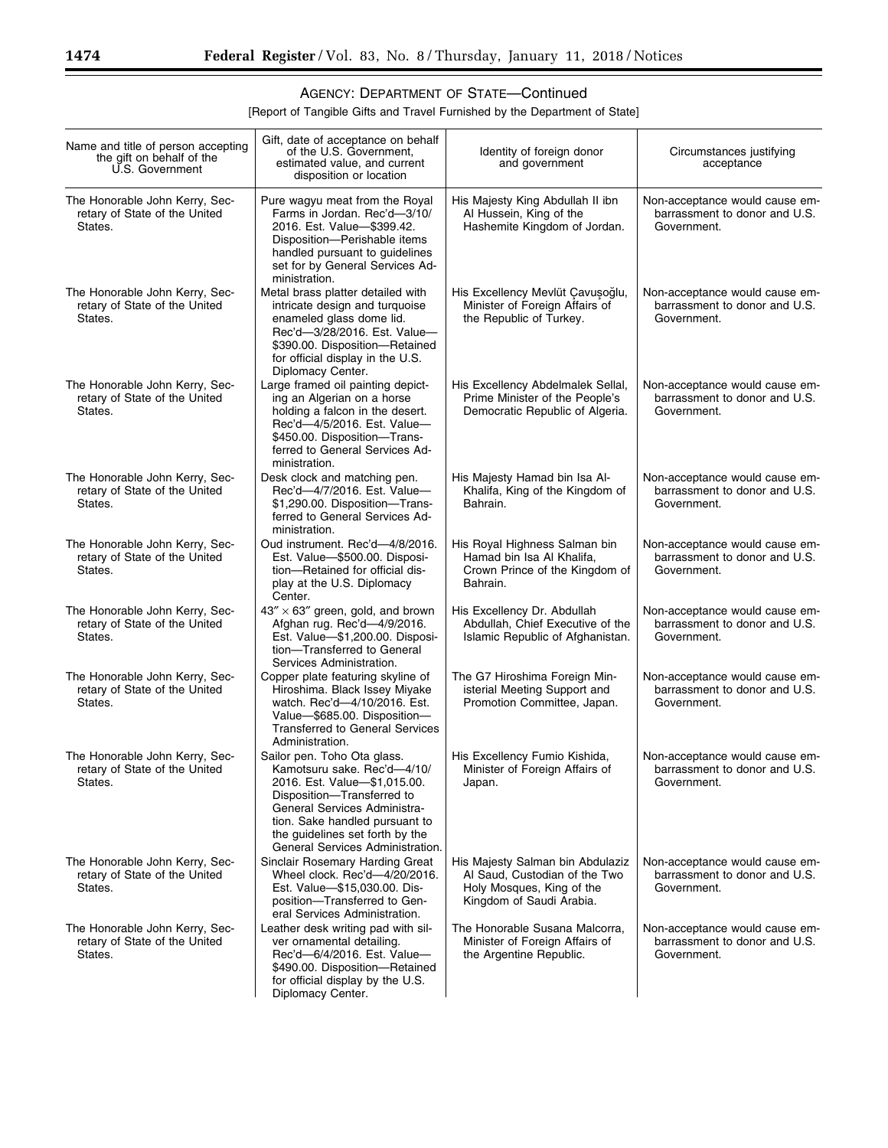[Report of Tangible Gifts and Travel Furnished by the Department of State]

| Name and title of person accepting<br>the gift on behalf of the<br>U.S. Government | Gift, date of acceptance on behalf<br>of the U.S. Government,<br>estimated value, and current<br>disposition or location                                                                                                                                          | Identity of foreign donor<br>and government                                                                                | Circumstances justifying<br>acceptance                                         |
|------------------------------------------------------------------------------------|-------------------------------------------------------------------------------------------------------------------------------------------------------------------------------------------------------------------------------------------------------------------|----------------------------------------------------------------------------------------------------------------------------|--------------------------------------------------------------------------------|
| The Honorable John Kerry, Sec-<br>retary of State of the United<br>States.         | Pure wagyu meat from the Royal<br>Farms in Jordan. Rec'd-3/10/<br>2016. Est. Value-\$399.42.<br>Disposition-Perishable items<br>handled pursuant to guidelines<br>set for by General Services Ad-<br>ministration.                                                | His Majesty King Abdullah II ibn<br>Al Hussein, King of the<br>Hashemite Kingdom of Jordan.                                | Non-acceptance would cause em-<br>barrassment to donor and U.S.<br>Government. |
| The Honorable John Kerry, Sec-<br>retary of State of the United<br>States.         | Metal brass platter detailed with<br>intricate design and turquoise<br>enameled glass dome lid.<br>Rec'd-3/28/2016. Est. Value-<br>\$390.00. Disposition-Retained<br>for official display in the U.S.<br>Diplomacy Center.                                        | His Excellency Mevlüt Çavuşoğlu,<br>Minister of Foreign Affairs of<br>the Republic of Turkey.                              | Non-acceptance would cause em-<br>barrassment to donor and U.S.<br>Government. |
| The Honorable John Kerry, Sec-<br>retary of State of the United<br>States.         | Large framed oil painting depict-<br>ing an Algerian on a horse<br>holding a falcon in the desert.<br>Rec'd-4/5/2016. Est. Value-<br>\$450.00. Disposition-Trans-<br>ferred to General Services Ad-<br>ministration.                                              | His Excellency Abdelmalek Sellal,<br>Prime Minister of the People's<br>Democratic Republic of Algeria.                     | Non-acceptance would cause em-<br>barrassment to donor and U.S.<br>Government. |
| The Honorable John Kerry, Sec-<br>retary of State of the United<br>States.         | Desk clock and matching pen.<br>Rec'd-4/7/2016. Est. Value-<br>\$1,290.00. Disposition-Trans-<br>ferred to General Services Ad-<br>ministration.                                                                                                                  | His Majesty Hamad bin Isa Al-<br>Khalifa, King of the Kingdom of<br>Bahrain.                                               | Non-acceptance would cause em-<br>barrassment to donor and U.S.<br>Government. |
| The Honorable John Kerry, Sec-<br>retary of State of the United<br>States.         | Oud instrument. Rec'd-4/8/2016.<br>Est. Value-\$500.00. Disposi-<br>tion-Retained for official dis-<br>play at the U.S. Diplomacy<br>Center.                                                                                                                      | His Royal Highness Salman bin<br>Hamad bin Isa Al Khalifa,<br>Crown Prince of the Kingdom of<br>Bahrain.                   | Non-acceptance would cause em-<br>barrassment to donor and U.S.<br>Government. |
| The Honorable John Kerry, Sec-<br>retary of State of the United<br>States.         | $43'' \times 63''$ green, gold, and brown<br>Afghan rug. Rec'd-4/9/2016.<br>Est. Value-\$1,200.00. Disposi-<br>tion-Transferred to General<br>Services Administration.                                                                                            | His Excellency Dr. Abdullah<br>Abdullah, Chief Executive of the<br>Islamic Republic of Afghanistan.                        | Non-acceptance would cause em-<br>barrassment to donor and U.S.<br>Government. |
| The Honorable John Kerry, Sec-<br>retary of State of the United<br>States.         | Copper plate featuring skyline of<br>Hiroshima. Black Issey Miyake<br>watch. Rec'd-4/10/2016. Est.<br>Value-\$685.00. Disposition-<br><b>Transferred to General Services</b><br>Administration.                                                                   | The G7 Hiroshima Foreign Min-<br>isterial Meeting Support and<br>Promotion Committee, Japan.                               | Non-acceptance would cause em-<br>barrassment to donor and U.S.<br>Government. |
| The Honorable John Kerry, Sec-<br>retary of State of the United<br>States.         | Sailor pen. Toho Ota glass.<br>Kamotsuru sake. Rec'd-4/10/<br>2016. Est. Value-\$1,015.00.<br>Disposition-Transferred to<br>General Services Administra-<br>tion. Sake handled pursuant to<br>the guidelines set forth by the<br>General Services Administration. | His Excellency Fumio Kishida,<br>Minister of Foreign Affairs of<br>Japan.                                                  | Non-acceptance would cause em-<br>barrassment to donor and U.S.<br>Government. |
| The Honorable John Kerry, Sec-<br>retary of State of the United<br>States.         | Sinclair Rosemary Harding Great<br>Wheel clock. Rec'd-4/20/2016.<br>Est. Value-\$15,030.00. Dis-<br>position-Transferred to Gen-<br>eral Services Administration.                                                                                                 | His Majesty Salman bin Abdulaziz<br>Al Saud, Custodian of the Two<br>Holy Mosques, King of the<br>Kingdom of Saudi Arabia. | Non-acceptance would cause em-<br>barrassment to donor and U.S.<br>Government. |
| The Honorable John Kerry, Sec-<br>retary of State of the United<br>States.         | Leather desk writing pad with sil-<br>ver ornamental detailing.<br>Rec'd-6/4/2016. Est. Value-<br>\$490.00. Disposition-Retained<br>for official display by the U.S.<br>Diplomacy Center.                                                                         | The Honorable Susana Malcorra,<br>Minister of Foreign Affairs of<br>the Argentine Republic.                                | Non-acceptance would cause em-<br>barrassment to donor and U.S.<br>Government. |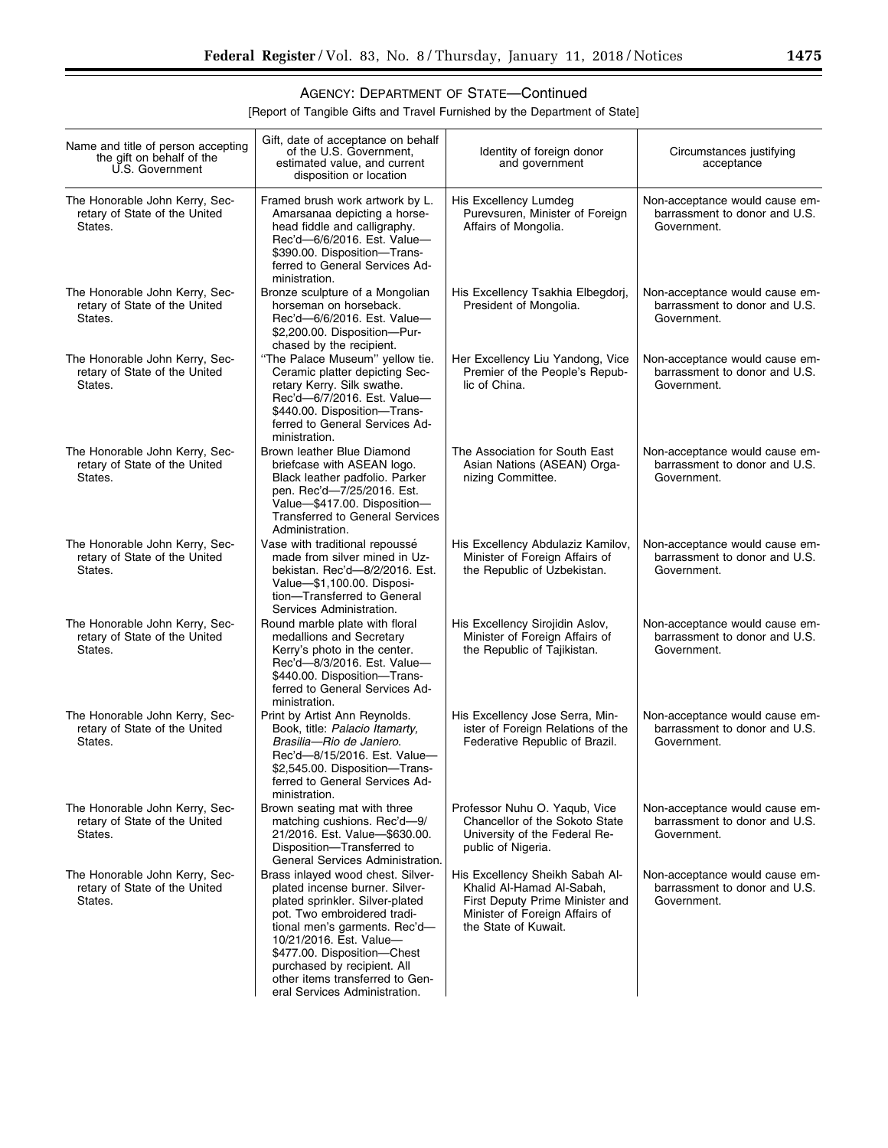[Report of Tangible Gifts and Travel Furnished by the Department of State]

| Name and title of person accepting<br>the gift on behalf of the<br>U.S. Government | Gift, date of acceptance on behalf<br>of the U.S. Government,<br>estimated value, and current<br>disposition or location                                                                                                                                                                                                            | Identity of foreign donor<br>and government                                                                                                               | Circumstances justifying<br>acceptance                                         |
|------------------------------------------------------------------------------------|-------------------------------------------------------------------------------------------------------------------------------------------------------------------------------------------------------------------------------------------------------------------------------------------------------------------------------------|-----------------------------------------------------------------------------------------------------------------------------------------------------------|--------------------------------------------------------------------------------|
| The Honorable John Kerry, Sec-<br>retary of State of the United<br>States.         | Framed brush work artwork by L.<br>Amarsanaa depicting a horse-<br>head fiddle and calligraphy.<br>Rec'd-6/6/2016. Est. Value-<br>\$390.00. Disposition-Trans-<br>ferred to General Services Ad-<br>ministration.                                                                                                                   | His Excellency Lumdeg<br>Purevsuren, Minister of Foreign<br>Affairs of Mongolia.                                                                          | Non-acceptance would cause em-<br>barrassment to donor and U.S.<br>Government. |
| The Honorable John Kerry, Sec-<br>retary of State of the United<br>States.         | Bronze sculpture of a Mongolian<br>horseman on horseback.<br>Rec'd-6/6/2016. Est. Value-<br>\$2,200.00. Disposition-Pur-<br>chased by the recipient.                                                                                                                                                                                | His Excellency Tsakhia Elbegdorj,<br>President of Mongolia.                                                                                               | Non-acceptance would cause em-<br>barrassment to donor and U.S.<br>Government. |
| The Honorable John Kerry, Sec-<br>retary of State of the United<br>States.         | "The Palace Museum" yellow tie.<br>Ceramic platter depicting Sec-<br>retary Kerry. Silk swathe.<br>Rec'd-6/7/2016. Est. Value-<br>\$440.00. Disposition-Trans-<br>ferred to General Services Ad-<br>ministration.                                                                                                                   | Her Excellency Liu Yandong, Vice<br>Premier of the People's Repub-<br>lic of China.                                                                       | Non-acceptance would cause em-<br>barrassment to donor and U.S.<br>Government. |
| The Honorable John Kerry, Sec-<br>retary of State of the United<br>States.         | Brown leather Blue Diamond<br>briefcase with ASEAN logo.<br>Black leather padfolio. Parker<br>pen. Rec'd-7/25/2016. Est.<br>Value-\$417.00. Disposition-<br><b>Transferred to General Services</b><br>Administration.                                                                                                               | The Association for South East<br>Asian Nations (ASEAN) Orga-<br>nizing Committee.                                                                        | Non-acceptance would cause em-<br>barrassment to donor and U.S.<br>Government. |
| The Honorable John Kerry, Sec-<br>retary of State of the United<br>States.         | Vase with traditional repoussé<br>made from silver mined in Uz-<br>bekistan. Rec'd-8/2/2016. Est.<br>Value-\$1,100.00. Disposi-<br>tion-Transferred to General<br>Services Administration.                                                                                                                                          | His Excellency Abdulaziz Kamilov,<br>Minister of Foreign Affairs of<br>the Republic of Uzbekistan.                                                        | Non-acceptance would cause em-<br>barrassment to donor and U.S.<br>Government. |
| The Honorable John Kerry, Sec-<br>retary of State of the United<br>States.         | Round marble plate with floral<br>medallions and Secretary<br>Kerry's photo in the center.<br>Rec'd-8/3/2016. Est. Value-<br>\$440.00. Disposition-Trans-<br>ferred to General Services Ad-<br>ministration.                                                                                                                        | His Excellency Sirojidin Aslov,<br>Minister of Foreign Affairs of<br>the Republic of Tajikistan.                                                          | Non-acceptance would cause em-<br>barrassment to donor and U.S.<br>Government. |
| The Honorable John Kerry, Sec-<br>retary of State of the United<br>States.         | Print by Artist Ann Reynolds.<br>Book, title: Palacio Itamarty,<br>Brasilia-Rio de Janiero.<br>Rec'd-8/15/2016. Est. Value-<br>\$2,545.00. Disposition-Trans-<br>ferred to General Services Ad-<br>ministration.                                                                                                                    | His Excellency Jose Serra, Min-<br>ister of Foreign Relations of the<br>Federative Republic of Brazil.                                                    | Non-acceptance would cause em-<br>barrassment to donor and U.S.<br>Government. |
| The Honorable John Kerry, Sec-<br>retary of State of the United<br>States.         | Brown seating mat with three<br>matching cushions. Rec'd-9/<br>21/2016. Est. Value-\$630.00.<br>Disposition-Transferred to<br>General Services Administration.                                                                                                                                                                      | Professor Nuhu O. Yaqub, Vice<br><b>Chancellor of the Sokoto State</b><br>University of the Federal Re-<br>public of Nigeria.                             | Non-acceptance would cause em-<br>barrassment to donor and U.S.<br>Government. |
| The Honorable John Kerry, Sec-<br>retary of State of the United<br>States.         | Brass inlayed wood chest. Silver-<br>plated incense burner. Silver-<br>plated sprinkler. Silver-plated<br>pot. Two embroidered tradi-<br>tional men's garments. Rec'd-<br>10/21/2016. Est. Value-<br>\$477.00. Disposition-Chest<br>purchased by recipient. All<br>other items transferred to Gen-<br>eral Services Administration. | His Excellency Sheikh Sabah Al-<br>Khalid Al-Hamad Al-Sabah,<br>First Deputy Prime Minister and<br>Minister of Foreign Affairs of<br>the State of Kuwait. | Non-acceptance would cause em-<br>barrassment to donor and U.S.<br>Government. |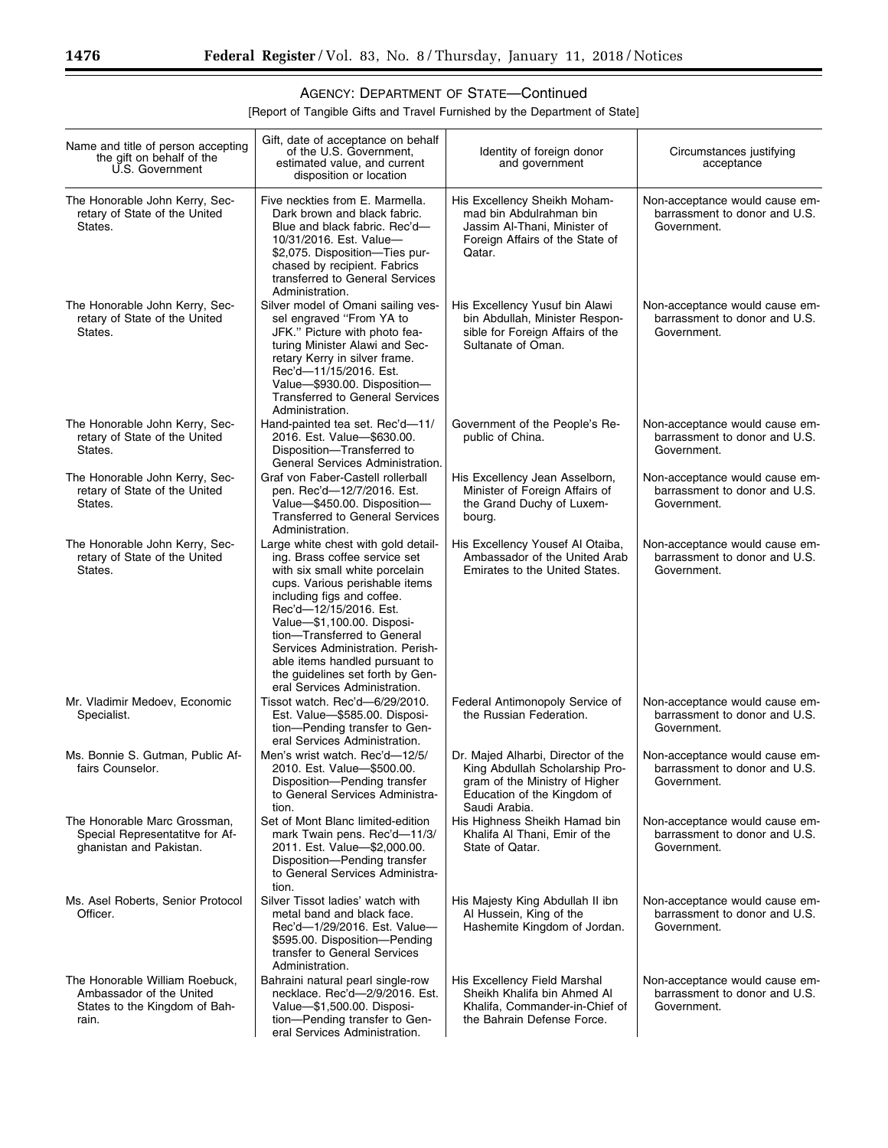[Report of Tangible Gifts and Travel Furnished by the Department of State]

| Name and title of person accepting<br>the gift on behalf of the<br>U.S. Government                   | Gift, date of acceptance on behalf<br>of the U.S. Government,<br>estimated value, and current<br>disposition or location                                                                                                                                                                                                                                                                                 | Identity of foreign donor<br>and government                                                                                                            | Circumstances justifying<br>acceptance                                         |
|------------------------------------------------------------------------------------------------------|----------------------------------------------------------------------------------------------------------------------------------------------------------------------------------------------------------------------------------------------------------------------------------------------------------------------------------------------------------------------------------------------------------|--------------------------------------------------------------------------------------------------------------------------------------------------------|--------------------------------------------------------------------------------|
| The Honorable John Kerry, Sec-<br>retary of State of the United<br>States.                           | Five neckties from E. Marmella.<br>Dark brown and black fabric.<br>Blue and black fabric. Rec'd-<br>10/31/2016. Est. Value-<br>\$2,075. Disposition-Ties pur-<br>chased by recipient. Fabrics<br>transferred to General Services<br>Administration.                                                                                                                                                      | His Excellency Sheikh Moham-<br>mad bin Abdulrahman bin<br>Jassim Al-Thani. Minister of<br>Foreign Affairs of the State of<br>Qatar.                   | Non-acceptance would cause em-<br>barrassment to donor and U.S.<br>Government. |
| The Honorable John Kerry, Sec-<br>retary of State of the United<br>States.                           | Silver model of Omani sailing ves-<br>sel engraved "From YA to<br>JFK." Picture with photo fea-<br>turing Minister Alawi and Sec-<br>retary Kerry in silver frame.<br>Rec'd-11/15/2016. Est.<br>Value-\$930.00. Disposition-<br><b>Transferred to General Services</b><br>Administration.                                                                                                                | His Excellency Yusuf bin Alawi<br>bin Abdullah, Minister Respon-<br>sible for Foreign Affairs of the<br>Sultanate of Oman.                             | Non-acceptance would cause em-<br>barrassment to donor and U.S.<br>Government. |
| The Honorable John Kerry, Sec-<br>retary of State of the United<br>States.                           | Hand-painted tea set. Rec'd-11/<br>2016. Est. Value-\$630.00.<br>Disposition-Transferred to<br>General Services Administration.                                                                                                                                                                                                                                                                          | Government of the People's Re-<br>public of China.                                                                                                     | Non-acceptance would cause em-<br>barrassment to donor and U.S.<br>Government. |
| The Honorable John Kerry, Sec-<br>retary of State of the United<br>States.                           | Graf von Faber-Castell rollerball<br>pen. Rec'd—12/7/2016. Est.<br>Value-\$450.00. Disposition-<br><b>Transferred to General Services</b><br>Administration.                                                                                                                                                                                                                                             | His Excellency Jean Asselborn,<br>Minister of Foreign Affairs of<br>the Grand Duchy of Luxem-<br>bourg.                                                | Non-acceptance would cause em-<br>barrassment to donor and U.S.<br>Government. |
| The Honorable John Kerry, Sec-<br>retary of State of the United<br>States.                           | Large white chest with gold detail-<br>ing. Brass coffee service set<br>with six small white porcelain<br>cups. Various perishable items<br>including figs and coffee.<br>Rec'd-12/15/2016. Est.<br>Value-\$1,100.00. Disposi-<br>tion-Transferred to General<br>Services Administration. Perish-<br>able items handled pursuant to<br>the guidelines set forth by Gen-<br>eral Services Administration. | His Excellency Yousef Al Otaiba,<br>Ambassador of the United Arab<br>Emirates to the United States.                                                    | Non-acceptance would cause em-<br>barrassment to donor and U.S.<br>Government. |
| Mr. Vladimir Medoev, Economic<br>Specialist.                                                         | Tissot watch. Rec'd-6/29/2010.<br>Est. Value-\$585.00. Disposi-<br>tion-Pending transfer to Gen-<br>eral Services Administration.                                                                                                                                                                                                                                                                        | Federal Antimonopoly Service of<br>the Russian Federation.                                                                                             | Non-acceptance would cause em-<br>barrassment to donor and U.S.<br>Government. |
| Ms. Bonnie S. Gutman, Public Af-<br>fairs Counselor.                                                 | Men's wrist watch. Rec'd-12/5/<br>2010. Est. Value-\$500.00.<br>Disposition-Pending transfer<br>to General Services Administra-<br>tion.                                                                                                                                                                                                                                                                 | Dr. Majed Alharbi, Director of the<br>King Abdullah Scholarship Pro-<br>gram of the Ministry of Higher<br>Education of the Kingdom of<br>Saudi Arabia. | Non-acceptance would cause em-<br>barrassment to donor and U.S.<br>Government. |
| The Honorable Marc Grossman,<br>Special Representatitve for Af-<br>ghanistan and Pakistan.           | Set of Mont Blanc limited-edition<br>mark Twain pens. Rec'd-11/3/<br>2011. Est. Value-\$2,000.00.<br>Disposition-Pending transfer<br>to General Services Administra-<br>tion.                                                                                                                                                                                                                            | His Highness Sheikh Hamad bin<br>Khalifa Al Thani, Emir of the<br>State of Qatar.                                                                      | Non-acceptance would cause em-<br>barrassment to donor and U.S.<br>Government. |
| Ms. Asel Roberts, Senior Protocol<br>Officer.                                                        | Silver Tissot ladies' watch with<br>metal band and black face.<br>Rec'd-1/29/2016. Est. Value-<br>\$595.00. Disposition-Pending<br>transfer to General Services<br>Administration.                                                                                                                                                                                                                       | His Majesty King Abdullah II ibn<br>Al Hussein, King of the<br>Hashemite Kingdom of Jordan.                                                            | Non-acceptance would cause em-<br>barrassment to donor and U.S.<br>Government. |
| The Honorable William Roebuck,<br>Ambassador of the United<br>States to the Kingdom of Bah-<br>rain. | Bahraini natural pearl single-row<br>necklace. Rec'd-2/9/2016. Est.<br>Value-\$1,500.00. Disposi-<br>tion-Pending transfer to Gen-<br>eral Services Administration.                                                                                                                                                                                                                                      | His Excellency Field Marshal<br>Sheikh Khalifa bin Ahmed Al<br>Khalifa, Commander-in-Chief of<br>the Bahrain Defense Force.                            | Non-acceptance would cause em-<br>barrassment to donor and U.S.<br>Government. |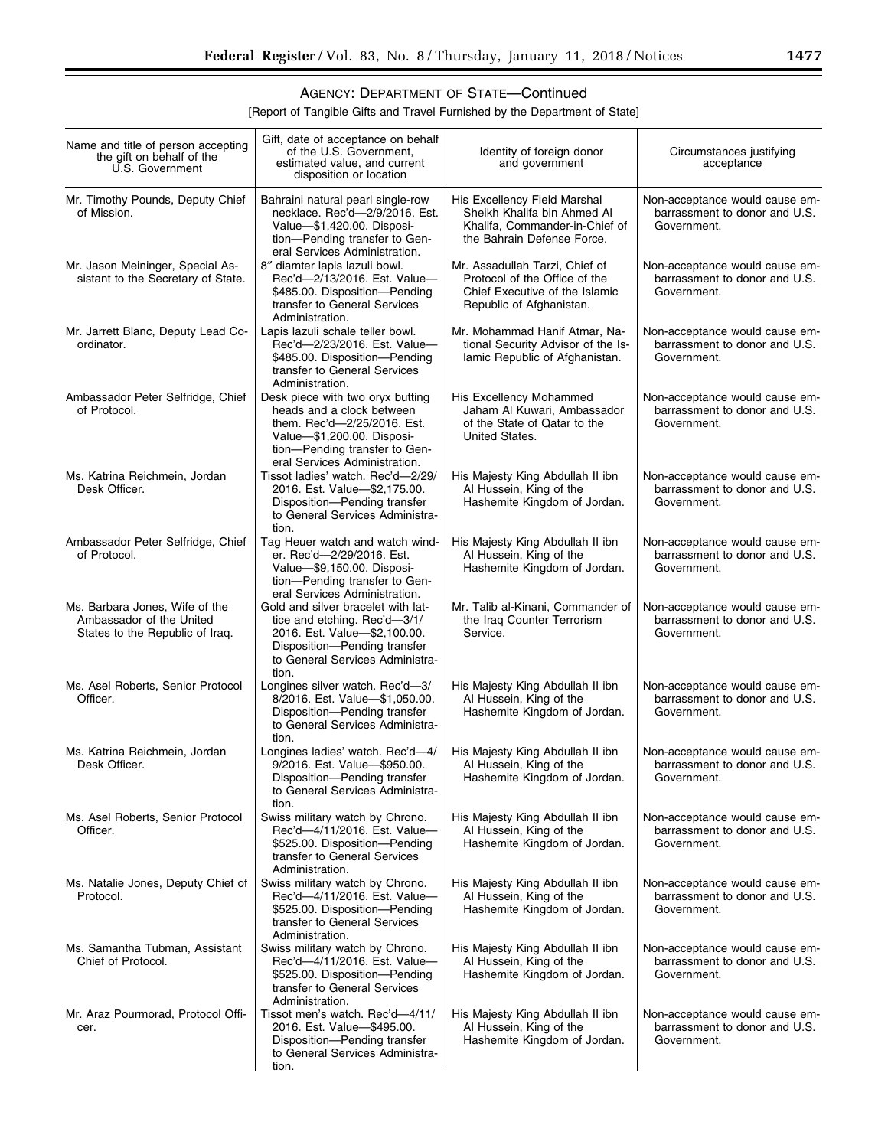[Report of Tangible Gifts and Travel Furnished by the Department of State]

| Name and title of person accepting<br>the gift on behalf of the<br>U.S. Government            | Gift, date of acceptance on behalf<br>of the U.S. Government,<br>estimated value, and current<br>disposition or location                                                                     | Identity of foreign donor<br>and government                                                                                   | Circumstances justifying<br>acceptance                                         |
|-----------------------------------------------------------------------------------------------|----------------------------------------------------------------------------------------------------------------------------------------------------------------------------------------------|-------------------------------------------------------------------------------------------------------------------------------|--------------------------------------------------------------------------------|
| Mr. Timothy Pounds, Deputy Chief<br>of Mission.                                               | Bahraini natural pearl single-row<br>necklace. Rec'd-2/9/2016. Est.<br>Value-\$1,420.00. Disposi-<br>tion-Pending transfer to Gen-<br>eral Services Administration.                          | His Excellency Field Marshal<br>Sheikh Khalifa bin Ahmed Al<br>Khalifa, Commander-in-Chief of<br>the Bahrain Defense Force.   | Non-acceptance would cause em-<br>barrassment to donor and U.S.<br>Government. |
| Mr. Jason Meininger, Special As-<br>sistant to the Secretary of State.                        | 8" diamter lapis lazuli bowl.<br>Rec'd-2/13/2016. Est. Value-<br>\$485.00. Disposition-Pending<br>transfer to General Services<br>Administration.                                            | Mr. Assadullah Tarzi, Chief of<br>Protocol of the Office of the<br>Chief Executive of the Islamic<br>Republic of Afghanistan. | Non-acceptance would cause em-<br>barrassment to donor and U.S.<br>Government. |
| Mr. Jarrett Blanc, Deputy Lead Co-<br>ordinator.                                              | Lapis lazuli schale teller bowl.<br>Rec'd-2/23/2016. Est. Value-<br>\$485.00. Disposition-Pending<br>transfer to General Services<br>Administration.                                         | Mr. Mohammad Hanif Atmar, Na-<br>tional Security Advisor of the Is-<br>lamic Republic of Afghanistan.                         | Non-acceptance would cause em-<br>barrassment to donor and U.S.<br>Government. |
| Ambassador Peter Selfridge, Chief<br>of Protocol.                                             | Desk piece with two oryx butting<br>heads and a clock between<br>them. Rec'd-2/25/2016. Est.<br>Value-\$1,200.00. Disposi-<br>tion-Pending transfer to Gen-<br>eral Services Administration. | His Excellency Mohammed<br>Jaham Al Kuwari, Ambassador<br>of the State of Qatar to the<br>United States.                      | Non-acceptance would cause em-<br>barrassment to donor and U.S.<br>Government. |
| Ms. Katrina Reichmein, Jordan<br>Desk Officer.                                                | Tissot ladies' watch. Rec'd-2/29/<br>2016. Est. Value-\$2,175.00.<br>Disposition-Pending transfer<br>to General Services Administra-<br>tion.                                                | His Majesty King Abdullah II ibn<br>Al Hussein, King of the<br>Hashemite Kingdom of Jordan.                                   | Non-acceptance would cause em-<br>barrassment to donor and U.S.<br>Government. |
| Ambassador Peter Selfridge, Chief<br>of Protocol.                                             | Tag Heuer watch and watch wind-<br>er. Rec'd-2/29/2016. Est.<br>Value-\$9,150.00. Disposi-<br>tion-Pending transfer to Gen-<br>eral Services Administration.                                 | His Majesty King Abdullah II ibn<br>Al Hussein, King of the<br>Hashemite Kingdom of Jordan.                                   | Non-acceptance would cause em-<br>barrassment to donor and U.S.<br>Government. |
| Ms. Barbara Jones, Wife of the<br>Ambassador of the United<br>States to the Republic of Iraq. | Gold and silver bracelet with lat-<br>tice and etching. Rec'd-3/1/<br>2016. Est. Value-\$2,100.00.<br>Disposition-Pending transfer<br>to General Services Administra-<br>tion.               | Mr. Talib al-Kinani, Commander of<br>the Iraq Counter Terrorism<br>Service.                                                   | Non-acceptance would cause em-<br>barrassment to donor and U.S.<br>Government. |
| Ms. Asel Roberts, Senior Protocol<br>Officer.                                                 | Longines silver watch. Rec'd-3/<br>8/2016. Est. Value-\$1,050.00.<br>Disposition-Pending transfer<br>to General Services Administra-<br>tion.                                                | His Majesty King Abdullah II ibn<br>Al Hussein, King of the<br>Hashemite Kingdom of Jordan.                                   | Non-acceptance would cause em-<br>barrassment to donor and U.S.<br>Government. |
| Ms. Katrina Reichmein, Jordan<br>Desk Officer.                                                | Longines ladies' watch. Rec'd-4/<br>9/2016. Est. Value-\$950.00.<br>Disposition-Pending transfer<br>to General Services Administra-<br>tion.                                                 | His Majesty King Abdullah II ibn<br>Al Hussein, King of the<br>Hashemite Kingdom of Jordan.                                   | Non-acceptance would cause em-<br>barrassment to donor and U.S.<br>Government. |
| Ms. Asel Roberts, Senior Protocol<br>Officer.                                                 | Swiss military watch by Chrono.<br>Rec'd-4/11/2016. Est. Value-<br>\$525.00. Disposition-Pending<br>transfer to General Services<br>Administration.                                          | His Majesty King Abdullah II ibn<br>Al Hussein, King of the<br>Hashemite Kingdom of Jordan.                                   | Non-acceptance would cause em-<br>barrassment to donor and U.S.<br>Government. |
| Ms. Natalie Jones, Deputy Chief of<br>Protocol.                                               | Swiss military watch by Chrono.<br>Rec'd-4/11/2016. Est. Value-<br>\$525.00. Disposition-Pending<br>transfer to General Services<br>Administration.                                          | His Majesty King Abdullah II ibn<br>Al Hussein, King of the<br>Hashemite Kingdom of Jordan.                                   | Non-acceptance would cause em-<br>barrassment to donor and U.S.<br>Government. |
| Ms. Samantha Tubman, Assistant<br>Chief of Protocol.                                          | Swiss military watch by Chrono.<br>Rec'd-4/11/2016. Est. Value-<br>\$525.00. Disposition-Pending<br>transfer to General Services<br>Administration.                                          | His Majesty King Abdullah II ibn<br>Al Hussein, King of the<br>Hashemite Kingdom of Jordan.                                   | Non-acceptance would cause em-<br>barrassment to donor and U.S.<br>Government. |
| Mr. Araz Pourmorad, Protocol Offi-<br>cer.                                                    | Tissot men's watch. Rec'd-4/11/<br>2016. Est. Value-\$495.00.<br>Disposition-Pending transfer<br>to General Services Administra-<br>tion.                                                    | His Majesty King Abdullah II ibn<br>Al Hussein, King of the<br>Hashemite Kingdom of Jordan.                                   | Non-acceptance would cause em-<br>barrassment to donor and U.S.<br>Government. |

▀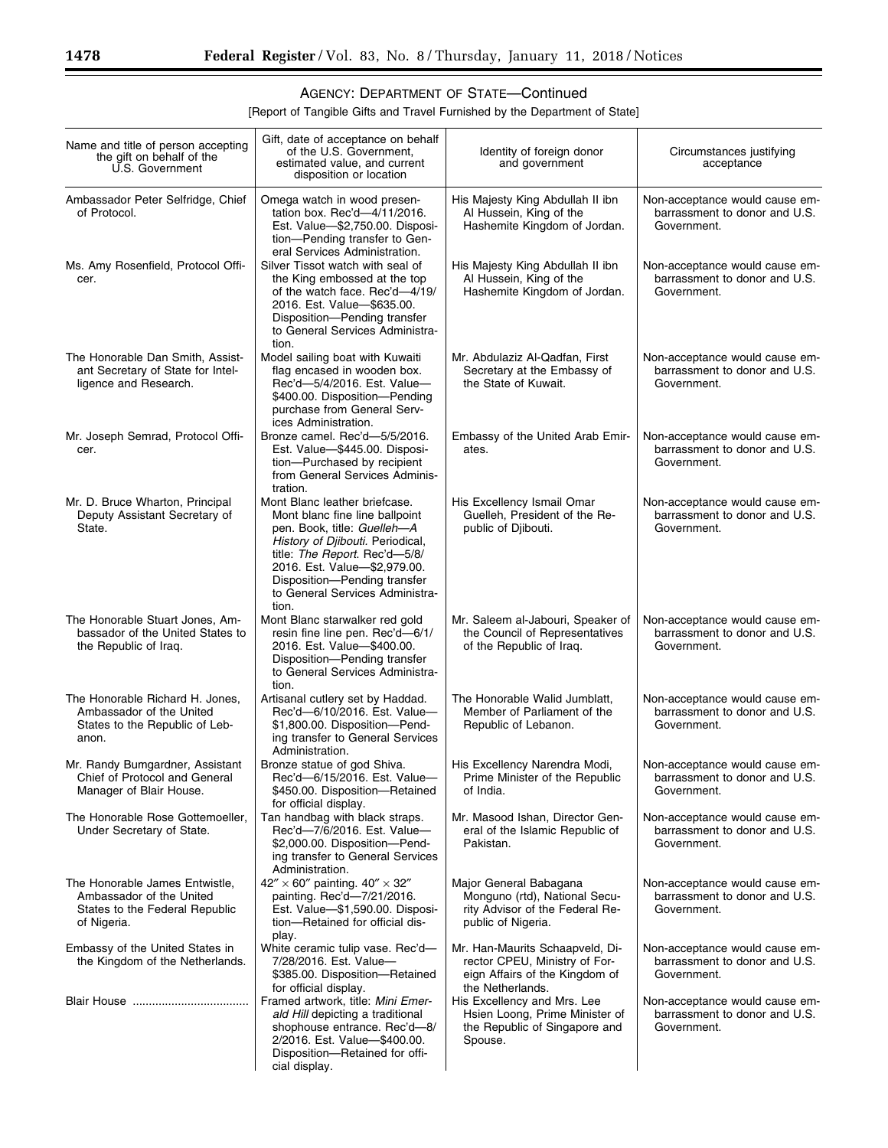[Report of Tangible Gifts and Travel Furnished by the Department of State]

| Name and title of person accepting<br>the gift on behalf of the<br>U.S. Government                          | Gift, date of acceptance on behalf<br>of the U.S. Government.<br>estimated value, and current<br>disposition or location                                                                                                                                                               | Identity of foreign donor<br>and government                                                                            | Circumstances justifying<br>acceptance                                         |
|-------------------------------------------------------------------------------------------------------------|----------------------------------------------------------------------------------------------------------------------------------------------------------------------------------------------------------------------------------------------------------------------------------------|------------------------------------------------------------------------------------------------------------------------|--------------------------------------------------------------------------------|
| Ambassador Peter Selfridge, Chief<br>of Protocol.                                                           | Omega watch in wood presen-<br>tation box. Rec'd-4/11/2016.<br>Est. Value-\$2,750.00. Disposi-<br>tion-Pending transfer to Gen-<br>eral Services Administration.                                                                                                                       | His Majesty King Abdullah II ibn<br>Al Hussein, King of the<br>Hashemite Kingdom of Jordan.                            | Non-acceptance would cause em-<br>barrassment to donor and U.S.<br>Government. |
| Ms. Amy Rosenfield, Protocol Offi-<br>cer.                                                                  | Silver Tissot watch with seal of<br>the King embossed at the top<br>of the watch face. Rec'd-4/19/<br>2016. Est. Value-\$635.00.<br>Disposition-Pending transfer<br>to General Services Administra-<br>tion.                                                                           | His Majesty King Abdullah II ibn<br>Al Hussein, King of the<br>Hashemite Kingdom of Jordan.                            | Non-acceptance would cause em-<br>barrassment to donor and U.S.<br>Government. |
| The Honorable Dan Smith, Assist-<br>ant Secretary of State for Intel-<br>ligence and Research.              | Model sailing boat with Kuwaiti<br>flag encased in wooden box.<br>Rec'd-5/4/2016. Est. Value-<br>\$400.00. Disposition-Pending<br>purchase from General Serv-<br>ices Administration.                                                                                                  | Mr. Abdulaziz Al-Qadfan, First<br>Secretary at the Embassy of<br>the State of Kuwait.                                  | Non-acceptance would cause em-<br>barrassment to donor and U.S.<br>Government. |
| Mr. Joseph Semrad, Protocol Offi-<br>cer.                                                                   | Bronze camel. Rec'd-5/5/2016.<br>Est. Value-\$445.00. Disposi-<br>tion-Purchased by recipient<br>from General Services Adminis-<br>tration.                                                                                                                                            | Embassy of the United Arab Emir-<br>ates.                                                                              | Non-acceptance would cause em-<br>barrassment to donor and U.S.<br>Government. |
| Mr. D. Bruce Wharton, Principal<br>Deputy Assistant Secretary of<br>State.                                  | Mont Blanc leather briefcase.<br>Mont blanc fine line ballpoint<br>pen. Book, title: <i>Guelleh—A</i><br>History of Djibouti. Periodical,<br>title: The Report. Rec'd-5/8/<br>2016. Est. Value-\$2,979.00.<br>Disposition-Pending transfer<br>to General Services Administra-<br>tion. | His Excellency Ismail Omar<br>Guelleh, President of the Re-<br>public of Djibouti.                                     | Non-acceptance would cause em-<br>barrassment to donor and U.S.<br>Government. |
| The Honorable Stuart Jones, Am-<br>bassador of the United States to<br>the Republic of Iraq.                | Mont Blanc starwalker red gold<br>resin fine line pen. Rec'd-6/1/<br>2016. Est. Value-\$400.00.<br>Disposition-Pending transfer<br>to General Services Administra-<br>tion.                                                                                                            | Mr. Saleem al-Jabouri, Speaker of<br>the Council of Representatives<br>of the Republic of Iraq.                        | Non-acceptance would cause em-<br>barrassment to donor and U.S.<br>Government. |
| The Honorable Richard H. Jones,<br>Ambassador of the United<br>States to the Republic of Leb-<br>anon.      | Artisanal cutlery set by Haddad.<br>Rec'd-6/10/2016. Est. Value-<br>\$1,800.00. Disposition-Pend-<br>ing transfer to General Services<br>Administration.                                                                                                                               | The Honorable Walid Jumblatt,<br>Member of Parliament of the<br>Republic of Lebanon.                                   | Non-acceptance would cause em-<br>barrassment to donor and U.S.<br>Government. |
| Mr. Randy Bumgardner, Assistant<br>Chief of Protocol and General<br>Manager of Blair House.                 | Bronze statue of god Shiva.<br>Rec'd-6/15/2016. Est. Value-<br>\$450.00. Disposition-Retained<br>for official display.                                                                                                                                                                 | His Excellency Narendra Modi,<br>Prime Minister of the Republic<br>of India.                                           | Non-acceptance would cause em-<br>barrassment to donor and U.S.<br>Government. |
| The Honorable Rose Gottemoeller,<br>Under Secretary of State.                                               | Tan handbag with black straps.<br>Rec'd-7/6/2016. Est. Value-<br>\$2,000.00. Disposition-Pend-<br>ing transfer to General Services<br>Administration.                                                                                                                                  | Mr. Masood Ishan, Director Gen-<br>eral of the Islamic Republic of<br>Pakistan.                                        | Non-acceptance would cause em-<br>barrassment to donor and U.S.<br>Government. |
| The Honorable James Entwistle,<br>Ambassador of the United<br>States to the Federal Republic<br>of Nigeria. | $42'' \times 60''$ painting. $40'' \times 32''$<br>painting. Rec'd-7/21/2016.<br>Est. Value-\$1,590.00. Disposi-<br>tion-Retained for official dis-<br>play.                                                                                                                           | Major General Babagana<br>Monguno (rtd), National Secu-<br>rity Advisor of the Federal Re-<br>public of Nigeria.       | Non-acceptance would cause em-<br>barrassment to donor and U.S.<br>Government. |
| Embassy of the United States in<br>the Kingdom of the Netherlands.                                          | White ceramic tulip vase. Rec'd-<br>7/28/2016. Est. Value-<br>\$385.00. Disposition-Retained<br>for official display.                                                                                                                                                                  | Mr. Han-Maurits Schaapveld, Di-<br>rector CPEU, Ministry of For-<br>eign Affairs of the Kingdom of<br>the Netherlands. | Non-acceptance would cause em-<br>barrassment to donor and U.S.<br>Government. |
|                                                                                                             | Framed artwork, title: Mini Emer-<br>ald Hill depicting a traditional<br>shophouse entrance. Rec'd-8/<br>2/2016. Est. Value-\$400.00.<br>Disposition-Retained for offi-<br>cial display.                                                                                               | His Excellency and Mrs. Lee<br>Hsien Loong, Prime Minister of<br>the Republic of Singapore and<br>Spouse.              | Non-acceptance would cause em-<br>barrassment to donor and U.S.<br>Government. |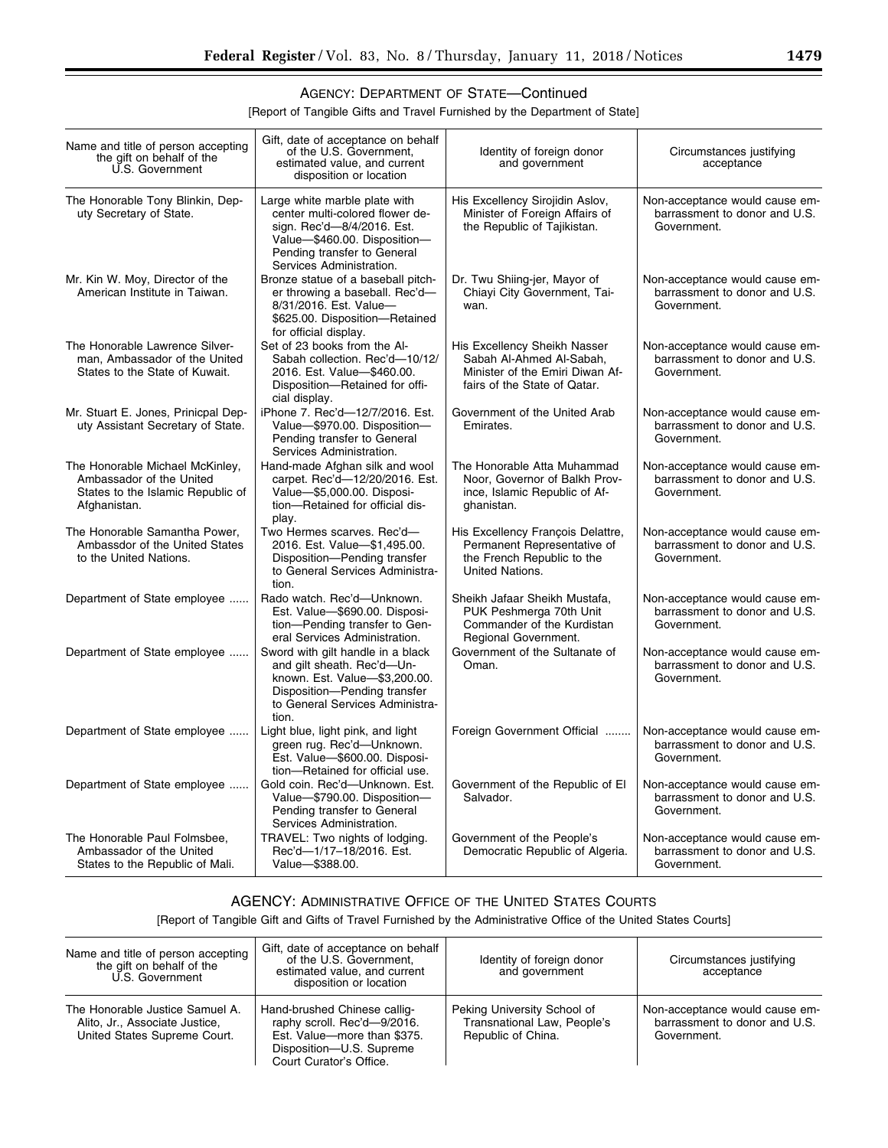[Report of Tangible Gifts and Travel Furnished by the Department of State]

| Name and title of person accepting<br>the gift on behalf of the<br>U.S. Government                               | Gift, date of acceptance on behalf<br>of the U.S. Government,<br>estimated value, and current<br>disposition or location                                                                  | Identity of foreign donor<br>and government                                                                                 | Circumstances justifying<br>acceptance                                         |
|------------------------------------------------------------------------------------------------------------------|-------------------------------------------------------------------------------------------------------------------------------------------------------------------------------------------|-----------------------------------------------------------------------------------------------------------------------------|--------------------------------------------------------------------------------|
| The Honorable Tony Blinkin, Dep-<br>uty Secretary of State.                                                      | Large white marble plate with<br>center multi-colored flower de-<br>sign. Rec'd-8/4/2016. Est.<br>Value-\$460.00. Disposition-<br>Pending transfer to General<br>Services Administration. | His Excellency Sirojidin Aslov,<br>Minister of Foreign Affairs of<br>the Republic of Tajikistan.                            | Non-acceptance would cause em-<br>barrassment to donor and U.S.<br>Government. |
| Mr. Kin W. Moy, Director of the<br>American Institute in Taiwan.                                                 | Bronze statue of a baseball pitch-<br>er throwing a baseball. Rec'd-<br>8/31/2016. Est. Value-<br>\$625.00. Disposition-Retained<br>for official display.                                 | Dr. Twu Shiing-jer, Mayor of<br>Chiavi City Government, Tai-<br>wan.                                                        | Non-acceptance would cause em-<br>barrassment to donor and U.S.<br>Government. |
| The Honorable Lawrence Silver-<br>man, Ambassador of the United<br>States to the State of Kuwait.                | Set of 23 books from the Al-<br>Sabah collection. Rec'd-10/12/<br>2016. Est. Value-\$460.00.<br>Disposition-Retained for offi-<br>cial display.                                           | His Excellency Sheikh Nasser<br>Sabah Al-Ahmed Al-Sabah,<br>Minister of the Emiri Diwan Af-<br>fairs of the State of Qatar. | Non-acceptance would cause em-<br>barrassment to donor and U.S.<br>Government. |
| Mr. Stuart E. Jones, Prinicpal Dep-<br>uty Assistant Secretary of State.                                         | iPhone 7. Rec'd-12/7/2016. Est.<br>Value-\$970.00. Disposition-<br>Pending transfer to General<br>Services Administration.                                                                | Government of the United Arab<br>Emirates.                                                                                  | Non-acceptance would cause em-<br>barrassment to donor and U.S.<br>Government. |
| The Honorable Michael McKinley,<br>Ambassador of the United<br>States to the Islamic Republic of<br>Afghanistan. | Hand-made Afghan silk and wool<br>carpet. Rec'd-12/20/2016. Est.<br>Value-\$5,000.00. Disposi-<br>tion-Retained for official dis-<br>play.                                                | The Honorable Atta Muhammad<br>Noor, Governor of Balkh Prov-<br>ince, Islamic Republic of Af-<br>ghanistan.                 | Non-acceptance would cause em-<br>barrassment to donor and U.S.<br>Government. |
| The Honorable Samantha Power,<br>Ambassdor of the United States<br>to the United Nations.                        | Two Hermes scarves. Rec'd-<br>2016. Est. Value-\$1,495.00.<br>Disposition-Pending transfer<br>to General Services Administra-<br>tion.                                                    | His Excellency François Delattre,<br>Permanent Representative of<br>the French Republic to the<br>United Nations.           | Non-acceptance would cause em-<br>barrassment to donor and U.S.<br>Government. |
| Department of State employee                                                                                     | Rado watch. Rec'd-Unknown.<br>Est. Value-\$690.00. Disposi-<br>tion-Pending transfer to Gen-<br>eral Services Administration.                                                             | Sheikh Jafaar Sheikh Mustafa,<br>PUK Peshmerga 70th Unit<br>Commander of the Kurdistan<br>Regional Government.              | Non-acceptance would cause em-<br>barrassment to donor and U.S.<br>Government. |
| Department of State employee                                                                                     | Sword with gilt handle in a black<br>and gilt sheath. Rec'd-Un-<br>known. Est. Value-\$3,200.00.<br>Disposition-Pending transfer<br>to General Services Administra-<br>tion.              | Government of the Sultanate of<br>Oman.                                                                                     | Non-acceptance would cause em-<br>barrassment to donor and U.S.<br>Government. |
| Department of State employee                                                                                     | Light blue, light pink, and light<br>green rug. Rec'd-Unknown.<br>Est. Value-\$600.00. Disposi-<br>tion-Retained for official use.                                                        | Foreign Government Official                                                                                                 | Non-acceptance would cause em-<br>barrassment to donor and U.S.<br>Government. |
| Department of State employee                                                                                     | Gold coin. Rec'd-Unknown. Est.<br>Value-\$790.00. Disposition-<br>Pending transfer to General<br>Services Administration.                                                                 | Government of the Republic of El<br>Salvador.                                                                               | Non-acceptance would cause em-<br>barrassment to donor and U.S.<br>Government. |
| The Honorable Paul Folmsbee,<br>Ambassador of the United<br>States to the Republic of Mali.                      | TRAVEL: Two nights of lodging.<br>Rec'd-1/17-18/2016. Est.<br>Value-\$388.00.                                                                                                             | Government of the People's<br>Democratic Republic of Algeria.                                                               | Non-acceptance would cause em-<br>barrassment to donor and U.S.<br>Government. |

## AGENCY: ADMINISTRATIVE OFFICE OF THE UNITED STATES COURTS

[Report of Tangible Gift and Gifts of Travel Furnished by the Administrative Office of the United States Courts]

| Name and title of person accepting<br>the gift on behalf of the<br>U.S. Government                | Gift, date of acceptance on behalf<br>of the U.S. Government,<br>estimated value, and current<br>disposition or location                          | Identity of foreign donor<br>and government                                      | Circumstances justifying<br>acceptance                                         |
|---------------------------------------------------------------------------------------------------|---------------------------------------------------------------------------------------------------------------------------------------------------|----------------------------------------------------------------------------------|--------------------------------------------------------------------------------|
| The Honorable Justice Samuel A.<br>Alito, Jr., Associate Justice,<br>United States Supreme Court. | Hand-brushed Chinese callig-<br>raphy scroll. Rec'd-9/2016.<br>Est. Value-more than \$375.<br>Disposition-U.S. Supreme<br>Court Curator's Office. | Peking University School of<br>Transnational Law, People's<br>Republic of China. | Non-acceptance would cause em-<br>barrassment to donor and U.S.<br>Government. |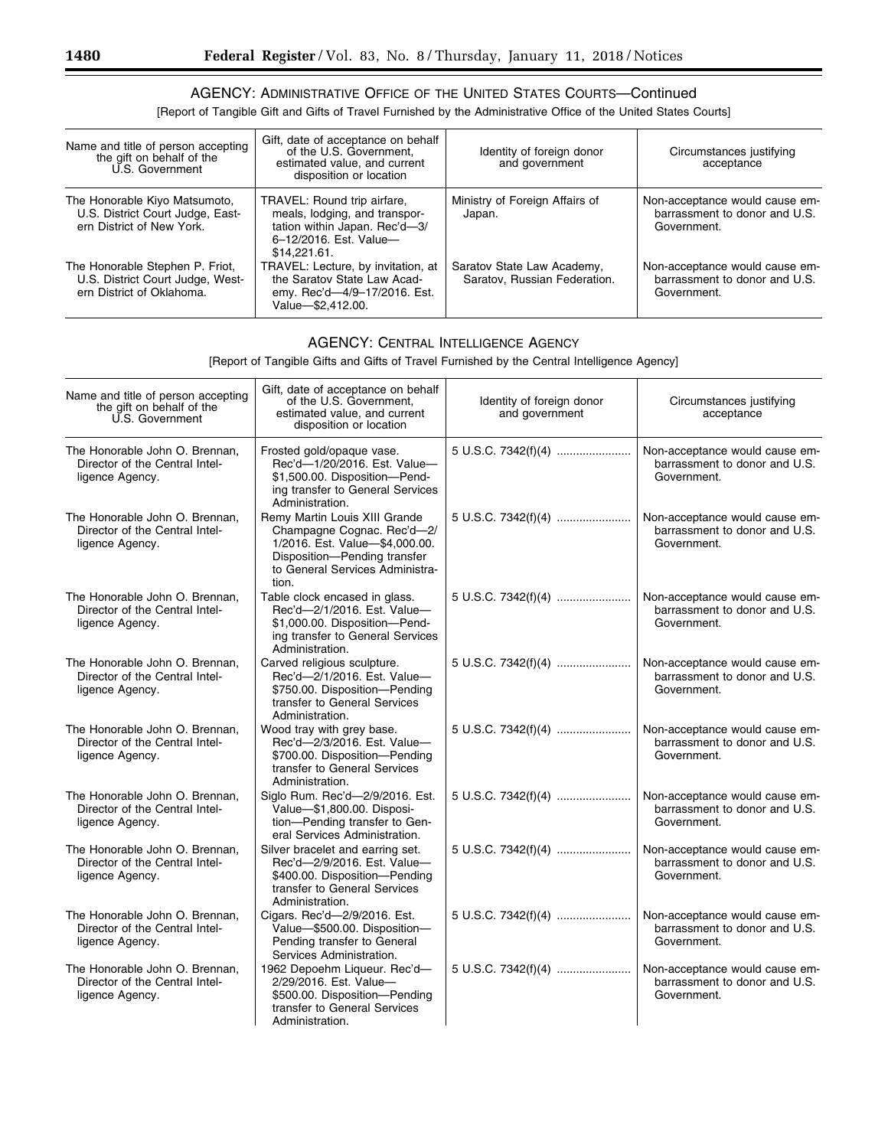### AGENCY: ADMINISTRATIVE OFFICE OF THE UNITED STATES COURTS—Continued

[Report of Tangible Gift and Gifts of Travel Furnished by the Administrative Office of the United States Courts]

| Name and title of person accepting<br>the gift on behalf of the<br>U.S. Government               | Gift, date of acceptance on behalf<br>of the U.S. Government,<br>estimated value, and current<br>disposition or location                | Identity of foreign donor<br>and government                | Circumstances justifying<br>acceptance                                         |
|--------------------------------------------------------------------------------------------------|-----------------------------------------------------------------------------------------------------------------------------------------|------------------------------------------------------------|--------------------------------------------------------------------------------|
| The Honorable Kiyo Matsumoto,<br>U.S. District Court Judge, East-<br>ern District of New York.   | TRAVEL: Round trip airfare,<br>meals, lodging, and transpor-<br>tation within Japan. Rec'd-3/<br>6-12/2016. Est. Value-<br>\$14.221.61. | Ministry of Foreign Affairs of<br>Japan.                   | Non-acceptance would cause em-<br>barrassment to donor and U.S.<br>Government. |
| The Honorable Stephen P. Friot,<br>U.S. District Court Judge, West-<br>ern District of Oklahoma. | TRAVEL: Lecture, by invitation, at<br>the Saratov State Law Acad-<br>emy. Rec'd-4/9-17/2016. Est.<br>Value-\$2,412.00.                  | Saratov State Law Academy,<br>Saratov, Russian Federation. | Non-acceptance would cause em-<br>barrassment to donor and U.S.<br>Government. |

#### AGENCY: CENTRAL INTELLIGENCE AGENCY

[Report of Tangible Gifts and Gifts of Travel Furnished by the Central Intelligence Agency]

| Name and title of person accepting<br>the gift on behalf of the<br>U.S. Government  | Gift, date of acceptance on behalf<br>of the U.S. Government,<br>estimated value, and current<br>disposition or location                                                  | Identity of foreign donor<br>and government | Circumstances justifying<br>acceptance                                         |
|-------------------------------------------------------------------------------------|---------------------------------------------------------------------------------------------------------------------------------------------------------------------------|---------------------------------------------|--------------------------------------------------------------------------------|
| The Honorable John O. Brennan,<br>Director of the Central Intel-<br>ligence Agency. | Frosted gold/opaque vase.<br>Rec'd-1/20/2016. Est. Value-<br>\$1,500.00. Disposition-Pend-<br>ing transfer to General Services<br>Administration.                         | 5 U.S.C. 7342(f)(4)                         | Non-acceptance would cause em-<br>barrassment to donor and U.S.<br>Government. |
| The Honorable John O. Brennan,<br>Director of the Central Intel-<br>ligence Agency. | Remy Martin Louis XIII Grande<br>Champagne Cognac. Rec'd-2/<br>1/2016. Est. Value-\$4,000.00.<br>Disposition-Pending transfer<br>to General Services Administra-<br>tion. | 5 U.S.C. 7342(f)(4)                         | Non-acceptance would cause em-<br>barrassment to donor and U.S.<br>Government. |
| The Honorable John O. Brennan,<br>Director of the Central Intel-<br>ligence Agency. | Table clock encased in glass.<br>Rec'd-2/1/2016. Est. Value-<br>\$1,000.00. Disposition-Pend-<br>ing transfer to General Services<br>Administration.                      | 5 U.S.C. 7342(f)(4)                         | Non-acceptance would cause em-<br>barrassment to donor and U.S.<br>Government. |
| The Honorable John O. Brennan.<br>Director of the Central Intel-<br>ligence Agency. | Carved religious sculpture.<br>Rec'd-2/1/2016. Est. Value-<br>\$750.00. Disposition-Pending<br>transfer to General Services<br>Administration.                            | 5 U.S.C. 7342(f)(4)                         | Non-acceptance would cause em-<br>barrassment to donor and U.S.<br>Government. |
| The Honorable John O. Brennan,<br>Director of the Central Intel-<br>ligence Agency. | Wood tray with grey base.<br>Rec'd-2/3/2016. Est. Value-<br>\$700.00. Disposition-Pending<br>transfer to General Services<br>Administration.                              | 5 U.S.C. 7342(f)(4)                         | Non-acceptance would cause em-<br>barrassment to donor and U.S.<br>Government. |
| The Honorable John O. Brennan,<br>Director of the Central Intel-<br>ligence Agency. | Siglo Rum. Rec'd-2/9/2016. Est.<br>Value-\$1,800.00. Disposi-<br>tion-Pending transfer to Gen-<br>eral Services Administration.                                           | 5 U.S.C. 7342(f)(4)                         | Non-acceptance would cause em-<br>barrassment to donor and U.S.<br>Government. |
| The Honorable John O. Brennan,<br>Director of the Central Intel-<br>ligence Agency. | Silver bracelet and earring set.<br>Rec'd-2/9/2016. Est. Value-<br>\$400.00. Disposition-Pending<br>transfer to General Services<br>Administration.                       | 5 U.S.C. 7342(f)(4)                         | Non-acceptance would cause em-<br>barrassment to donor and U.S.<br>Government. |
| The Honorable John O. Brennan,<br>Director of the Central Intel-<br>ligence Agency. | Cigars. Rec'd-2/9/2016. Est.<br>Value-\$500.00. Disposition-<br>Pending transfer to General<br>Services Administration.                                                   | 5 U.S.C. 7342(f)(4)                         | Non-acceptance would cause em-<br>barrassment to donor and U.S.<br>Government. |
| The Honorable John O. Brennan,<br>Director of the Central Intel-<br>ligence Agency. | 1962 Depoehm Liqueur. Rec'd-<br>2/29/2016. Est. Value-<br>\$500.00. Disposition-Pending<br>transfer to General Services<br>Administration.                                | 5 U.S.C. 7342(f)(4)                         | Non-acceptance would cause em-<br>barrassment to donor and U.S.<br>Government. |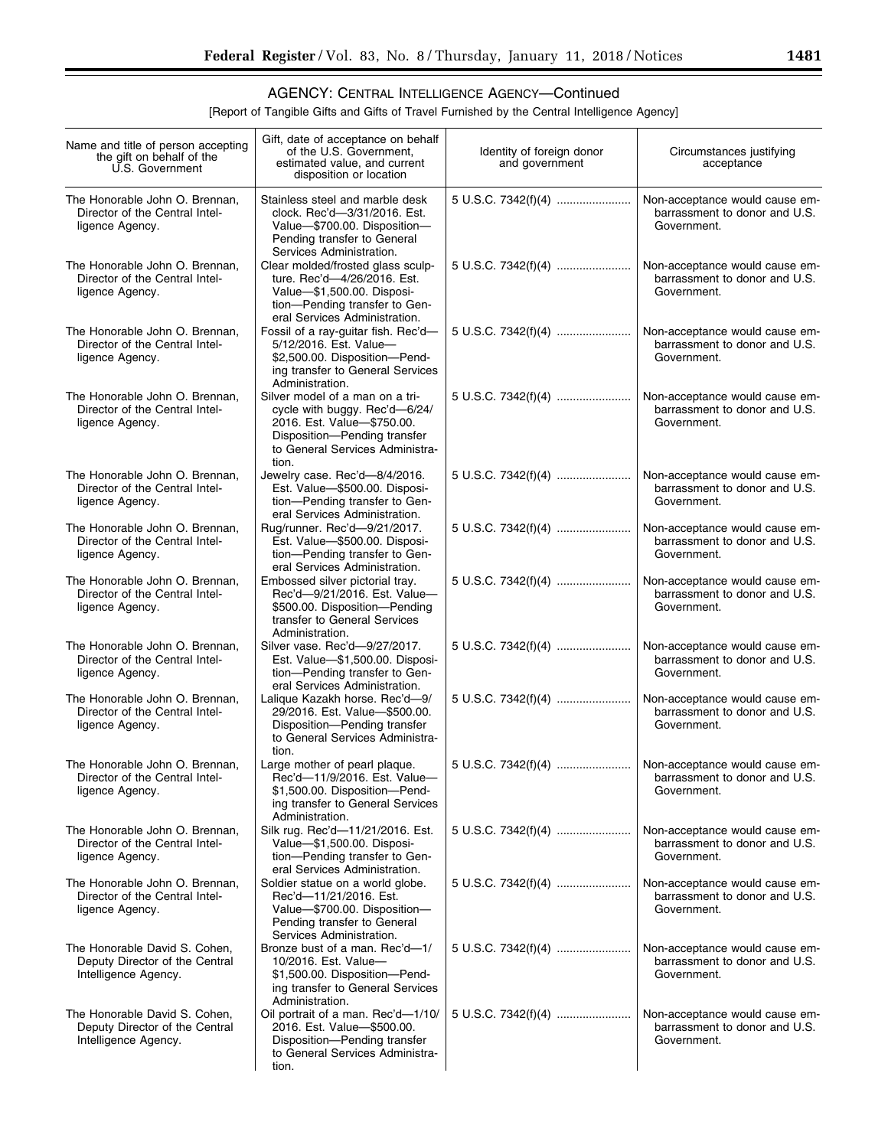۰

### AGENCY: CENTRAL INTELLIGENCE AGENCY—Continued

[Report of Tangible Gifts and Gifts of Travel Furnished by the Central Intelligence Agency]

| Name and title of person accepting<br>the gift on behalf of the<br>U.S. Government      | Gift, date of acceptance on behalf<br>of the U.S. Government,<br>estimated value, and current<br>disposition or location                                                                     | Identity of foreign donor<br>and government          | Circumstances justifying<br>acceptance                                         |
|-----------------------------------------------------------------------------------------|----------------------------------------------------------------------------------------------------------------------------------------------------------------------------------------------|------------------------------------------------------|--------------------------------------------------------------------------------|
| The Honorable John O. Brennan,<br>Director of the Central Intel-<br>ligence Agency.     | Stainless steel and marble desk<br>clock. Rec'd-3/31/2016. Est.<br>Value-\$700.00. Disposition-<br>Pending transfer to General                                                               | 5 U.S.C. 7342(f)(4)                                  | Non-acceptance would cause em-<br>barrassment to donor and U.S.<br>Government. |
| The Honorable John O. Brennan,<br>Director of the Central Intel-<br>ligence Agency.     | Services Administration.<br>Clear molded/frosted glass sculp-<br>ture. Rec'd-4/26/2016. Est.<br>Value-\$1,500.00. Disposi-<br>tion-Pending transfer to Gen-<br>eral Services Administration. | 5 U.S.C. 7342(f)(4)                                  | Non-acceptance would cause em-<br>barrassment to donor and U.S.<br>Government. |
| The Honorable John O. Brennan,<br>Director of the Central Intel-<br>ligence Agency.     | Fossil of a ray-guitar fish. Rec'd-<br>5/12/2016. Est. Value-<br>\$2,500.00. Disposition-Pend-<br>ing transfer to General Services<br>Administration.                                        | 5 U.S.C. 7342(f)(4)                                  | Non-acceptance would cause em-<br>barrassment to donor and U.S.<br>Government. |
| The Honorable John O. Brennan,<br>Director of the Central Intel-<br>ligence Agency.     | Silver model of a man on a tri-<br>cycle with buggy. Rec'd-6/24/<br>2016. Est. Value-\$750.00.<br>Disposition-Pending transfer<br>to General Services Administra-<br>tion.                   | 5 U.S.C. 7342(f)(4)                                  | Non-acceptance would cause em-<br>barrassment to donor and U.S.<br>Government. |
| The Honorable John O. Brennan,<br>Director of the Central Intel-<br>ligence Agency.     | Jewelry case. Rec'd-8/4/2016.<br>Est. Value-\$500.00. Disposi-<br>tion-Pending transfer to Gen-<br>eral Services Administration.                                                             | 5 U.S.C. 7342(f)(4)                                  | Non-acceptance would cause em-<br>barrassment to donor and U.S.<br>Government. |
| The Honorable John O. Brennan,<br>Director of the Central Intel-<br>ligence Agency.     | Rug/runner. Rec'd-9/21/2017.<br>Est. Value-\$500.00. Disposi-<br>tion-Pending transfer to Gen-<br>eral Services Administration.                                                              | 5 U.S.C. 7342(f)(4)                                  | Non-acceptance would cause em-<br>barrassment to donor and U.S.<br>Government. |
| The Honorable John O. Brennan,<br>Director of the Central Intel-<br>ligence Agency.     | Embossed silver pictorial tray.<br>Rec'd-9/21/2016. Est. Value-<br>\$500.00. Disposition-Pending<br>transfer to General Services<br>Administration.                                          |                                                      | Non-acceptance would cause em-<br>barrassment to donor and U.S.<br>Government. |
| The Honorable John O. Brennan,<br>Director of the Central Intel-<br>ligence Agency.     | Silver vase. Rec'd-9/27/2017.<br>Est. Value-\$1,500.00. Disposi-<br>tion-Pending transfer to Gen-<br>eral Services Administration.                                                           | 5 U.S.C. 7342(f)(4)                                  | Non-acceptance would cause em-<br>barrassment to donor and U.S.<br>Government. |
| The Honorable John O. Brennan,<br>Director of the Central Intel-<br>ligence Agency.     | Lalique Kazakh horse. Rec'd-9/<br>29/2016. Est. Value-\$500.00.<br>Disposition-Pending transfer<br>to General Services Administra-<br>tion.                                                  | 5 U.S.C. 7342(f)(4)                                  | Non-acceptance would cause em-<br>barrassment to donor and U.S.<br>Government. |
| The Honorable John O. Brennan,<br>Director of the Central Intel-<br>ligence Agency.     | Large mother of pearl plaque.<br>Rec'd-11/9/2016. Est. Value-<br>\$1,500.00. Disposition-Pend-<br>ing transfer to General Services<br>Administration.                                        | 5 U.S.C. 7342(f)(4)   Non-acceptance would cause em- | barrassment to donor and U.S.<br>Government.                                   |
| The Honorable John O. Brennan,<br>Director of the Central Intel-<br>ligence Agency.     | Silk rug. Rec'd-11/21/2016. Est.<br>Value-\$1,500.00. Disposi-<br>tion-Pending transfer to Gen-<br>eral Services Administration.                                                             |                                                      | Non-acceptance would cause em-<br>barrassment to donor and U.S.<br>Government. |
| The Honorable John O. Brennan,<br>Director of the Central Intel-<br>ligence Agency.     | Soldier statue on a world globe.<br>Rec'd-11/21/2016. Est.<br>Value-\$700.00. Disposition-<br>Pending transfer to General<br>Services Administration.                                        |                                                      | Non-acceptance would cause em-<br>barrassment to donor and U.S.<br>Government. |
| The Honorable David S. Cohen,<br>Deputy Director of the Central<br>Intelligence Agency. | Bronze bust of a man. Rec'd-1/<br>10/2016. Est. Value-<br>\$1,500.00. Disposition-Pend-<br>ing transfer to General Services<br>Administration.                                               |                                                      | Non-acceptance would cause em-<br>barrassment to donor and U.S.<br>Government. |
| The Honorable David S. Cohen,<br>Deputy Director of the Central<br>Intelligence Agency. | Oil portrait of a man. Rec'd-1/10/<br>2016. Est. Value-\$500.00.<br>Disposition-Pending transfer<br>to General Services Administra-<br>tion.                                                 |                                                      | Non-acceptance would cause em-<br>barrassment to donor and U.S.<br>Government. |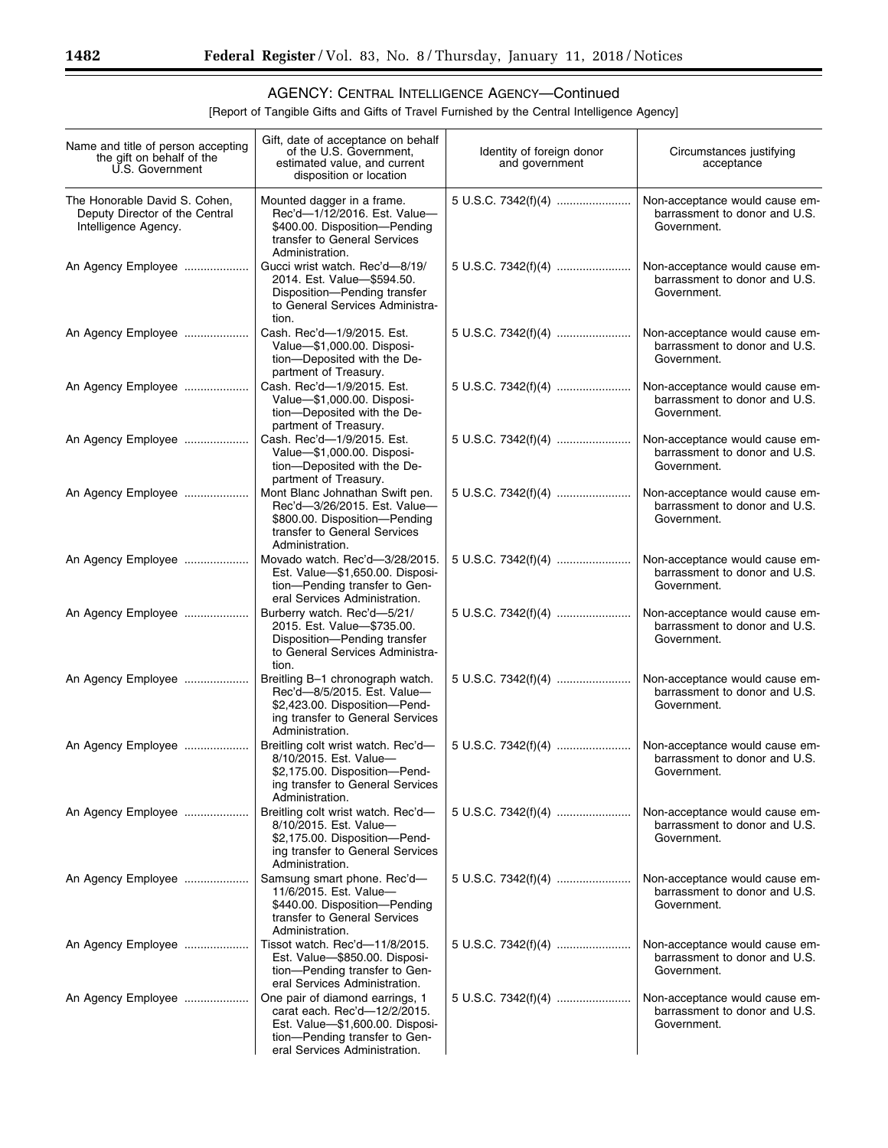#### AGENCY: CENTRAL INTELLIGENCE AGENCY—Continued

[Report of Tangible Gifts and Gifts of Travel Furnished by the Central Intelligence Agency]

| Name and title of person accepting<br>the gift on behalf of the<br>U.S. Government      | Gift, date of acceptance on behalf<br>of the U.S. Government,<br>estimated value, and current<br>disposition or location                                             | Identity of foreign donor<br>and government | Circumstances justifying<br>acceptance                                         |
|-----------------------------------------------------------------------------------------|----------------------------------------------------------------------------------------------------------------------------------------------------------------------|---------------------------------------------|--------------------------------------------------------------------------------|
| The Honorable David S. Cohen,<br>Deputy Director of the Central<br>Intelligence Agency. | Mounted dagger in a frame.<br>Rec'd-1/12/2016. Est. Value-<br>\$400.00. Disposition-Pending<br>transfer to General Services<br>Administration.                       | 5 U.S.C. 7342(f)(4)                         | Non-acceptance would cause em-<br>barrassment to donor and U.S.<br>Government. |
| An Agency Employee                                                                      | Gucci wrist watch. Rec'd-8/19/<br>2014. Est. Value-\$594.50.<br>Disposition-Pending transfer<br>to General Services Administra-<br>tion.                             | 5 U.S.C. 7342(f)(4)                         | Non-acceptance would cause em-<br>barrassment to donor and U.S.<br>Government. |
| An Agency Employee                                                                      | Cash. Rec'd-1/9/2015. Est.<br>Value-\$1,000.00. Disposi-<br>tion-Deposited with the De-<br>partment of Treasury.                                                     | 5 U.S.C. 7342(f)(4)                         | Non-acceptance would cause em-<br>barrassment to donor and U.S.<br>Government. |
| An Agency Employee                                                                      | Cash. Rec'd-1/9/2015. Est.<br>Value-\$1,000.00. Disposi-<br>tion-Deposited with the De-<br>partment of Treasury.                                                     | 5 U.S.C. 7342(f)(4)                         | Non-acceptance would cause em-<br>barrassment to donor and U.S.<br>Government. |
| An Agency Employee                                                                      | Cash. Rec'd-1/9/2015. Est.<br>Value-\$1,000.00. Disposi-<br>tion-Deposited with the De-<br>partment of Treasury.                                                     | 5 U.S.C. 7342(f)(4)                         | Non-acceptance would cause em-<br>barrassment to donor and U.S.<br>Government. |
| An Agency Employee                                                                      | Mont Blanc Johnathan Swift pen.<br>Rec'd-3/26/2015. Est. Value-<br>\$800.00. Disposition-Pending<br>transfer to General Services<br>Administration.                  | 5 U.S.C. 7342(f)(4)                         | Non-acceptance would cause em-<br>barrassment to donor and U.S.<br>Government. |
| An Agency Employee                                                                      | Movado watch. Rec'd-3/28/2015.<br>Est. Value-\$1,650.00. Disposi-<br>tion-Pending transfer to Gen-<br>eral Services Administration.                                  | 5 U.S.C. 7342(f)(4)                         | Non-acceptance would cause em-<br>barrassment to donor and U.S.<br>Government. |
| An Agency Employee                                                                      | Burberry watch. Rec'd-5/21/<br>2015. Est. Value-\$735.00.<br>Disposition-Pending transfer<br>to General Services Administra-<br>tion.                                | 5 U.S.C. 7342(f)(4)                         | Non-acceptance would cause em-<br>barrassment to donor and U.S.<br>Government. |
| An Agency Employee                                                                      | Breitling B-1 chronograph watch.<br>Rec'd-8/5/2015. Est. Value-<br>\$2,423.00. Disposition-Pend-<br>ing transfer to General Services<br>Administration.              | 5 U.S.C. 7342(f)(4)                         | Non-acceptance would cause em-<br>barrassment to donor and U.S.<br>Government. |
| An Agency Employee                                                                      | Breitling colt wrist watch. Rec'd-<br>8/10/2015. Est. Value-<br>\$2,175.00. Disposition-Pend-<br>ing transfer to General Services<br>Administration.                 | 5 U.S.C. 7342(f)(4)                         | Non-acceptance would cause em-<br>barrassment to donor and U.S.<br>Government. |
| An Agency Employee                                                                      | Breitling colt wrist watch. Rec'd-<br>8/10/2015. Est. Value-<br>\$2,175.00. Disposition-Pend-<br>ing transfer to General Services<br>Administration.                 | 5 U.S.C. 7342(f)(4)                         | Non-acceptance would cause em-<br>barrassment to donor and U.S.<br>Government. |
| An Agency Employee                                                                      | Samsung smart phone. Rec'd-<br>11/6/2015. Est. Value-<br>\$440.00. Disposition-Pending<br>transfer to General Services<br>Administration.                            |                                             | Non-acceptance would cause em-<br>barrassment to donor and U.S.<br>Government. |
| An Agency Employee                                                                      | Tissot watch. Rec'd-11/8/2015.<br>Est. Value-\$850.00. Disposi-<br>tion-Pending transfer to Gen-<br>eral Services Administration.                                    |                                             | Non-acceptance would cause em-<br>barrassment to donor and U.S.<br>Government. |
| An Agency Employee                                                                      | One pair of diamond earrings, 1<br>carat each. Rec'd-12/2/2015.<br>Est. Value-\$1,600.00. Disposi-<br>tion-Pending transfer to Gen-<br>eral Services Administration. | 5 U.S.C. 7342(f)(4)                         | Non-acceptance would cause em-<br>barrassment to donor and U.S.<br>Government. |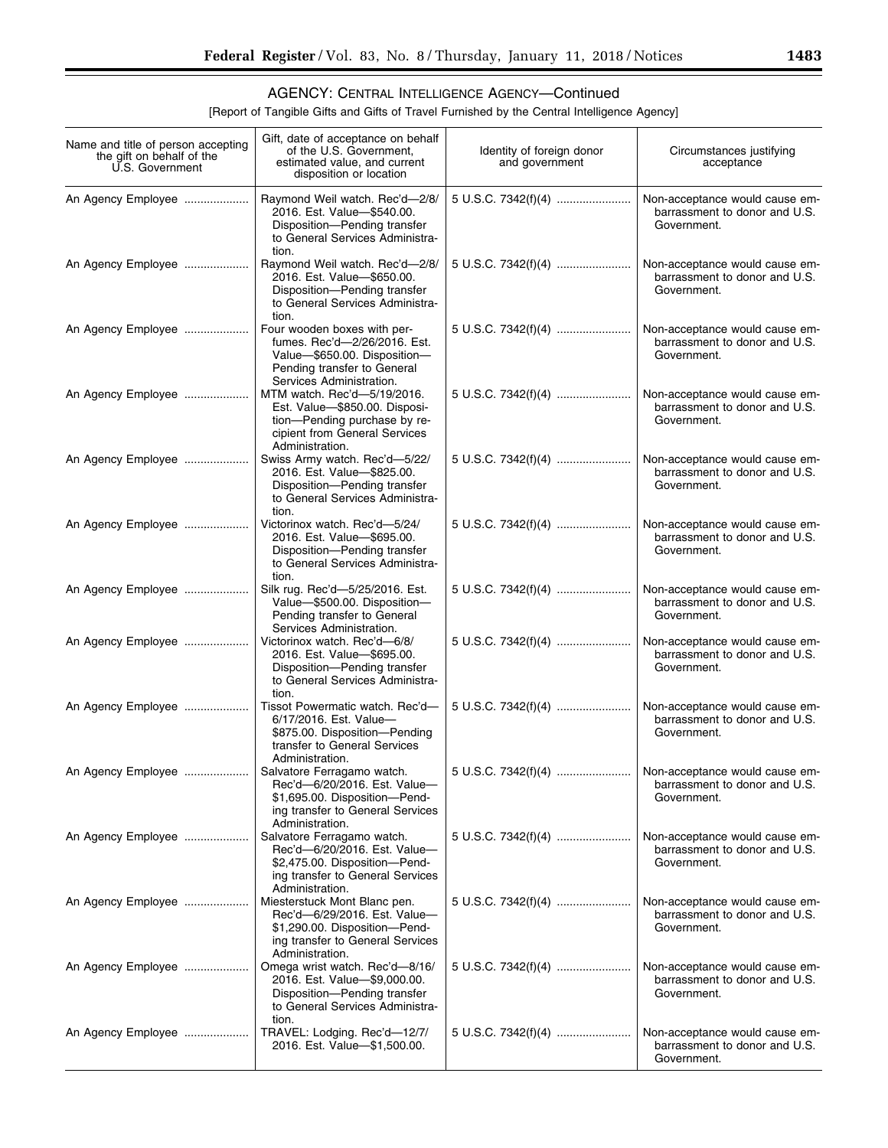۰

### AGENCY: CENTRAL INTELLIGENCE AGENCY—Continued

[Report of Tangible Gifts and Gifts of Travel Furnished by the Central Intelligence Agency]

| Name and title of person accepting<br>the gift on behalf of the<br>U.S. Government | Gift, date of acceptance on behalf<br>of the U.S. Government,<br>estimated value, and current<br>disposition or location                               | Identity of foreign donor<br>and government           | Circumstances justifying<br>acceptance                                         |
|------------------------------------------------------------------------------------|--------------------------------------------------------------------------------------------------------------------------------------------------------|-------------------------------------------------------|--------------------------------------------------------------------------------|
| An Agency Employee                                                                 | Raymond Weil watch. Rec'd-2/8/<br>2016. Est. Value-\$540.00.<br>Disposition-Pending transfer<br>to General Services Administra-<br>tion.               |                                                       | Non-acceptance would cause em-<br>barrassment to donor and U.S.<br>Government. |
| An Agency Employee                                                                 | Raymond Weil watch. Rec'd-2/8/<br>2016. Est. Value-\$650.00.<br>Disposition-Pending transfer<br>to General Services Administra-<br>tion.               |                                                       | Non-acceptance would cause em-<br>barrassment to donor and U.S.<br>Government. |
| An Agency Employee                                                                 | Four wooden boxes with per-<br>fumes. Rec'd-2/26/2016. Est.<br>Value-\$650.00. Disposition-<br>Pending transfer to General<br>Services Administration. | 5 U.S.C. 7342(f)(4)                                   | Non-acceptance would cause em-<br>barrassment to donor and U.S.<br>Government. |
| An Agency Employee                                                                 | MTM watch. Rec'd-5/19/2016.<br>Est. Value-\$850.00. Disposi-<br>tion-Pending purchase by re-<br>cipient from General Services<br>Administration.       |                                                       | Non-acceptance would cause em-<br>barrassment to donor and U.S.<br>Government. |
| An Agency Employee                                                                 | Swiss Army watch. Rec'd-5/22/<br>2016. Est. Value-\$825.00.<br>Disposition-Pending transfer<br>to General Services Administra-<br>tion.                | 5 U.S.C. 7342(f)(4)                                   | Non-acceptance would cause em-<br>barrassment to donor and U.S.<br>Government. |
| An Agency Employee                                                                 | Victorinox watch. Rec'd-5/24/<br>2016. Est. Value-\$695.00.<br>Disposition-Pending transfer<br>to General Services Administra-                         | 5 U.S.C. 7342(f)(4)                                   | Non-acceptance would cause em-<br>barrassment to donor and U.S.<br>Government. |
| An Agency Employee                                                                 | tion.<br>Silk rug. Rec'd-5/25/2016. Est.<br>Value-\$500.00. Disposition-<br>Pending transfer to General<br>Services Administration.                    | 5 U.S.C. 7342(f)(4)                                   | Non-acceptance would cause em-<br>barrassment to donor and U.S.<br>Government. |
| An Agency Employee                                                                 | Victorinox watch. Rec'd-6/8/<br>2016. Est. Value-\$695.00.<br>Disposition-Pending transfer<br>to General Services Administra-<br>tion.                 |                                                       | Non-acceptance would cause em-<br>barrassment to donor and U.S.<br>Government. |
| An Agency Employee                                                                 | Tissot Powermatic watch. Rec'd-<br>6/17/2016. Est. Value-<br>\$875.00. Disposition-Pending<br>transfer to General Services<br>Administration.          |                                                       | Non-acceptance would cause em-<br>barrassment to donor and U.S.<br>Government. |
|                                                                                    | Salvatore Ferragamo watch.<br>Rec'd-6/20/2016. Est. Value-<br>\$1,695.00. Disposition-Pend-<br>ing transfer to General Services<br>Administration.     | 5 U.S.C. 7342(f)(4)    Non-acceptance would cause em- | barrassment to donor and U.S.<br>Government.                                   |
| An Agency Employee                                                                 | Salvatore Ferragamo watch.<br>Rec'd-6/20/2016. Est. Value-<br>\$2,475.00. Disposition-Pend-<br>ing transfer to General Services                        | 5 U.S.C. 7342(f)(4)                                   | Non-acceptance would cause em-<br>barrassment to donor and U.S.<br>Government. |
| An Agency Employee                                                                 | Administration.<br>Miesterstuck Mont Blanc pen.<br>Rec'd-6/29/2016. Est. Value-<br>\$1,290.00. Disposition-Pend-<br>ing transfer to General Services   |                                                       | Non-acceptance would cause em-<br>barrassment to donor and U.S.<br>Government. |
| An Agency Employee                                                                 | Administration.<br>Omega wrist watch. Rec'd-8/16/<br>2016. Est. Value-\$9,000.00.<br>Disposition-Pending transfer<br>to General Services Administra-   | 5 U.S.C. 7342(f)(4)                                   | Non-acceptance would cause em-<br>barrassment to donor and U.S.<br>Government. |
| An Agency Employee                                                                 | tion.<br>TRAVEL: Lodging. Rec'd-12/7/<br>2016. Est. Value-\$1,500.00.                                                                                  |                                                       | Non-acceptance would cause em-<br>barrassment to donor and U.S.<br>Government. |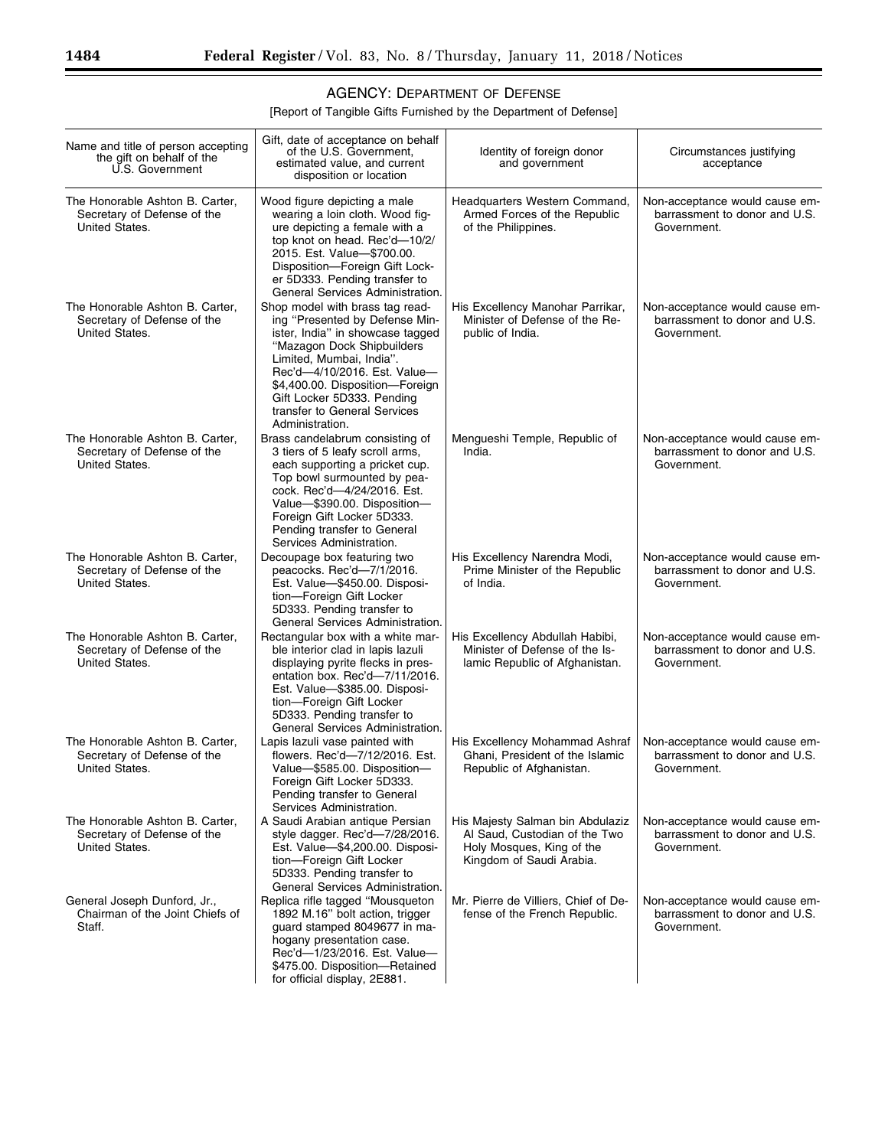### AGENCY: DEPARTMENT OF DEFENSE

[Report of Tangible Gifts Furnished by the Department of Defense]

| Name and title of person accepting<br>the gift on behalf of the<br>U.S. Government | Gift, date of acceptance on behalf<br>of the U.S. Government,<br>estimated value, and current<br>disposition or location                                                                                                                                                                                            | Identity of foreign donor<br>and government                                                                                | Circumstances justifying<br>acceptance                                         |
|------------------------------------------------------------------------------------|---------------------------------------------------------------------------------------------------------------------------------------------------------------------------------------------------------------------------------------------------------------------------------------------------------------------|----------------------------------------------------------------------------------------------------------------------------|--------------------------------------------------------------------------------|
| The Honorable Ashton B. Carter,<br>Secretary of Defense of the<br>United States.   | Wood figure depicting a male<br>wearing a loin cloth. Wood fig-<br>ure depicting a female with a<br>top knot on head. Rec'd-10/2/<br>2015. Est. Value-\$700.00.<br>Disposition-Foreign Gift Lock-<br>er 5D333. Pending transfer to<br>General Services Administration.                                              | Headquarters Western Command,<br>Armed Forces of the Republic<br>of the Philippines.                                       | Non-acceptance would cause em-<br>barrassment to donor and U.S.<br>Government. |
| The Honorable Ashton B. Carter,<br>Secretary of Defense of the<br>United States.   | Shop model with brass tag read-<br>ing "Presented by Defense Min-<br>ister, India" in showcase tagged<br>"Mazagon Dock Shipbuilders<br>Limited, Mumbai, India".<br>Rec'd-4/10/2016. Est. Value-<br>\$4,400.00. Disposition-Foreign<br>Gift Locker 5D333. Pending<br>transfer to General Services<br>Administration. | His Excellency Manohar Parrikar,<br>Minister of Defense of the Re-<br>public of India.                                     | Non-acceptance would cause em-<br>barrassment to donor and U.S.<br>Government. |
| The Honorable Ashton B. Carter,<br>Secretary of Defense of the<br>United States.   | Brass candelabrum consisting of<br>3 tiers of 5 leafy scroll arms,<br>each supporting a pricket cup.<br>Top bowl surmounted by pea-<br>cock. Rec'd-4/24/2016. Est.<br>Value-\$390.00. Disposition-<br>Foreign Gift Locker 5D333.<br>Pending transfer to General<br>Services Administration.                         | Mengueshi Temple, Republic of<br>India.                                                                                    | Non-acceptance would cause em-<br>barrassment to donor and U.S.<br>Government. |
| The Honorable Ashton B. Carter,<br>Secretary of Defense of the<br>United States.   | Decoupage box featuring two<br>peacocks. Rec'd-7/1/2016.<br>Est. Value-\$450.00. Disposi-<br>tion-Foreign Gift Locker<br>5D333. Pending transfer to<br>General Services Administration.                                                                                                                             | His Excellency Narendra Modi,<br>Prime Minister of the Republic<br>of India.                                               | Non-acceptance would cause em-<br>barrassment to donor and U.S.<br>Government. |
| The Honorable Ashton B. Carter,<br>Secretary of Defense of the<br>United States.   | Rectangular box with a white mar-<br>ble interior clad in lapis lazuli<br>displaying pyrite flecks in pres-<br>entation box. Rec'd-7/11/2016.<br>Est. Value-\$385.00. Disposi-<br>tion-Foreign Gift Locker<br>5D333. Pending transfer to<br>General Services Administration.                                        | His Excellency Abdullah Habibi,<br>Minister of Defense of the Is-<br>lamic Republic of Afghanistan.                        | Non-acceptance would cause em-<br>barrassment to donor and U.S.<br>Government. |
| The Honorable Ashton B. Carter,<br>Secretary of Defense of the<br>United States.   | Lapis lazuli vase painted with<br>flowers. Rec'd-7/12/2016. Est.<br>Value-\$585.00. Disposition-<br>Foreign Gift Locker 5D333.<br>Pending transfer to General<br>Services Administration.                                                                                                                           | His Excellency Mohammad Ashraf<br>Ghani. President of the Islamic<br>Republic of Afghanistan.                              | Non-acceptance would cause em-<br>barrassment to donor and U.S.<br>Government. |
| The Honorable Ashton B. Carter,<br>Secretary of Defense of the<br>United States.   | A Saudi Arabian antigue Persian<br>style dagger. Rec'd-7/28/2016.<br>Est. Value-\$4,200.00. Disposi-<br>tion-Foreign Gift Locker<br>5D333. Pending transfer to<br>General Services Administration.                                                                                                                  | His Majesty Salman bin Abdulaziz<br>Al Saud. Custodian of the Two<br>Holy Mosques, King of the<br>Kingdom of Saudi Arabia. | Non-acceptance would cause em-<br>barrassment to donor and U.S.<br>Government. |
| General Joseph Dunford, Jr.,<br>Chairman of the Joint Chiefs of<br>Staff.          | Replica rifle tagged "Mousqueton<br>1892 M.16" bolt action, trigger<br>guard stamped 8049677 in ma-<br>hogany presentation case.<br>Rec'd-1/23/2016. Est. Value-<br>\$475.00. Disposition-Retained<br>for official display, 2E881.                                                                                  | Mr. Pierre de Villiers, Chief of De-<br>fense of the French Republic.                                                      | Non-acceptance would cause em-<br>barrassment to donor and U.S.<br>Government. |

Ξ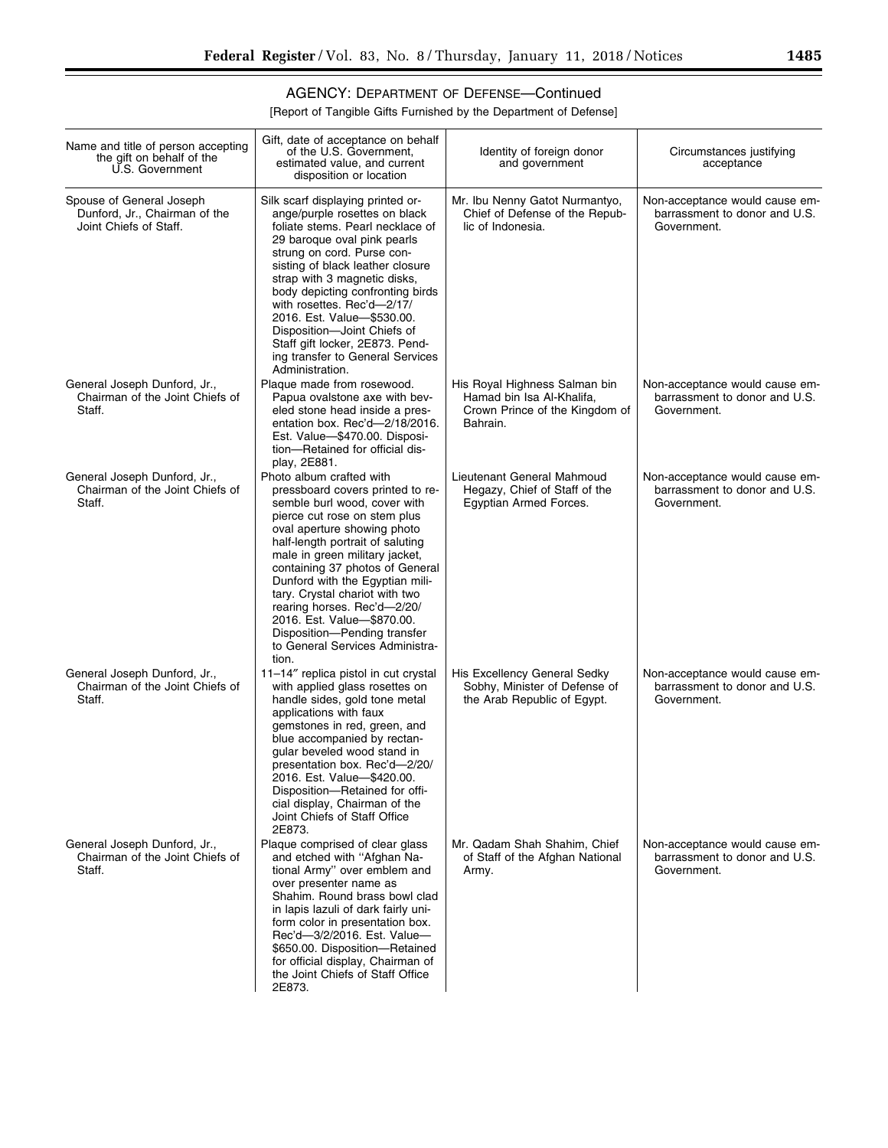▀

## AGENCY: DEPARTMENT OF DEFENSE—Continued

| Name and title of person accepting<br>the gift on behalf of the<br>U.S. Government  | Gift, date of acceptance on behalf<br>of the U.S. Government,<br>estimated value, and current<br>disposition or location                                                                                                                                                                                                                                                                                                                                                           | Identity of foreign donor<br>and government                                                              | Circumstances justifying<br>acceptance                                         |
|-------------------------------------------------------------------------------------|------------------------------------------------------------------------------------------------------------------------------------------------------------------------------------------------------------------------------------------------------------------------------------------------------------------------------------------------------------------------------------------------------------------------------------------------------------------------------------|----------------------------------------------------------------------------------------------------------|--------------------------------------------------------------------------------|
| Spouse of General Joseph<br>Dunford, Jr., Chairman of the<br>Joint Chiefs of Staff. | Silk scarf displaying printed or-<br>ange/purple rosettes on black<br>foliate stems. Pearl necklace of<br>29 baroque oval pink pearls<br>strung on cord. Purse con-<br>sisting of black leather closure<br>strap with 3 magnetic disks,<br>body depicting confronting birds<br>with rosettes. Rec'd-2/17/<br>2016. Est. Value-\$530.00.<br>Disposition-Joint Chiefs of<br>Staff gift locker, 2E873. Pend-<br>ing transfer to General Services<br>Administration.                   | Mr. Ibu Nenny Gatot Nurmantyo,<br>Chief of Defense of the Repub-<br>lic of Indonesia.                    | Non-acceptance would cause em-<br>barrassment to donor and U.S.<br>Government. |
| General Joseph Dunford, Jr.,<br>Chairman of the Joint Chiefs of<br>Staff.           | Plaque made from rosewood.<br>Papua ovalstone axe with bev-<br>eled stone head inside a pres-<br>entation box. Rec'd-2/18/2016.<br>Est. Value-\$470.00. Disposi-<br>tion-Retained for official dis-<br>play, 2E881.                                                                                                                                                                                                                                                                | His Royal Highness Salman bin<br>Hamad bin Isa Al-Khalifa,<br>Crown Prince of the Kingdom of<br>Bahrain. | Non-acceptance would cause em-<br>barrassment to donor and U.S.<br>Government. |
| General Joseph Dunford, Jr.,<br>Chairman of the Joint Chiefs of<br>Staff.           | Photo album crafted with<br>pressboard covers printed to re-<br>semble burl wood, cover with<br>pierce cut rose on stem plus<br>oval aperture showing photo<br>half-length portrait of saluting<br>male in green military jacket,<br>containing 37 photos of General<br>Dunford with the Egyptian mili-<br>tary. Crystal chariot with two<br>rearing horses. Rec'd-2/20/<br>2016. Est. Value-\$870.00.<br>Disposition-Pending transfer<br>to General Services Administra-<br>tion. | Lieutenant General Mahmoud<br>Hegazy, Chief of Staff of the<br>Egyptian Armed Forces.                    | Non-acceptance would cause em-<br>barrassment to donor and U.S.<br>Government. |
| General Joseph Dunford, Jr.,<br>Chairman of the Joint Chiefs of<br>Staff.           | 11-14" replica pistol in cut crystal<br>with applied glass rosettes on<br>handle sides, gold tone metal<br>applications with faux<br>gemstones in red, green, and<br>blue accompanied by rectan-<br>gular beveled wood stand in<br>presentation box. Rec'd-2/20/<br>2016. Est. Value-\$420.00.<br>Disposition-Retained for offi-<br>cial display, Chairman of the<br>Joint Chiefs of Staff Office<br>2E873.                                                                        | His Excellency General Sedky<br>Sobhy, Minister of Defense of<br>the Arab Republic of Eqypt.             | Non-acceptance would cause em-<br>barrassment to donor and U.S.<br>Government. |
| General Joseph Dunford, Jr.,<br>Chairman of the Joint Chiefs of<br>Staff.           | Plaque comprised of clear glass<br>and etched with "Afghan Na-<br>tional Army" over emblem and<br>over presenter name as<br>Shahim. Round brass bowl clad<br>in lapis lazuli of dark fairly uni-<br>form color in presentation box.<br>Rec'd-3/2/2016. Est. Value-<br>\$650.00. Disposition-Retained<br>for official display, Chairman of<br>the Joint Chiefs of Staff Office<br>2E873.                                                                                            | Mr. Qadam Shah Shahim, Chief<br>of Staff of the Afghan National<br>Army.                                 | Non-acceptance would cause em-<br>barrassment to donor and U.S.<br>Government. |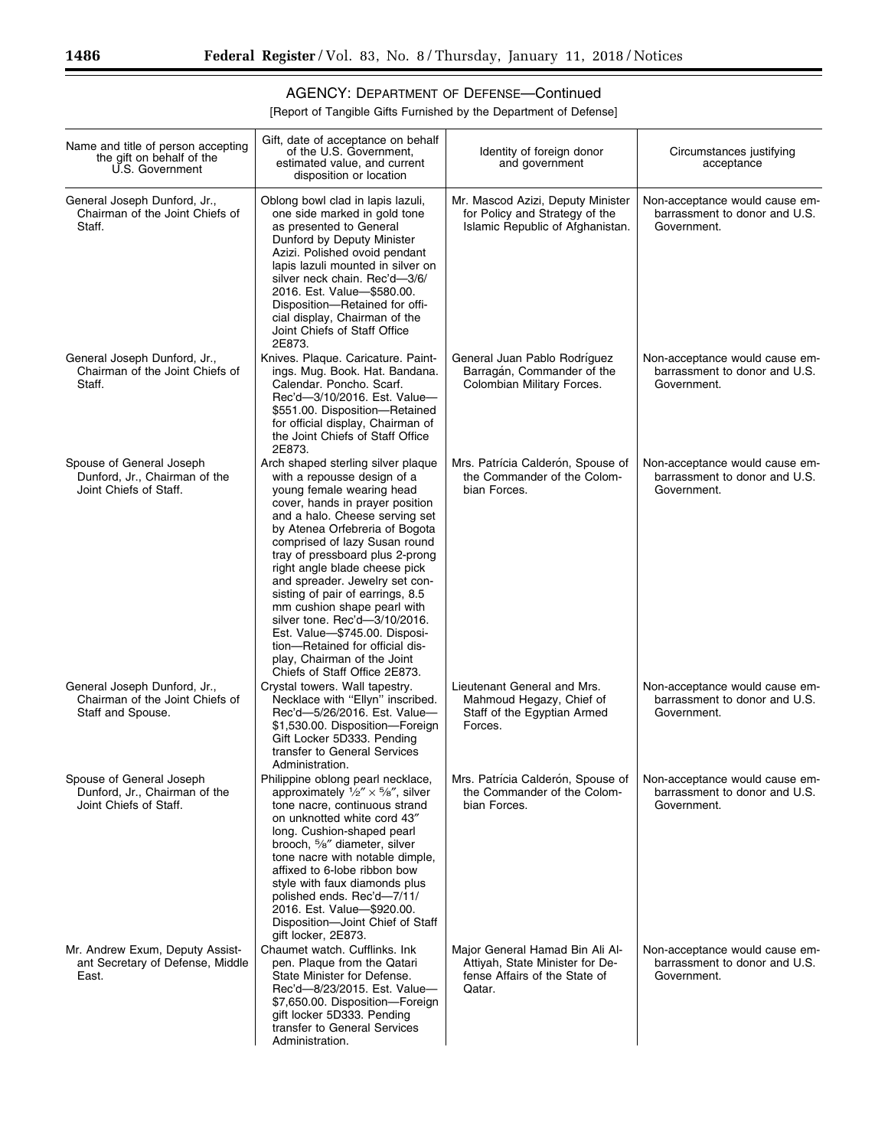## AGENCY: DEPARTMENT OF DEFENSE—Continued

[Report of Tangible Gifts Furnished by the Department of Defense]

| Name and title of person accepting<br>the gift on behalf of the<br>U.S. Government   | Gift, date of acceptance on behalf<br>of the U.S. Government,<br>estimated value, and current<br>disposition or location                                                                                                                                                                                                                                                                                                                                                                                                                                                             | Identity of foreign donor<br>and government                                                                   | Circumstances justifying<br>acceptance                                         |
|--------------------------------------------------------------------------------------|--------------------------------------------------------------------------------------------------------------------------------------------------------------------------------------------------------------------------------------------------------------------------------------------------------------------------------------------------------------------------------------------------------------------------------------------------------------------------------------------------------------------------------------------------------------------------------------|---------------------------------------------------------------------------------------------------------------|--------------------------------------------------------------------------------|
| General Joseph Dunford, Jr.,<br>Chairman of the Joint Chiefs of<br>Staff.            | Oblong bowl clad in lapis lazuli,<br>one side marked in gold tone<br>as presented to General<br>Dunford by Deputy Minister<br>Azizi. Polished ovoid pendant<br>lapis lazuli mounted in silver on<br>silver neck chain. Rec'd-3/6/<br>2016. Est. Value-\$580.00.<br>Disposition-Retained for offi-<br>cial display, Chairman of the<br>Joint Chiefs of Staff Office<br>2E873.                                                                                                                                                                                                         | Mr. Mascod Azizi, Deputy Minister<br>for Policy and Strategy of the<br>Islamic Republic of Afghanistan.       | Non-acceptance would cause em-<br>barrassment to donor and U.S.<br>Government. |
| General Joseph Dunford, Jr.,<br>Chairman of the Joint Chiefs of<br>Staff.            | Knives. Plaque. Caricature. Paint-<br>ings. Mug. Book. Hat. Bandana.<br>Calendar. Poncho. Scarf.<br>Rec'd-3/10/2016. Est. Value-<br>\$551.00. Disposition-Retained<br>for official display, Chairman of<br>the Joint Chiefs of Staff Office<br>2E873.                                                                                                                                                                                                                                                                                                                                | General Juan Pablo Rodríguez<br>Barragán, Commander of the<br>Colombian Military Forces.                      | Non-acceptance would cause em-<br>barrassment to donor and U.S.<br>Government. |
| Spouse of General Joseph<br>Dunford, Jr., Chairman of the<br>Joint Chiefs of Staff.  | Arch shaped sterling silver plaque<br>with a repousse design of a<br>young female wearing head<br>cover, hands in prayer position<br>and a halo. Cheese serving set<br>by Atenea Orfebreria of Bogota<br>comprised of lazy Susan round<br>tray of pressboard plus 2-prong<br>right angle blade cheese pick<br>and spreader. Jewelry set con-<br>sisting of pair of earrings, 8.5<br>mm cushion shape pearl with<br>silver tone. Rec'd-3/10/2016.<br>Est. Value-\$745.00. Disposi-<br>tion-Retained for official dis-<br>play, Chairman of the Joint<br>Chiefs of Staff Office 2E873. | Mrs. Patrícia Calderón, Spouse of<br>the Commander of the Colom-<br>bian Forces.                              | Non-acceptance would cause em-<br>barrassment to donor and U.S.<br>Government. |
| General Joseph Dunford, Jr.,<br>Chairman of the Joint Chiefs of<br>Staff and Spouse. | Crystal towers. Wall tapestry.<br>Necklace with "Ellyn" inscribed.<br>Rec'd-5/26/2016. Est. Value-<br>\$1,530.00. Disposition-Foreign<br>Gift Locker 5D333. Pending<br>transfer to General Services<br>Administration.                                                                                                                                                                                                                                                                                                                                                               | Lieutenant General and Mrs.<br>Mahmoud Hegazy, Chief of<br>Staff of the Egyptian Armed<br>Forces.             | Non-acceptance would cause em-<br>barrassment to donor and U.S.<br>Government. |
| Spouse of General Joseph<br>Dunford, Jr., Chairman of the<br>Joint Chiefs of Staff.  | Philippine oblong pearl necklace,<br>approximately $\frac{1}{2}$ " × $\frac{5}{8}$ ", silver<br>tone nacre, continuous strand<br>on unknotted white cord 43"<br>long. Cushion-shaped pearl<br>brooch, 5/8" diameter, silver<br>tone nacre with notable dimple,<br>affixed to 6-lobe ribbon bow<br>style with faux diamonds plus<br>polished ends. Rec'd-7/11/<br>2016. Est. Value-\$920.00.<br>Disposition-Joint Chief of Staff<br>gift locker, 2E873.                                                                                                                               | Mrs. Patrícia Calderón, Spouse of<br>the Commander of the Colom-<br>bian Forces.                              | Non-acceptance would cause em-<br>barrassment to donor and U.S.<br>Government. |
| Mr. Andrew Exum, Deputy Assist-<br>ant Secretary of Defense, Middle<br>East.         | Chaumet watch. Cufflinks. Ink<br>pen. Plaque from the Qatari<br>State Minister for Defense.<br>Rec'd-8/23/2015. Est. Value-<br>\$7,650.00. Disposition-Foreign<br>gift locker 5D333. Pending<br>transfer to General Services<br>Administration.                                                                                                                                                                                                                                                                                                                                      | Major General Hamad Bin Ali Al-<br>Attiyah, State Minister for De-<br>fense Affairs of the State of<br>Qatar. | Non-acceptance would cause em-<br>barrassment to donor and U.S.<br>Government. |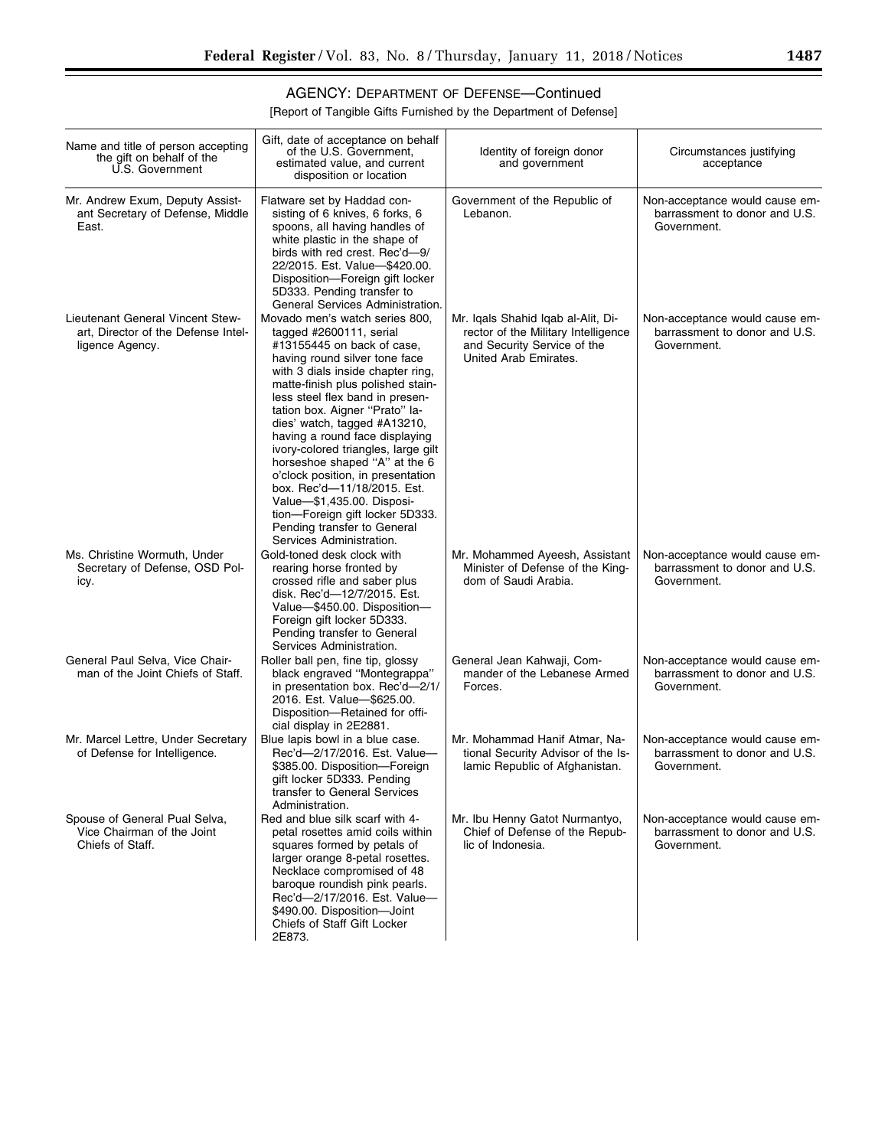▀

## AGENCY: DEPARTMENT OF DEFENSE—Continued

| Name and title of person accepting<br>the gift on behalf of the<br>U.S. Government         | Gift, date of acceptance on behalf<br>of the U.S. Government,<br>estimated value, and current<br>disposition or location                                                                                                                                                                                                                                                                                                                                                                                                                                                                                          | Identity of foreign donor<br>and government                                                                                       | Circumstances justifying<br>acceptance                                         |
|--------------------------------------------------------------------------------------------|-------------------------------------------------------------------------------------------------------------------------------------------------------------------------------------------------------------------------------------------------------------------------------------------------------------------------------------------------------------------------------------------------------------------------------------------------------------------------------------------------------------------------------------------------------------------------------------------------------------------|-----------------------------------------------------------------------------------------------------------------------------------|--------------------------------------------------------------------------------|
| Mr. Andrew Exum, Deputy Assist-<br>ant Secretary of Defense, Middle<br>East.               | Flatware set by Haddad con-<br>sisting of 6 knives, 6 forks, 6<br>spoons, all having handles of<br>white plastic in the shape of<br>birds with red crest. Rec'd-9/<br>22/2015. Est. Value-\$420.00.<br>Disposition-Foreign gift locker<br>5D333. Pending transfer to<br>General Services Administration.                                                                                                                                                                                                                                                                                                          | Government of the Republic of<br>Lebanon.                                                                                         | Non-acceptance would cause em-<br>barrassment to donor and U.S.<br>Government. |
| Lieutenant General Vincent Stew-<br>art, Director of the Defense Intel-<br>ligence Agency. | Movado men's watch series 800,<br>tagged #2600111, serial<br>#13155445 on back of case,<br>having round silver tone face<br>with 3 dials inside chapter ring,<br>matte-finish plus polished stain-<br>less steel flex band in presen-<br>tation box. Aigner "Prato" la-<br>dies' watch, tagged #A13210,<br>having a round face displaying<br>ivory-colored triangles, large gilt<br>horseshoe shaped "A" at the 6<br>o'clock position, in presentation<br>box. Rec'd-11/18/2015. Est.<br>Value-\$1,435.00. Disposi-<br>tion-Foreign gift locker 5D333.<br>Pending transfer to General<br>Services Administration. | Mr. Igals Shahid Igab al-Alit, Di-<br>rector of the Military Intelligence<br>and Security Service of the<br>United Arab Emirates. | Non-acceptance would cause em-<br>barrassment to donor and U.S.<br>Government. |
| Ms. Christine Wormuth, Under<br>Secretary of Defense, OSD Pol-<br>icy.                     | Gold-toned desk clock with<br>rearing horse fronted by<br>crossed rifle and saber plus<br>disk. Rec'd-12/7/2015. Est.<br>Value-\$450.00. Disposition-<br>Foreign gift locker 5D333.<br>Pending transfer to General<br>Services Administration.                                                                                                                                                                                                                                                                                                                                                                    | Mr. Mohammed Ayeesh, Assistant<br>Minister of Defense of the King-<br>dom of Saudi Arabia.                                        | Non-acceptance would cause em-<br>barrassment to donor and U.S.<br>Government. |
| General Paul Selva, Vice Chair-<br>man of the Joint Chiefs of Staff.                       | Roller ball pen, fine tip, glossy<br>black engraved "Montegrappa"<br>in presentation box. Rec'd-2/1/<br>2016. Est. Value-\$625.00.<br>Disposition-Retained for offi-<br>cial display in 2E2881.                                                                                                                                                                                                                                                                                                                                                                                                                   | General Jean Kahwaji, Com-<br>mander of the Lebanese Armed<br>Forces.                                                             | Non-acceptance would cause em-<br>barrassment to donor and U.S.<br>Government. |
| Mr. Marcel Lettre, Under Secretary<br>of Defense for Intelligence.                         | Blue lapis bowl in a blue case.<br>Rec'd-2/17/2016. Est. Value-<br>\$385.00. Disposition-Foreign<br>gift locker 5D333. Pending<br>transfer to General Services<br>Administration.                                                                                                                                                                                                                                                                                                                                                                                                                                 | Mr. Mohammad Hanif Atmar, Na-<br>tional Security Advisor of the Is-<br>lamic Republic of Afghanistan.                             | Non-acceptance would cause em-<br>barrassment to donor and U.S.<br>Government. |
| Spouse of General Pual Selva,<br>Vice Chairman of the Joint<br>Chiefs of Staff.            | Red and blue silk scarf with 4-<br>petal rosettes amid coils within<br>squares formed by petals of<br>larger orange 8-petal rosettes.<br>Necklace compromised of 48<br>baroque roundish pink pearls.<br>Rec'd-2/17/2016. Est. Value-<br>\$490.00. Disposition-Joint<br>Chiefs of Staff Gift Locker<br>2E873.                                                                                                                                                                                                                                                                                                      | Mr. Ibu Henny Gatot Nurmantyo,<br>Chief of Defense of the Repub-<br>lic of Indonesia.                                             | Non-acceptance would cause em-<br>barrassment to donor and U.S.<br>Government. |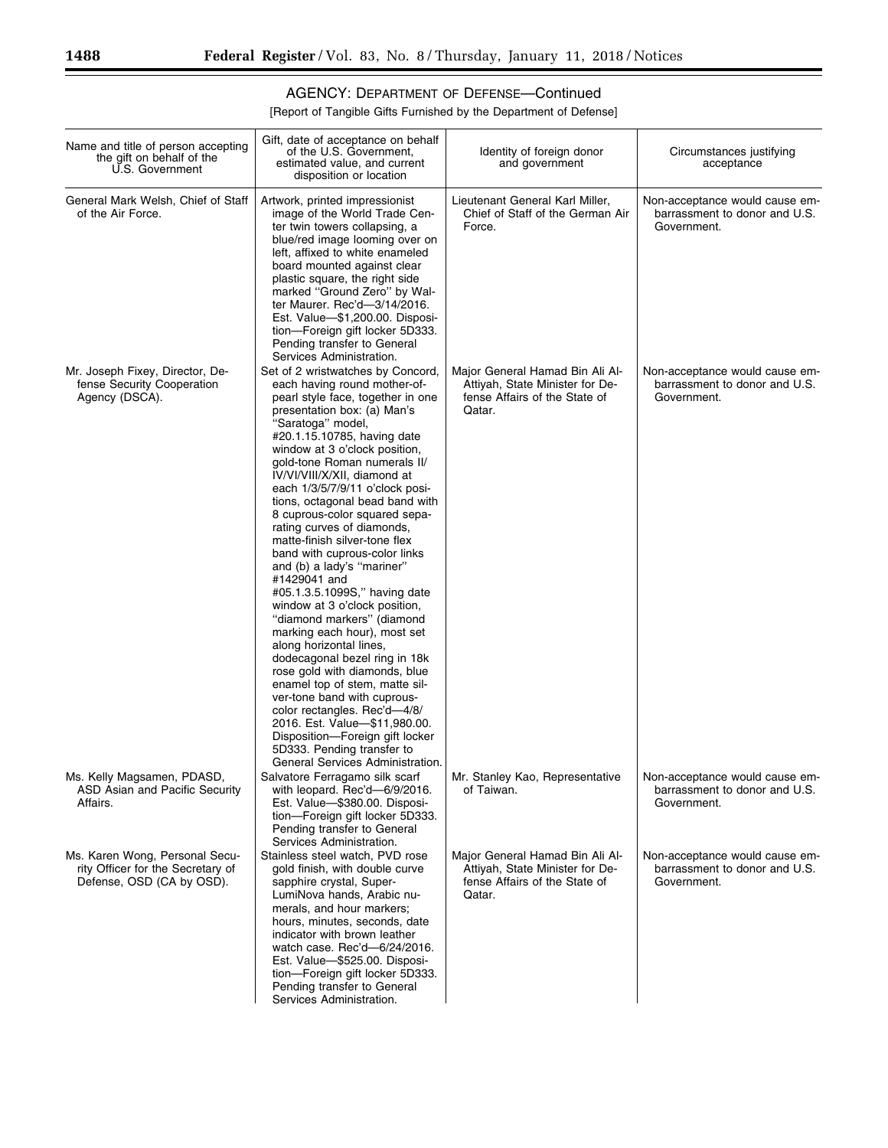## AGENCY: DEPARTMENT OF DEFENSE—Continued

[Report of Tangible Gifts Furnished by the Department of Defense]

| Name and title of person accepting<br>the gift on behalf of the<br>U.S. Government               | Gift, date of acceptance on behalf<br>of the U.S. Government,<br>estimated value, and current<br>disposition or location                                                                                                                                                                                                                                                                                                                                                                                                                                                                                                                                                                                                                                                                                                                                                                                                                                                                                            | Identity of foreign donor<br>and government                                                                   | Circumstances justifying<br>acceptance                                         |
|--------------------------------------------------------------------------------------------------|---------------------------------------------------------------------------------------------------------------------------------------------------------------------------------------------------------------------------------------------------------------------------------------------------------------------------------------------------------------------------------------------------------------------------------------------------------------------------------------------------------------------------------------------------------------------------------------------------------------------------------------------------------------------------------------------------------------------------------------------------------------------------------------------------------------------------------------------------------------------------------------------------------------------------------------------------------------------------------------------------------------------|---------------------------------------------------------------------------------------------------------------|--------------------------------------------------------------------------------|
| General Mark Welsh, Chief of Staff<br>of the Air Force.                                          | Artwork, printed impressionist<br>image of the World Trade Cen-<br>ter twin towers collapsing, a<br>blue/red image looming over on<br>left, affixed to white enameled<br>board mounted against clear<br>plastic square, the right side<br>marked "Ground Zero" by Wal-<br>ter Maurer. Rec'd-3/14/2016.<br>Est. Value-\$1,200.00. Disposi-<br>tion-Foreign gift locker 5D333.<br>Pending transfer to General<br>Services Administration.                                                                                                                                                                                                                                                                                                                                                                                                                                                                                                                                                                             | Lieutenant General Karl Miller,<br>Chief of Staff of the German Air<br>Force.                                 | Non-acceptance would cause em-<br>barrassment to donor and U.S.<br>Government. |
| Mr. Joseph Fixey, Director, De-<br>fense Security Cooperation<br>Agency (DSCA).                  | Set of 2 wristwatches by Concord,<br>each having round mother-of-<br>pearl style face, together in one<br>presentation box: (a) Man's<br>"Saratoga" model,<br>#20.1.15.10785, having date<br>window at 3 o'clock position,<br>gold-tone Roman numerals II/<br>IV/VI/VIII/X/XII, diamond at<br>each 1/3/5/7/9/11 o'clock posi-<br>tions, octagonal bead band with<br>8 cuprous-color squared sepa-<br>rating curves of diamonds,<br>matte-finish silver-tone flex<br>band with cuprous-color links<br>and (b) a lady's "mariner"<br>#1429041 and<br>#05.1.3.5.1099S," having date<br>window at 3 o'clock position,<br>"diamond markers" (diamond<br>marking each hour), most set<br>along horizontal lines,<br>dodecagonal bezel ring in 18k<br>rose gold with diamonds, blue<br>enamel top of stem, matte sil-<br>ver-tone band with cuprous-<br>color rectangles. Rec'd-4/8/<br>2016. Est. Value-\$11,980.00.<br>Disposition-Foreign gift locker<br>5D333. Pending transfer to<br>General Services Administration. | Major General Hamad Bin Ali Al-<br>Attiyah, State Minister for De-<br>fense Affairs of the State of<br>Qatar. | Non-acceptance would cause em-<br>barrassment to donor and U.S.<br>Government. |
| Ms. Kelly Magsamen, PDASD,<br>ASD Asian and Pacific Security<br>Affairs.                         | Salvatore Ferragamo silk scarf<br>with leopard. Rec'd-6/9/2016.<br>Est. Value-\$380.00. Disposi-<br>tion-Foreign gift locker 5D333.<br>Pending transfer to General<br>Services Administration.                                                                                                                                                                                                                                                                                                                                                                                                                                                                                                                                                                                                                                                                                                                                                                                                                      | Mr. Stanley Kao, Representative<br>of Taiwan.                                                                 | Non-acceptance would cause em-<br>barrassment to donor and U.S.<br>Government. |
| Ms. Karen Wong, Personal Secu-<br>rity Officer for the Secretary of<br>Defense, OSD (CA by OSD). | Stainless steel watch, PVD rose<br>gold finish, with double curve<br>sapphire crystal, Super-<br>LumiNova hands, Arabic nu-<br>merals, and hour markers;<br>hours, minutes, seconds, date<br>indicator with brown leather<br>watch case. Rec'd-6/24/2016.<br>Est. Value-\$525.00. Disposi-<br>tion-Foreign gift locker 5D333.<br>Pending transfer to General<br>Services Administration.                                                                                                                                                                                                                                                                                                                                                                                                                                                                                                                                                                                                                            | Major General Hamad Bin Ali Al-<br>Attiyah, State Minister for De-<br>fense Affairs of the State of<br>Qatar. | Non-acceptance would cause em-<br>barrassment to donor and U.S.<br>Government. |

-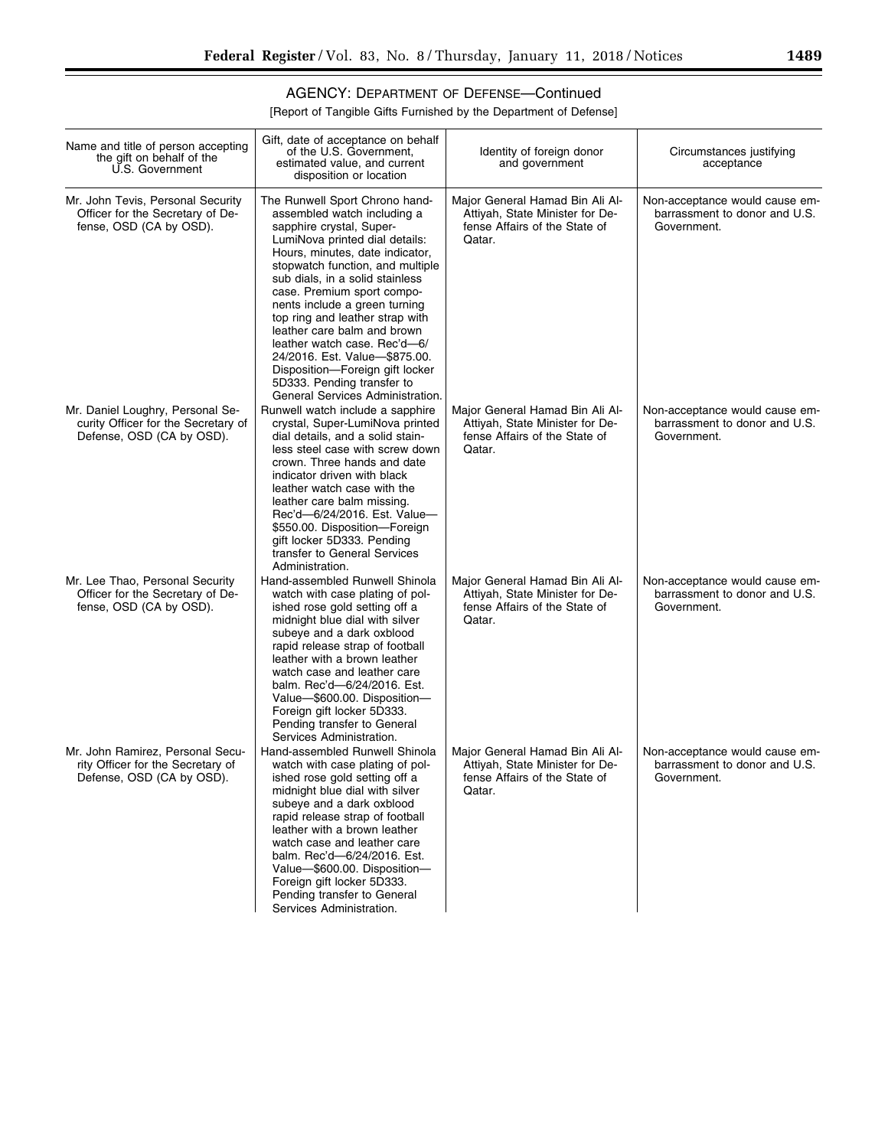۰

## AGENCY: DEPARTMENT OF DEFENSE—Continued

| Name and title of person accepting<br>the gift on behalf of the<br>U.S. Government                   | Gift, date of acceptance on behalf<br>of the U.S. Government.<br>estimated value, and current<br>disposition or location                                                                                                                                                                                                                                                                                                                                                                                                                     | Identity of foreign donor<br>and government                                                                   | Circumstances justifying<br>acceptance                                         |
|------------------------------------------------------------------------------------------------------|----------------------------------------------------------------------------------------------------------------------------------------------------------------------------------------------------------------------------------------------------------------------------------------------------------------------------------------------------------------------------------------------------------------------------------------------------------------------------------------------------------------------------------------------|---------------------------------------------------------------------------------------------------------------|--------------------------------------------------------------------------------|
| Mr. John Tevis, Personal Security<br>Officer for the Secretary of De-<br>fense, OSD (CA by OSD).     | The Runwell Sport Chrono hand-<br>assembled watch including a<br>sapphire crystal, Super-<br>LumiNova printed dial details:<br>Hours, minutes, date indicator,<br>stopwatch function, and multiple<br>sub dials, in a solid stainless<br>case. Premium sport compo-<br>nents include a green turning<br>top ring and leather strap with<br>leather care balm and brown<br>leather watch case. Rec'd-6/<br>24/2016. Est. Value-\$875.00.<br>Disposition-Foreign gift locker<br>5D333. Pending transfer to<br>General Services Administration. | Major General Hamad Bin Ali Al-<br>Attivah, State Minister for De-<br>fense Affairs of the State of<br>Qatar. | Non-acceptance would cause em-<br>barrassment to donor and U.S.<br>Government. |
| Mr. Daniel Loughry, Personal Se-<br>curity Officer for the Secretary of<br>Defense, OSD (CA by OSD). | Runwell watch include a sapphire<br>crystal, Super-LumiNova printed<br>dial details, and a solid stain-<br>less steel case with screw down<br>crown. Three hands and date<br>indicator driven with black<br>leather watch case with the<br>leather care balm missing.<br>Rec'd-6/24/2016. Est. Value-<br>\$550.00. Disposition-Foreign<br>gift locker 5D333. Pending<br>transfer to General Services<br>Administration.                                                                                                                      | Major General Hamad Bin Ali Al-<br>Attiyah, State Minister for De-<br>fense Affairs of the State of<br>Qatar. | Non-acceptance would cause em-<br>barrassment to donor and U.S.<br>Government. |
| Mr. Lee Thao, Personal Security<br>Officer for the Secretary of De-<br>fense, OSD (CA by OSD).       | Hand-assembled Runwell Shinola<br>watch with case plating of pol-<br>ished rose gold setting off a<br>midnight blue dial with silver<br>subeye and a dark oxblood<br>rapid release strap of football<br>leather with a brown leather<br>watch case and leather care<br>balm. Rec'd-6/24/2016. Est.<br>Value-\$600.00. Disposition-<br>Foreign gift locker 5D333.<br>Pending transfer to General<br>Services Administration.                                                                                                                  | Major General Hamad Bin Ali Al-<br>Attiyah, State Minister for De-<br>fense Affairs of the State of<br>Qatar. | Non-acceptance would cause em-<br>barrassment to donor and U.S.<br>Government. |
| Mr. John Ramirez, Personal Secu-<br>rity Officer for the Secretary of<br>Defense, OSD (CA by OSD).   | Hand-assembled Runwell Shinola<br>watch with case plating of pol-<br>ished rose gold setting off a<br>midnight blue dial with silver<br>subeye and a dark oxblood<br>rapid release strap of football<br>leather with a brown leather<br>watch case and leather care<br>balm. Rec'd-6/24/2016. Est.<br>Value-\$600.00. Disposition-<br>Foreign gift locker 5D333.<br>Pending transfer to General<br>Services Administration.                                                                                                                  | Major General Hamad Bin Ali Al-<br>Attiyah, State Minister for De-<br>fense Affairs of the State of<br>Qatar. | Non-acceptance would cause em-<br>barrassment to donor and U.S.<br>Government. |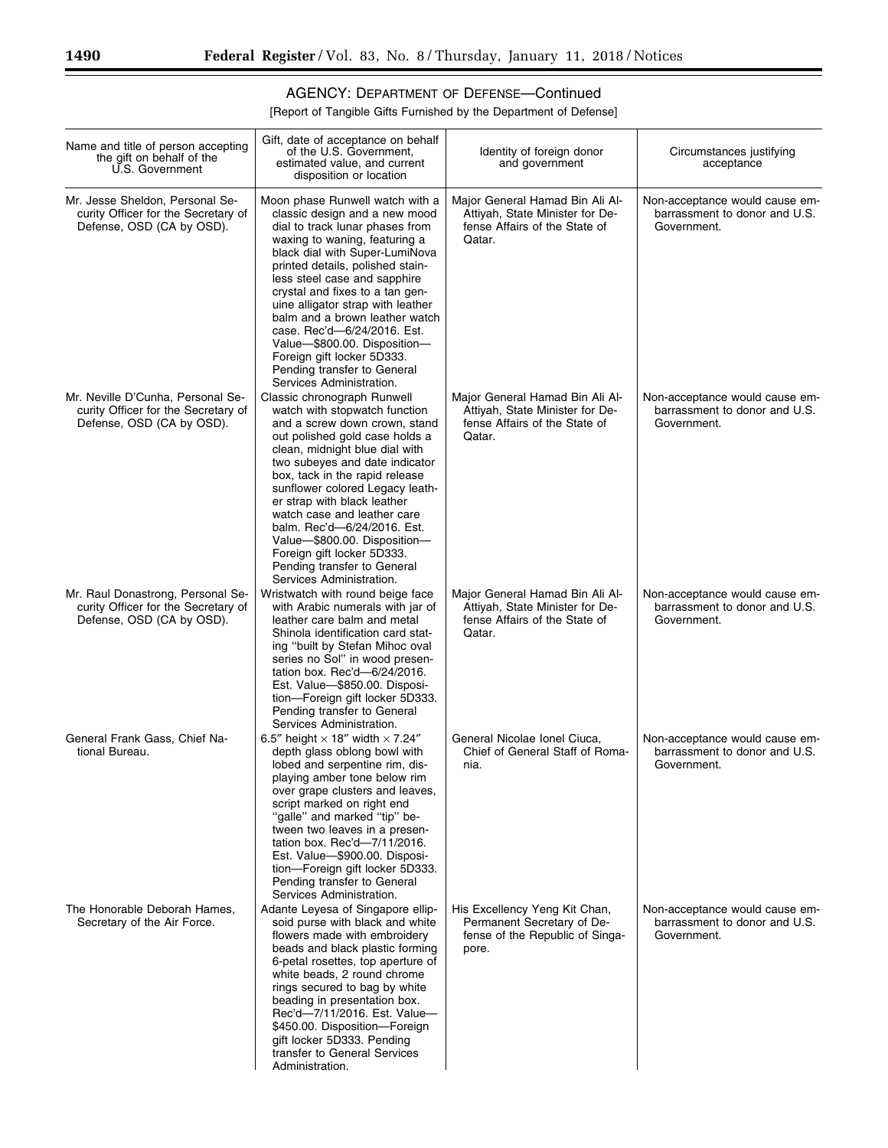## AGENCY: DEPARTMENT OF DEFENSE—Continued

| Name and title of person accepting<br>the gift on behalf of the<br>U.S. Government                    | Gift, date of acceptance on behalf<br>of the U.S. Government,<br>estimated value, and current<br>disposition or location                                                                                                                                                                                                                                                                                                                                                                                     | Identity of foreign donor<br>and government                                                                   | Circumstances justifying<br>acceptance                                         |
|-------------------------------------------------------------------------------------------------------|--------------------------------------------------------------------------------------------------------------------------------------------------------------------------------------------------------------------------------------------------------------------------------------------------------------------------------------------------------------------------------------------------------------------------------------------------------------------------------------------------------------|---------------------------------------------------------------------------------------------------------------|--------------------------------------------------------------------------------|
| Mr. Jesse Sheldon, Personal Se-<br>curity Officer for the Secretary of<br>Defense, OSD (CA by OSD).   | Moon phase Runwell watch with a<br>classic design and a new mood<br>dial to track lunar phases from<br>waxing to waning, featuring a<br>black dial with Super-LumiNova<br>printed details, polished stain-<br>less steel case and sapphire<br>crystal and fixes to a tan gen-<br>uine alligator strap with leather<br>balm and a brown leather watch<br>case. Rec'd-6/24/2016. Est.<br>Value-\$800.00. Disposition-<br>Foreign gift locker 5D333.<br>Pending transfer to General<br>Services Administration. | Major General Hamad Bin Ali Al-<br>Attiyah, State Minister for De-<br>fense Affairs of the State of<br>Qatar. | Non-acceptance would cause em-<br>barrassment to donor and U.S.<br>Government. |
| Mr. Neville D'Cunha, Personal Se-<br>curity Officer for the Secretary of<br>Defense, OSD (CA by OSD). | Classic chronograph Runwell<br>watch with stopwatch function<br>and a screw down crown, stand<br>out polished gold case holds a<br>clean, midnight blue dial with<br>two subeyes and date indicator<br>box, tack in the rapid release<br>sunflower colored Legacy leath-<br>er strap with black leather<br>watch case and leather care<br>balm. Rec'd-6/24/2016. Est.<br>Value-\$800.00. Disposition-<br>Foreign gift locker 5D333.<br>Pending transfer to General<br>Services Administration.               | Major General Hamad Bin Ali Al-<br>Attiyah, State Minister for De-<br>fense Affairs of the State of<br>Qatar. | Non-acceptance would cause em-<br>barrassment to donor and U.S.<br>Government. |
| Mr. Raul Donastrong, Personal Se-<br>curity Officer for the Secretary of<br>Defense, OSD (CA by OSD). | Wristwatch with round beige face<br>with Arabic numerals with jar of<br>leather care balm and metal<br>Shinola identification card stat-<br>ing "built by Stefan Mihoc oval<br>series no Sol" in wood presen-<br>tation box. Rec'd-6/24/2016.<br>Est. Value-\$850.00. Disposi-<br>tion-Foreign gift locker 5D333.<br>Pending transfer to General<br>Services Administration.                                                                                                                                 | Major General Hamad Bin Ali Al-<br>Attiyah, State Minister for De-<br>fense Affairs of the State of<br>Qatar. | Non-acceptance would cause em-<br>barrassment to donor and U.S.<br>Government. |
| General Frank Gass, Chief Na-<br>tional Bureau.                                                       | 6.5" height $\times$ 18" width $\times$ 7.24"<br>depth glass oblong bowl with<br>lobed and serpentine rim, dis-<br>playing amber tone below rim<br>over grape clusters and leaves,<br>script marked on right end<br>"galle" and marked "tip" be-<br>tween two leaves in a presen-<br>tation box. Rec'd-7/11/2016.<br>Est. Value-\$900.00. Disposi-<br>tion-Foreign gift locker 5D333.<br>Pending transfer to General<br>Services Administration.                                                             | General Nicolae Ionel Ciuca,<br>Chief of General Staff of Roma-<br>nia.                                       | Non-acceptance would cause em-<br>barrassment to donor and U.S.<br>Government. |
| The Honorable Deborah Hames,<br>Secretary of the Air Force.                                           | Adante Leyesa of Singapore ellip-<br>soid purse with black and white<br>flowers made with embroidery<br>beads and black plastic forming<br>6-petal rosettes, top aperture of<br>white beads, 2 round chrome<br>rings secured to bag by white<br>beading in presentation box.<br>Rec'd-7/11/2016. Est. Value-<br>\$450.00. Disposition-Foreign<br>gift locker 5D333. Pending<br>transfer to General Services<br>Administration.                                                                               | His Excellency Yeng Kit Chan,<br>Permanent Secretary of De-<br>fense of the Republic of Singa-<br>pore.       | Non-acceptance would cause em-<br>barrassment to donor and U.S.<br>Government. |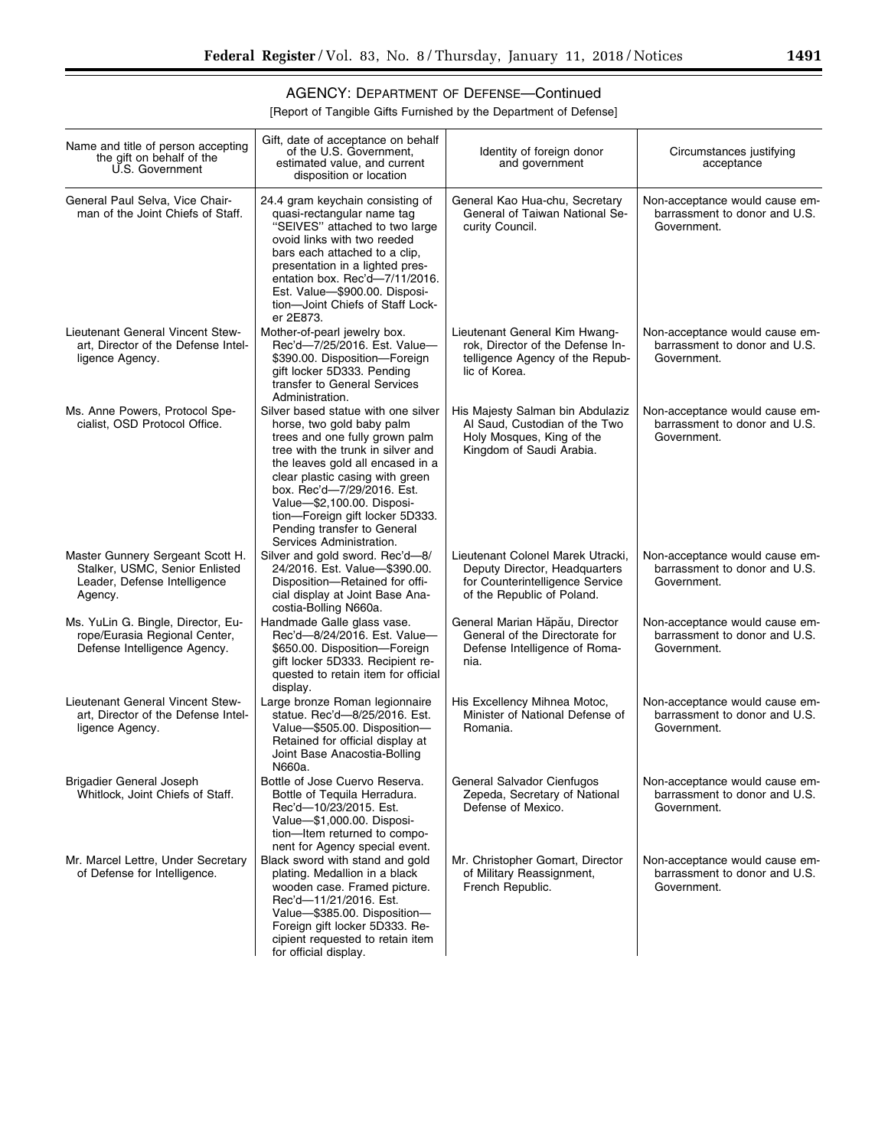▀

## AGENCY: DEPARTMENT OF DEFENSE—Continued

| Name and title of person accepting<br>the gift on behalf of the<br>U.S. Government                            | Gift, date of acceptance on behalf<br>of the U.S. Government,<br>estimated value, and current<br>disposition or location                                                                                                                                                                                                                                                 | Identity of foreign donor<br>and government                                                                                         | Circumstances justifying<br>acceptance                                         |
|---------------------------------------------------------------------------------------------------------------|--------------------------------------------------------------------------------------------------------------------------------------------------------------------------------------------------------------------------------------------------------------------------------------------------------------------------------------------------------------------------|-------------------------------------------------------------------------------------------------------------------------------------|--------------------------------------------------------------------------------|
| General Paul Selva, Vice Chair-<br>man of the Joint Chiefs of Staff.                                          | 24.4 gram keychain consisting of<br>quasi-rectangular name tag<br>"SEIVES" attached to two large<br>ovoid links with two reeded<br>bars each attached to a clip,<br>presentation in a lighted pres-<br>entation box. Rec'd-7/11/2016.<br>Est. Value-\$900.00. Disposi-<br>tion-Joint Chiefs of Staff Lock-<br>er 2E873.                                                  | General Kao Hua-chu, Secretary<br>General of Taiwan National Se-<br>curity Council.                                                 | Non-acceptance would cause em-<br>barrassment to donor and U.S.<br>Government. |
| Lieutenant General Vincent Stew-<br>art, Director of the Defense Intel-<br>ligence Agency.                    | Mother-of-pearl jewelry box.<br>Rec'd-7/25/2016. Est. Value-<br>\$390.00. Disposition-Foreign<br>gift locker 5D333. Pending<br>transfer to General Services<br>Administration.                                                                                                                                                                                           | Lieutenant General Kim Hwang-<br>rok, Director of the Defense In-<br>telligence Agency of the Repub-<br>lic of Korea.               | Non-acceptance would cause em-<br>barrassment to donor and U.S.<br>Government. |
| Ms. Anne Powers, Protocol Spe-<br>cialist, OSD Protocol Office.                                               | Silver based statue with one silver<br>horse, two gold baby palm<br>trees and one fully grown palm<br>tree with the trunk in silver and<br>the leaves gold all encased in a<br>clear plastic casing with green<br>box. Rec'd-7/29/2016. Est.<br>Value-\$2,100.00. Disposi-<br>tion-Foreign gift locker 5D333.<br>Pending transfer to General<br>Services Administration. | His Majesty Salman bin Abdulaziz<br>Al Saud, Custodian of the Two<br>Holy Mosques, King of the<br>Kingdom of Saudi Arabia.          | Non-acceptance would cause em-<br>barrassment to donor and U.S.<br>Government. |
| Master Gunnery Sergeant Scott H.<br>Stalker, USMC, Senior Enlisted<br>Leader, Defense Intelligence<br>Agency. | Silver and gold sword. Rec'd-8/<br>24/2016. Est. Value-\$390.00.<br>Disposition-Retained for offi-<br>cial display at Joint Base Ana-<br>costia-Bolling N660a.                                                                                                                                                                                                           | Lieutenant Colonel Marek Utracki,<br>Deputy Director, Headquarters<br>for Counterintelligence Service<br>of the Republic of Poland. | Non-acceptance would cause em-<br>barrassment to donor and U.S.<br>Government. |
| Ms. YuLin G. Bingle, Director, Eu-<br>rope/Eurasia Regional Center,<br>Defense Intelligence Agency.           | Handmade Galle glass vase.<br>Rec'd-8/24/2016. Est. Value-<br>\$650.00. Disposition-Foreign<br>gift locker 5D333. Recipient re-<br>quested to retain item for official<br>display.                                                                                                                                                                                       | General Marian Hăpău, Director<br>General of the Directorate for<br>Defense Intelligence of Roma-<br>nia.                           | Non-acceptance would cause em-<br>barrassment to donor and U.S.<br>Government. |
| Lieutenant General Vincent Stew-<br>art, Director of the Defense Intel-<br>ligence Agency.                    | Large bronze Roman legionnaire<br>statue. Rec'd-8/25/2016. Est.<br>Value-\$505.00. Disposition-<br>Retained for official display at<br>Joint Base Anacostia-Bolling<br>N660a.                                                                                                                                                                                            | His Excellency Mihnea Motoc,<br>Minister of National Defense of<br>Romania.                                                         | Non-acceptance would cause em-<br>barrassment to donor and U.S.<br>Government. |
| Brigadier General Joseph<br>Whitlock, Joint Chiefs of Staff.                                                  | Bottle of Jose Cuervo Reserva.<br>Bottle of Tequila Herradura.<br>Rec'd-10/23/2015. Est.<br>Value-\$1,000.00. Disposi-<br>tion-Item returned to compo-<br>nent for Agency special event.                                                                                                                                                                                 | General Salvador Cienfugos<br>Zepeda, Secretary of National<br>Defense of Mexico.                                                   | Non-acceptance would cause em-<br>barrassment to donor and U.S.<br>Government. |
| Mr. Marcel Lettre, Under Secretary<br>of Defense for Intelligence.                                            | Black sword with stand and gold<br>plating. Medallion in a black<br>wooden case. Framed picture.<br>Rec'd-11/21/2016. Est.<br>Value-\$385.00. Disposition-<br>Foreign gift locker 5D333. Re-<br>cipient requested to retain item<br>for official display.                                                                                                                | Mr. Christopher Gomart, Director<br>of Military Reassignment,<br>French Republic.                                                   | Non-acceptance would cause em-<br>barrassment to donor and U.S.<br>Government. |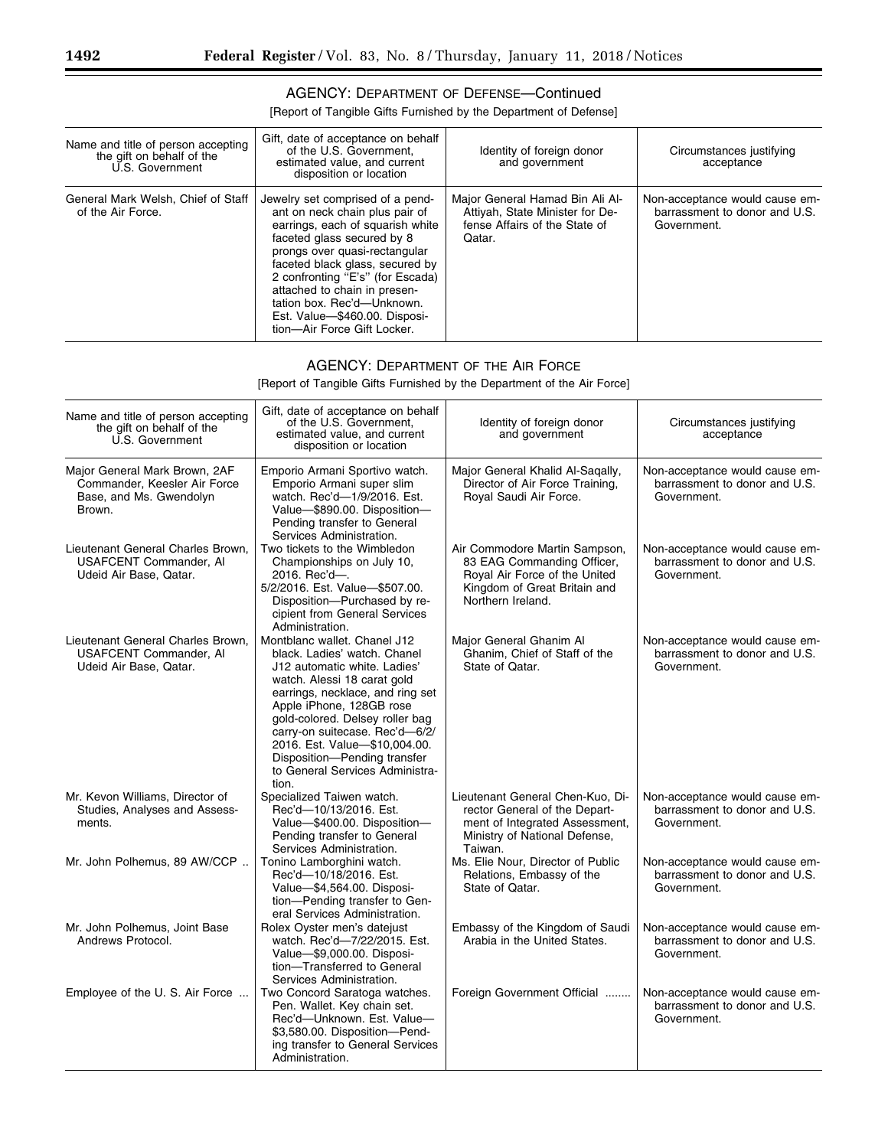### AGENCY: DEPARTMENT OF DEFENSE—Continued

[Report of Tangible Gifts Furnished by the Department of Defense]

| Name and title of person accepting<br>the gift on behalf of the<br>U.S. Government | Gift, date of acceptance on behalf<br>of the U.S. Government.<br>estimated value, and current<br>disposition or location                                                                                                                                                                                                                                                   | Identity of foreign donor<br>and government                                                                   | Circumstances justifying<br>acceptance                                         |
|------------------------------------------------------------------------------------|----------------------------------------------------------------------------------------------------------------------------------------------------------------------------------------------------------------------------------------------------------------------------------------------------------------------------------------------------------------------------|---------------------------------------------------------------------------------------------------------------|--------------------------------------------------------------------------------|
| General Mark Welsh, Chief of Staff<br>of the Air Force.                            | Jewelry set comprised of a pend-<br>ant on neck chain plus pair of<br>earrings, each of squarish white<br>faceted glass secured by 8<br>prongs over quasi-rectangular<br>faceted black glass, secured by<br>2 confronting "E's" (for Escada)<br>attached to chain in presen-<br>tation box. Rec'd-Unknown.<br>Est. Value-\$460.00. Disposi-<br>tion-Air Force Gift Locker. | Major General Hamad Bin Ali Al-<br>Attiyah, State Minister for De-<br>fense Affairs of the State of<br>Qatar. | Non-acceptance would cause em-<br>barrassment to donor and U.S.<br>Government. |

### AGENCY: DEPARTMENT OF THE AIR FORCE

[Report of Tangible Gifts Furnished by the Department of the Air Force]

| Name and title of person accepting<br>the gift on behalf of the<br>U.S. Government                 | Gift, date of acceptance on behalf<br>of the U.S. Government.<br>estimated value, and current<br>disposition or location                                                                                                                                                                                                                                                      | Identity of foreign donor<br>and government                                                                                                       | Circumstances justifying<br>acceptance                                         |
|----------------------------------------------------------------------------------------------------|-------------------------------------------------------------------------------------------------------------------------------------------------------------------------------------------------------------------------------------------------------------------------------------------------------------------------------------------------------------------------------|---------------------------------------------------------------------------------------------------------------------------------------------------|--------------------------------------------------------------------------------|
| Major General Mark Brown, 2AF<br>Commander, Keesler Air Force<br>Base, and Ms. Gwendolyn<br>Brown. | Emporio Armani Sportivo watch.<br>Emporio Armani super slim<br>watch. Rec'd-1/9/2016. Est.<br>Value-\$890.00. Disposition-<br>Pending transfer to General<br>Services Administration.                                                                                                                                                                                         | Major General Khalid Al-Saqally,<br>Director of Air Force Training,<br>Royal Saudi Air Force.                                                     | Non-acceptance would cause em-<br>barrassment to donor and U.S.<br>Government. |
| Lieutenant General Charles Brown.<br><b>USAFCENT Commander, AI</b><br>Udeid Air Base, Qatar.       | Two tickets to the Wimbledon<br>Championships on July 10,<br>2016. Rec'd-.<br>5/2/2016. Est. Value-\$507.00.<br>Disposition-Purchased by re-<br>cipient from General Services<br>Administration.                                                                                                                                                                              | Air Commodore Martin Sampson,<br>83 EAG Commanding Officer,<br>Royal Air Force of the United<br>Kingdom of Great Britain and<br>Northern Ireland. | Non-acceptance would cause em-<br>barrassment to donor and U.S.<br>Government. |
| Lieutenant General Charles Brown.<br><b>USAFCENT Commander, AI</b><br>Udeid Air Base, Qatar.       | Montblanc wallet. Chanel J12<br>black. Ladies' watch. Chanel<br>J12 automatic white. Ladies'<br>watch. Alessi 18 carat gold<br>earrings, necklace, and ring set<br>Apple iPhone, 128GB rose<br>gold-colored. Delsey roller bag<br>carry-on suitecase. Rec'd-6/2/<br>2016. Est. Value-\$10,004.00.<br>Disposition-Pending transfer<br>to General Services Administra-<br>tion. | Major General Ghanim Al<br>Ghanim, Chief of Staff of the<br>State of Qatar.                                                                       | Non-acceptance would cause em-<br>barrassment to donor and U.S.<br>Government. |
| Mr. Kevon Williams, Director of<br>Studies, Analyses and Assess-<br>ments.                         | Specialized Taiwen watch.<br>Rec'd-10/13/2016. Est.<br>Value-\$400.00. Disposition-<br>Pending transfer to General<br>Services Administration.                                                                                                                                                                                                                                | Lieutenant General Chen-Kuo, Di-<br>rector General of the Depart-<br>ment of Integrated Assessment,<br>Ministry of National Defense,<br>Taiwan.   | Non-acceptance would cause em-<br>barrassment to donor and U.S.<br>Government. |
| Mr. John Polhemus, 89 AW/CCP                                                                       | Tonino Lamborghini watch.<br>Rec'd-10/18/2016. Est.<br>Value-\$4,564.00. Disposi-<br>tion-Pending transfer to Gen-<br>eral Services Administration.                                                                                                                                                                                                                           | Ms. Elie Nour, Director of Public<br>Relations, Embassy of the<br>State of Qatar.                                                                 | Non-acceptance would cause em-<br>barrassment to donor and U.S.<br>Government. |
| Mr. John Polhemus, Joint Base<br>Andrews Protocol.                                                 | Rolex Oyster men's datejust<br>watch. Rec'd-7/22/2015. Est.<br>Value-\$9,000.00. Disposi-<br>tion-Transferred to General<br>Services Administration.                                                                                                                                                                                                                          | Embassy of the Kingdom of Saudi<br>Arabia in the United States.                                                                                   | Non-acceptance would cause em-<br>barrassment to donor and U.S.<br>Government. |
| Employee of the U.S. Air Force                                                                     | Two Concord Saratoga watches.<br>Pen. Wallet. Key chain set.<br>Rec'd-Unknown, Est. Value-<br>\$3,580.00. Disposition-Pend-<br>ing transfer to General Services<br>Administration.                                                                                                                                                                                            | Foreign Government Official                                                                                                                       | Non-acceptance would cause em-<br>barrassment to donor and U.S.<br>Government. |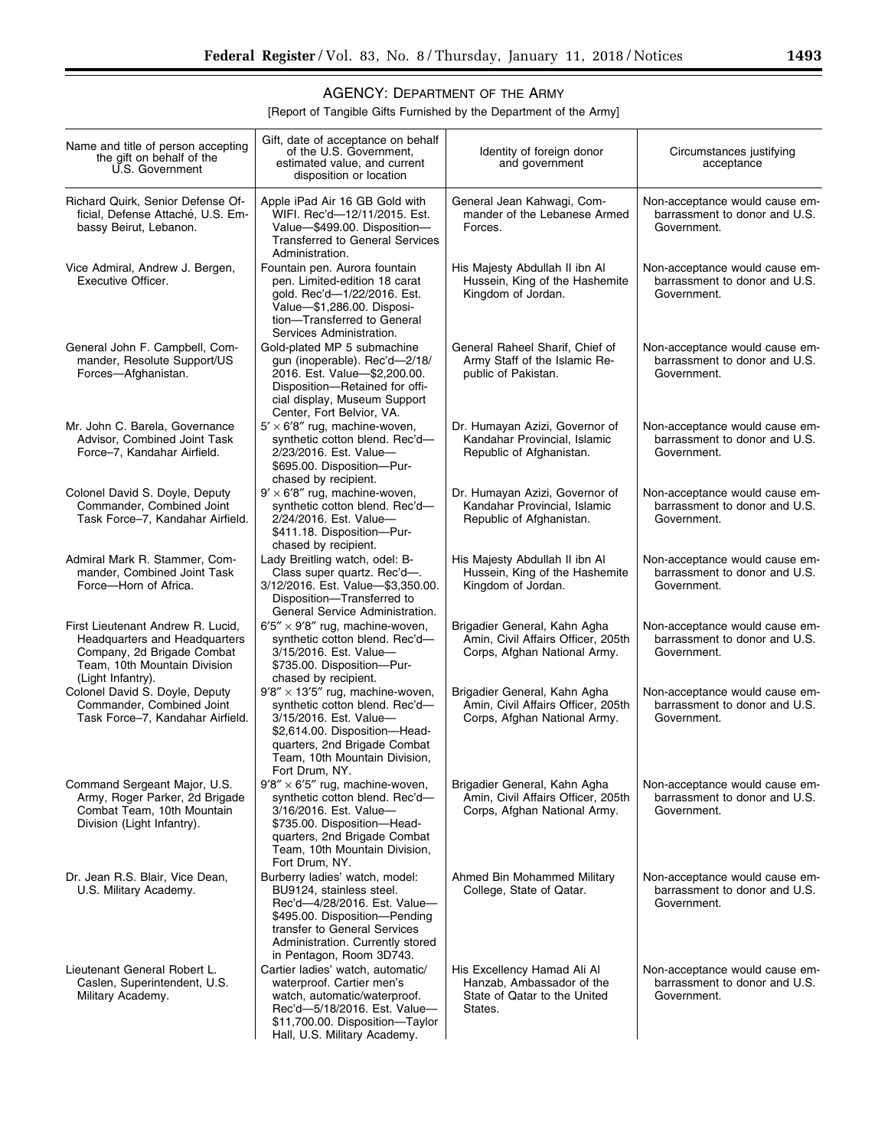## AGENCY: DEPARTMENT OF THE ARMY

[Report of Tangible Gifts Furnished by the Department of the Army]

| Name and title of person accepting<br>the gift on behalf of the<br>U.S. Government                                                                    | Gift, date of acceptance on behalf<br>of the U.S. Government,<br>estimated value, and current<br>disposition or location                                                                                                    | Identity of foreign donor<br>and government                                                         | Circumstances justifying<br>acceptance                                         |
|-------------------------------------------------------------------------------------------------------------------------------------------------------|-----------------------------------------------------------------------------------------------------------------------------------------------------------------------------------------------------------------------------|-----------------------------------------------------------------------------------------------------|--------------------------------------------------------------------------------|
| Richard Quirk, Senior Defense Of-<br>ficial, Defense Attaché, U.S. Em-<br>bassy Beirut, Lebanon.                                                      | Apple iPad Air 16 GB Gold with<br>WIFI. Rec'd-12/11/2015. Est.<br>Value-\$499.00. Disposition-<br><b>Transferred to General Services</b><br>Administration.                                                                 | General Jean Kahwagi, Com-<br>mander of the Lebanese Armed<br>Forces.                               | Non-acceptance would cause em-<br>barrassment to donor and U.S.<br>Government. |
| Vice Admiral, Andrew J. Bergen,<br>Executive Officer.                                                                                                 | Fountain pen. Aurora fountain<br>pen. Limited-edition 18 carat<br>gold. Rec'd-1/22/2016. Est.<br>Value-\$1,286.00. Disposi-<br>tion-Transferred to General<br>Services Administration.                                      | His Majesty Abdullah II ibn Al<br>Hussein, King of the Hashemite<br>Kingdom of Jordan.              | Non-acceptance would cause em-<br>barrassment to donor and U.S.<br>Government. |
| General John F. Campbell, Com-<br>mander, Resolute Support/US<br>Forces-Afghanistan.                                                                  | Gold-plated MP 5 submachine<br>gun (inoperable). Rec'd-2/18/<br>2016. Est. Value-\$2,200.00.<br>Disposition-Retained for offi-<br>cial display, Museum Support<br>Center, Fort Belvior, VA.                                 | General Raheel Sharif, Chief of<br>Army Staff of the Islamic Re-<br>public of Pakistan.             | Non-acceptance would cause em-<br>barrassment to donor and U.S.<br>Government. |
| Mr. John C. Barela, Governance<br>Advisor, Combined Joint Task<br>Force-7, Kandahar Airfield.                                                         | $5' \times 6'8''$ rug, machine-woven,<br>synthetic cotton blend. Rec'd-<br>2/23/2016. Est. Value-<br>\$695.00. Disposition-Pur-<br>chased by recipient.                                                                     | Dr. Humayan Azizi, Governor of<br>Kandahar Provincial, Islamic<br>Republic of Afghanistan.          | Non-acceptance would cause em-<br>barrassment to donor and U.S.<br>Government. |
| Colonel David S. Doyle, Deputy<br>Commander, Combined Joint<br>Task Force-7, Kandahar Airfield.                                                       | $9' \times 6'8''$ rug, machine-woven,<br>synthetic cotton blend. Rec'd-<br>2/24/2016. Est. Value-<br>\$411.18. Disposition-Pur-<br>chased by recipient.                                                                     | Dr. Humayan Azizi, Governor of<br>Kandahar Provincial, Islamic<br>Republic of Afghanistan.          | Non-acceptance would cause em-<br>barrassment to donor and U.S.<br>Government. |
| Admiral Mark R. Stammer, Com-<br>mander, Combined Joint Task<br>Force-Horn of Africa.                                                                 | Lady Breitling watch, odel: B-<br>Class super quartz. Rec'd-.<br>3/12/2016. Est. Value-\$3,350.00.<br>Disposition-Transferred to<br>General Service Administration.                                                         | His Majesty Abdullah II ibn Al<br>Hussein, King of the Hashemite<br>Kingdom of Jordan.              | Non-acceptance would cause em-<br>barrassment to donor and U.S.<br>Government. |
| First Lieutenant Andrew R. Lucid,<br>Headquarters and Headquarters<br>Company, 2d Brigade Combat<br>Team, 10th Mountain Division<br>(Light Infantry). | $6'5'' \times 9'8''$ rug, machine-woven,<br>synthetic cotton blend. Rec'd-<br>3/15/2016. Est. Value-<br>\$735.00. Disposition-Pur-<br>chased by recipient.                                                                  | Brigadier General, Kahn Agha<br>Amin, Civil Affairs Officer, 205th<br>Corps, Afghan National Army.  | Non-acceptance would cause em-<br>barrassment to donor and U.S.<br>Government. |
| Colonel David S. Doyle, Deputy<br>Commander, Combined Joint<br>Task Force-7, Kandahar Airfield.                                                       | $9'8'' \times 13'5''$ rug, machine-woven,<br>synthetic cotton blend. Rec'd-<br>3/15/2016. Est. Value-<br>\$2,614.00. Disposition-Head-<br>quarters, 2nd Brigade Combat<br>Team, 10th Mountain Division,<br>Fort Drum, NY.   | Brigadier General, Kahn Agha<br>Amin. Civil Affairs Officer, 205th<br>Corps, Afghan National Army.  | Non-acceptance would cause em-<br>barrassment to donor and U.S.<br>Government. |
| Command Sergeant Major, U.S.<br>Army, Roger Parker, 2d Brigade<br>Combat Team, 10th Mountain<br>Division (Light Infantry).                            | $9'8'' \times 6'5''$ rug, machine-woven,<br>synthetic cotton blend. Rec'd-<br>3/16/2016. Est. Value-<br>\$735.00. Disposition-Head-<br>quarters, 2nd Brigade Combat<br>Team, 10th Mountain Division,<br>Fort Drum, NY.      | Brigadier General, Kahn Agha<br>Amin, Civil Affairs Officer, 205th<br>Corps, Afghan National Army.  | Non-acceptance would cause em-<br>barrassment to donor and U.S.<br>Government. |
| Dr. Jean R.S. Blair, Vice Dean,<br>U.S. Military Academy.                                                                                             | Burberry ladies' watch, model:<br>BU9124, stainless steel.<br>Rec'd-4/28/2016. Est. Value-<br>\$495.00. Disposition-Pending<br>transfer to General Services<br>Administration. Currently stored<br>in Pentagon, Room 3D743. | Ahmed Bin Mohammed Military<br>College, State of Qatar.                                             | Non-acceptance would cause em-<br>barrassment to donor and U.S.<br>Government. |
| Lieutenant General Robert L.<br>Caslen, Superintendent, U.S.<br>Military Academy.                                                                     | Cartier ladies' watch, automatic/<br>waterproof. Cartier men's<br>watch, automatic/waterproof.<br>Rec'd-5/18/2016. Est. Value-<br>\$11,700.00. Disposition-Taylor<br>Hall, U.S. Military Academy.                           | His Excellency Hamad Ali Al<br>Hanzab, Ambassador of the<br>State of Qatar to the United<br>States. | Non-acceptance would cause em-<br>barrassment to donor and U.S.<br>Government. |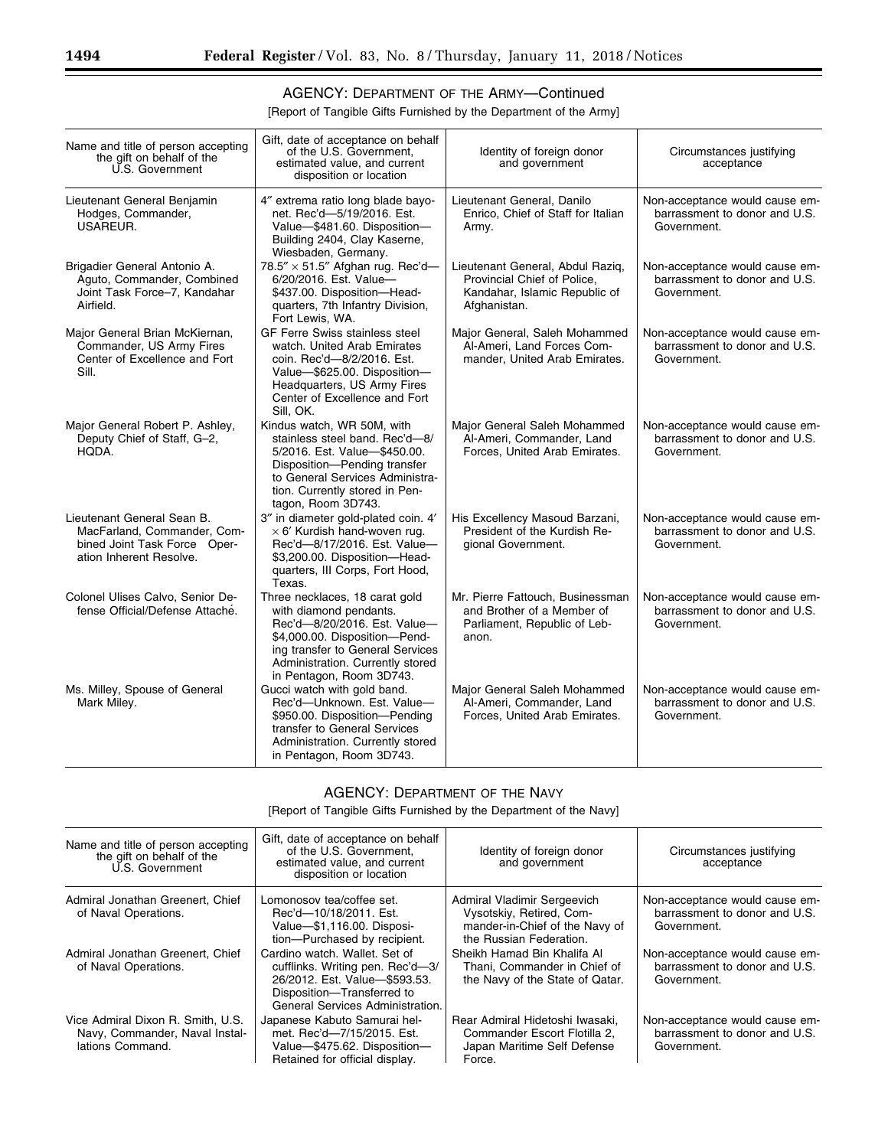## AGENCY: DEPARTMENT OF THE ARMY—Continued

[Report of Tangible Gifts Furnished by the Department of the Army]

| Name and title of person accepting<br>the gift on behalf of the<br>U.S. Government                                   | Gift, date of acceptance on behalf<br>of the U.S. Government.<br>estimated value, and current<br>disposition or location                                                                                                      | Identity of foreign donor<br>and government                                                                      | Circumstances justifying<br>acceptance                                         |
|----------------------------------------------------------------------------------------------------------------------|-------------------------------------------------------------------------------------------------------------------------------------------------------------------------------------------------------------------------------|------------------------------------------------------------------------------------------------------------------|--------------------------------------------------------------------------------|
| Lieutenant General Benjamin<br>Hodges, Commander,<br>USAREUR.                                                        | 4" extrema ratio long blade bayo-<br>net. Rec'd-5/19/2016. Est.<br>Value-\$481.60. Disposition-<br>Building 2404, Clay Kaserne,<br>Wiesbaden, Germany.                                                                        | Lieutenant General, Danilo<br>Enrico, Chief of Staff for Italian<br>Army.                                        | Non-acceptance would cause em-<br>barrassment to donor and U.S.<br>Government. |
| Brigadier General Antonio A.<br>Aguto, Commander, Combined<br>Joint Task Force-7, Kandahar<br>Airfield.              | 78.5" $\times$ 51.5" Afghan rug. Rec'd-<br>6/20/2016. Est. Value-<br>\$437.00. Disposition-Head-<br>quarters, 7th Infantry Division,<br>Fort Lewis, WA.                                                                       | Lieutenant General, Abdul Raziq,<br>Provincial Chief of Police.<br>Kandahar, Islamic Republic of<br>Afghanistan. | Non-acceptance would cause em-<br>barrassment to donor and U.S.<br>Government. |
| Major General Brian McKiernan,<br>Commander, US Army Fires<br>Center of Excellence and Fort<br>Sill.                 | <b>GF Ferre Swiss stainless steel</b><br>watch. United Arab Emirates<br>coin. Rec'd-8/2/2016. Est.<br>Value-\$625.00. Disposition-<br>Headquarters, US Army Fires<br>Center of Excellence and Fort<br>Sill, OK.               | Major General, Saleh Mohammed<br>Al-Ameri, Land Forces Com-<br>mander, United Arab Emirates.                     | Non-acceptance would cause em-<br>barrassment to donor and U.S.<br>Government. |
| Major General Robert P. Ashley,<br>Deputy Chief of Staff, G-2,<br>HQDA.                                              | Kindus watch, WR 50M, with<br>stainless steel band. Rec'd-8/<br>5/2016. Est. Value-\$450.00.<br>Disposition-Pending transfer<br>to General Services Administra-<br>tion. Currently stored in Pen-<br>tagon, Room 3D743.       | Major General Saleh Mohammed<br>Al-Ameri, Commander, Land<br>Forces, United Arab Emirates.                       | Non-acceptance would cause em-<br>barrassment to donor and U.S.<br>Government. |
| Lieutenant General Sean B.<br>MacFarland, Commander, Com-<br>bined Joint Task Force Oper-<br>ation Inherent Resolve. | 3" in diameter gold-plated coin. 4'<br>$\times$ 6' Kurdish hand-woven rug.<br>Rec'd-8/17/2016. Est. Value-<br>\$3,200.00. Disposition-Head-<br>quarters, III Corps, Fort Hood,<br>Texas.                                      | His Excellency Masoud Barzani,<br>President of the Kurdish Re-<br>gional Government.                             | Non-acceptance would cause em-<br>barrassment to donor and U.S.<br>Government. |
| Colonel Ulises Calvo, Senior De-<br>fense Official/Defense Attaché.                                                  | Three necklaces, 18 carat gold<br>with diamond pendants.<br>Rec'd-8/20/2016. Est. Value-<br>\$4,000.00. Disposition-Pend-<br>ing transfer to General Services<br>Administration. Currently stored<br>in Pentagon, Room 3D743. | Mr. Pierre Fattouch, Businessman<br>and Brother of a Member of<br>Parliament, Republic of Leb-<br>anon.          | Non-acceptance would cause em-<br>barrassment to donor and U.S.<br>Government. |
| Ms. Milley, Spouse of General<br>Mark Miley.                                                                         | Gucci watch with gold band.<br>Rec'd-Unknown. Est. Value-<br>\$950.00. Disposition-Pending<br>transfer to General Services<br>Administration. Currently stored<br>in Pentagon, Room 3D743.                                    | Major General Saleh Mohammed<br>Al-Ameri, Commander, Land<br>Forces, United Arab Emirates.                       | Non-acceptance would cause em-<br>barrassment to donor and U.S.<br>Government. |

### AGENCY: DEPARTMENT OF THE NAVY

| Name and title of person accepting<br>the gift on behalf of the<br>U.S. Government      | Gift, date of acceptance on behalf<br>of the U.S. Government,<br>estimated value, and current<br>disposition or location                                             | Identity of foreign donor<br>and government                                                                          | Circumstances justifying<br>acceptance                                         |
|-----------------------------------------------------------------------------------------|----------------------------------------------------------------------------------------------------------------------------------------------------------------------|----------------------------------------------------------------------------------------------------------------------|--------------------------------------------------------------------------------|
| Admiral Jonathan Greenert, Chief<br>of Naval Operations.                                | Lomonosov tea/coffee set.<br>Rec'd-10/18/2011. Est.<br>Value-\$1,116.00. Disposi-<br>tion-Purchased by recipient.                                                    | Admiral Vladimir Sergeevich<br>Vysotskiy, Retired, Com-<br>mander-in-Chief of the Navy of<br>the Russian Federation. | Non-acceptance would cause em-<br>barrassment to donor and U.S.<br>Government. |
| Admiral Jonathan Greenert, Chief<br>of Naval Operations.                                | Cardino watch, Wallet, Set of<br>cufflinks. Writing pen. Rec'd-3/<br>26/2012. Est. Value-\$593.53.<br>Disposition-Transferred to<br>General Services Administration. | Sheikh Hamad Bin Khalifa Al<br>Thani, Commander in Chief of<br>the Navy of the State of Qatar.                       | Non-acceptance would cause em-<br>barrassment to donor and U.S.<br>Government. |
| Vice Admiral Dixon R. Smith, U.S.<br>Navy, Commander, Naval Instal-<br>lations Command. | Japanese Kabuto Samurai hel-<br>met. Rec'd-7/15/2015. Est.<br>Value-\$475.62. Disposition-<br>Retained for official display.                                         | Rear Admiral Hidetoshi Iwasaki,<br>Commander Escort Flotilla 2,<br>Japan Maritime Self Defense<br>Force.             | Non-acceptance would cause em-<br>barrassment to donor and U.S.<br>Government. |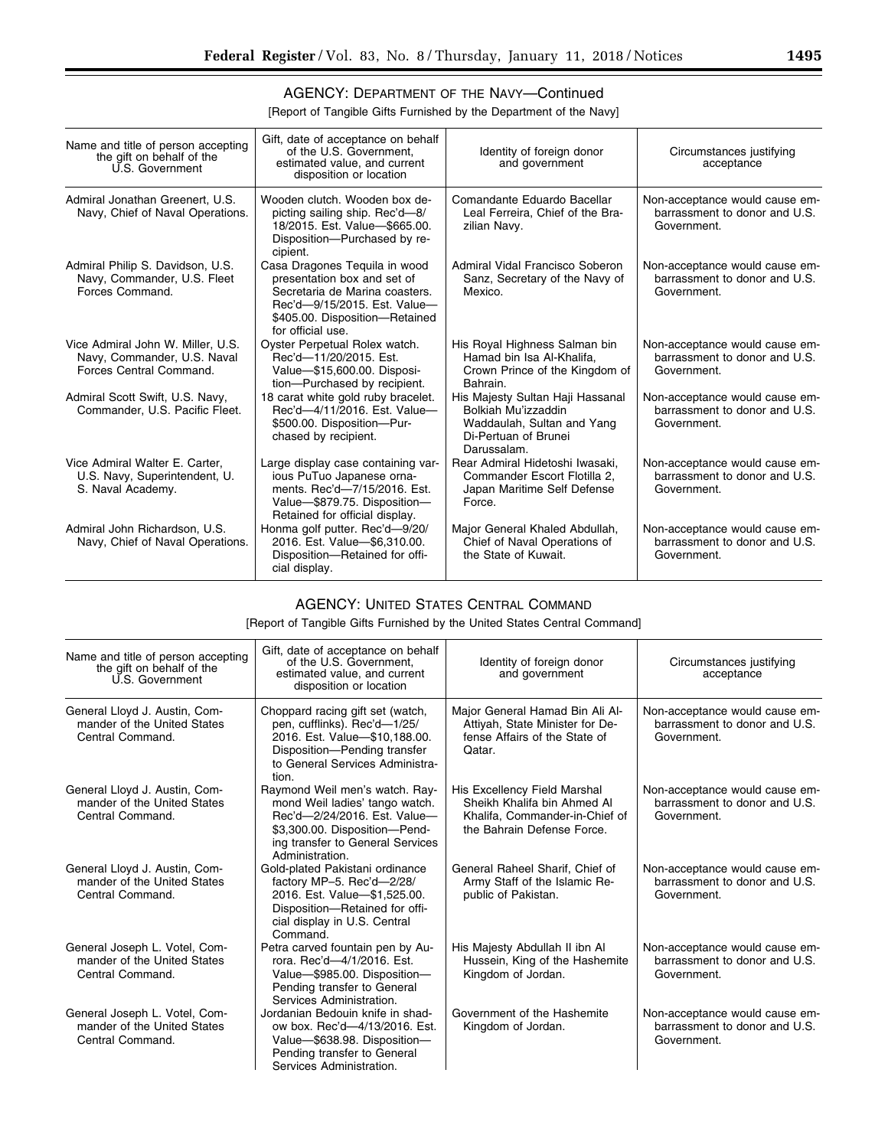٠

## AGENCY: DEPARTMENT OF THE NAVY—Continued

[Report of Tangible Gifts Furnished by the Department of the Navy]

| Name and title of person accepting<br>the gift on behalf of the<br>U.S. Government          | Gift, date of acceptance on behalf<br>of the U.S. Government.<br>estimated value, and current<br>disposition or location                                                              | Identity of foreign donor<br>and government                                                                                  | Circumstances justifying<br>acceptance                                         |
|---------------------------------------------------------------------------------------------|---------------------------------------------------------------------------------------------------------------------------------------------------------------------------------------|------------------------------------------------------------------------------------------------------------------------------|--------------------------------------------------------------------------------|
| Admiral Jonathan Greenert, U.S.<br>Navy, Chief of Naval Operations.                         | Wooden clutch. Wooden box de-<br>picting sailing ship. Rec'd-8/<br>18/2015. Est. Value-\$665.00.<br>Disposition--- Purchased by re-<br>cipient.                                       | Comandante Eduardo Bacellar<br>Leal Ferreira, Chief of the Bra-<br>zilian Navy.                                              | Non-acceptance would cause em-<br>barrassment to donor and U.S.<br>Government. |
| Admiral Philip S. Davidson, U.S.<br>Navy, Commander, U.S. Fleet<br>Forces Command.          | Casa Dragones Teguila in wood<br>presentation box and set of<br>Secretaria de Marina coasters.<br>Rec'd-9/15/2015. Est. Value-<br>\$405.00. Disposition-Retained<br>for official use. | Admiral Vidal Francisco Soberon<br>Sanz, Secretary of the Navy of<br>Mexico.                                                 | Non-acceptance would cause em-<br>barrassment to donor and U.S.<br>Government. |
| Vice Admiral John W. Miller, U.S.<br>Navy, Commander, U.S. Naval<br>Forces Central Command. | Oyster Perpetual Rolex watch.<br>Rec'd-11/20/2015. Est.<br>Value-\$15,600.00. Disposi-<br>tion-Purchased by recipient.                                                                | His Royal Highness Salman bin<br>Hamad bin Isa Al-Khalifa.<br>Crown Prince of the Kingdom of<br>Bahrain.                     | Non-acceptance would cause em-<br>barrassment to donor and U.S.<br>Government. |
| Admiral Scott Swift, U.S. Navy,<br>Commander, U.S. Pacific Fleet.                           | 18 carat white gold ruby bracelet.<br>Rec'd-4/11/2016. Est. Value-<br>\$500.00. Disposition-Pur-<br>chased by recipient.                                                              | His Majesty Sultan Haji Hassanal<br>Bolkiah Mu'izzaddin<br>Waddaulah, Sultan and Yang<br>Di-Pertuan of Brunei<br>Darussalam. | Non-acceptance would cause em-<br>barrassment to donor and U.S.<br>Government. |
| Vice Admiral Walter E. Carter,<br>U.S. Navy, Superintendent, U.<br>S. Naval Academy.        | Large display case containing var-<br>ious PuTuo Japanese orna-<br>ments. Rec'd-7/15/2016. Est.<br>Value-\$879.75. Disposition-<br>Retained for official display.                     | Rear Admiral Hidetoshi Iwasaki,<br>Commander Escort Flotilla 2,<br>Japan Maritime Self Defense<br>Force.                     | Non-acceptance would cause em-<br>barrassment to donor and U.S.<br>Government. |
| Admiral John Richardson, U.S.<br>Navy, Chief of Naval Operations.                           | Honma golf putter. Rec'd-9/20/<br>2016. Est. Value-\$6,310.00.<br>Disposition-Retained for offi-<br>cial display.                                                                     | Major General Khaled Abdullah,<br>Chief of Naval Operations of<br>the State of Kuwait.                                       | Non-acceptance would cause em-<br>barrassment to donor and U.S.<br>Government. |

#### AGENCY: UNITED STATES CENTRAL COMMAND

[Report of Tangible Gifts Furnished by the United States Central Command]

| Name and title of person accepting<br>the gift on behalf of the<br>U.S. Government | Gift, date of acceptance on behalf<br>of the U.S. Government.<br>estimated value, and current<br>disposition or location                                                                 | Identity of foreign donor<br>and government                                                                                 | Circumstances justifying<br>acceptance                                         |
|------------------------------------------------------------------------------------|------------------------------------------------------------------------------------------------------------------------------------------------------------------------------------------|-----------------------------------------------------------------------------------------------------------------------------|--------------------------------------------------------------------------------|
| General Lloyd J. Austin, Com-<br>mander of the United States<br>Central Command.   | Choppard racing gift set (watch,<br>pen, cufflinks). Rec'd-1/25/<br>2016. Est. Value-\$10,188.00.<br>Disposition-Pending transfer<br>to General Services Administra-<br>tion.            | Major General Hamad Bin Ali Al-<br>Attiyah, State Minister for De-<br>fense Affairs of the State of<br>Qatar.               | Non-acceptance would cause em-<br>barrassment to donor and U.S.<br>Government. |
| General Lloyd J. Austin, Com-<br>mander of the United States<br>Central Command.   | Raymond Weil men's watch. Ray-<br>mond Weil ladies' tango watch.<br>Rec'd-2/24/2016. Est. Value-<br>\$3,300.00. Disposition-Pend-<br>ing transfer to General Services<br>Administration. | His Excellency Field Marshal<br>Sheikh Khalifa bin Ahmed Al<br>Khalifa. Commander-in-Chief of<br>the Bahrain Defense Force. | Non-acceptance would cause em-<br>barrassment to donor and U.S.<br>Government. |
| General Lloyd J. Austin, Com-<br>mander of the United States<br>Central Command.   | Gold-plated Pakistani ordinance<br>factory MP-5. Rec'd-2/28/<br>2016. Est. Value-\$1,525.00.<br>Disposition-Retained for offi-<br>cial display in U.S. Central<br>Command.               | General Raheel Sharif, Chief of<br>Army Staff of the Islamic Re-<br>public of Pakistan.                                     | Non-acceptance would cause em-<br>barrassment to donor and U.S.<br>Government. |
| General Joseph L. Votel, Com-<br>mander of the United States<br>Central Command.   | Petra carved fountain pen by Au-<br>rora. Rec'd-4/1/2016. Est.<br>Value-\$985.00. Disposition-<br>Pending transfer to General<br>Services Administration.                                | His Majesty Abdullah II ibn Al<br>Hussein, King of the Hashemite<br>Kingdom of Jordan.                                      | Non-acceptance would cause em-<br>barrassment to donor and U.S.<br>Government. |
| General Joseph L. Votel, Com-<br>mander of the United States<br>Central Command.   | Jordanian Bedouin knife in shad-<br>ow box. Rec'd-4/13/2016. Est.<br>Value-\$638.98. Disposition-<br>Pending transfer to General<br>Services Administration.                             | Government of the Hashemite<br>Kingdom of Jordan.                                                                           | Non-acceptance would cause em-<br>barrassment to donor and U.S.<br>Government. |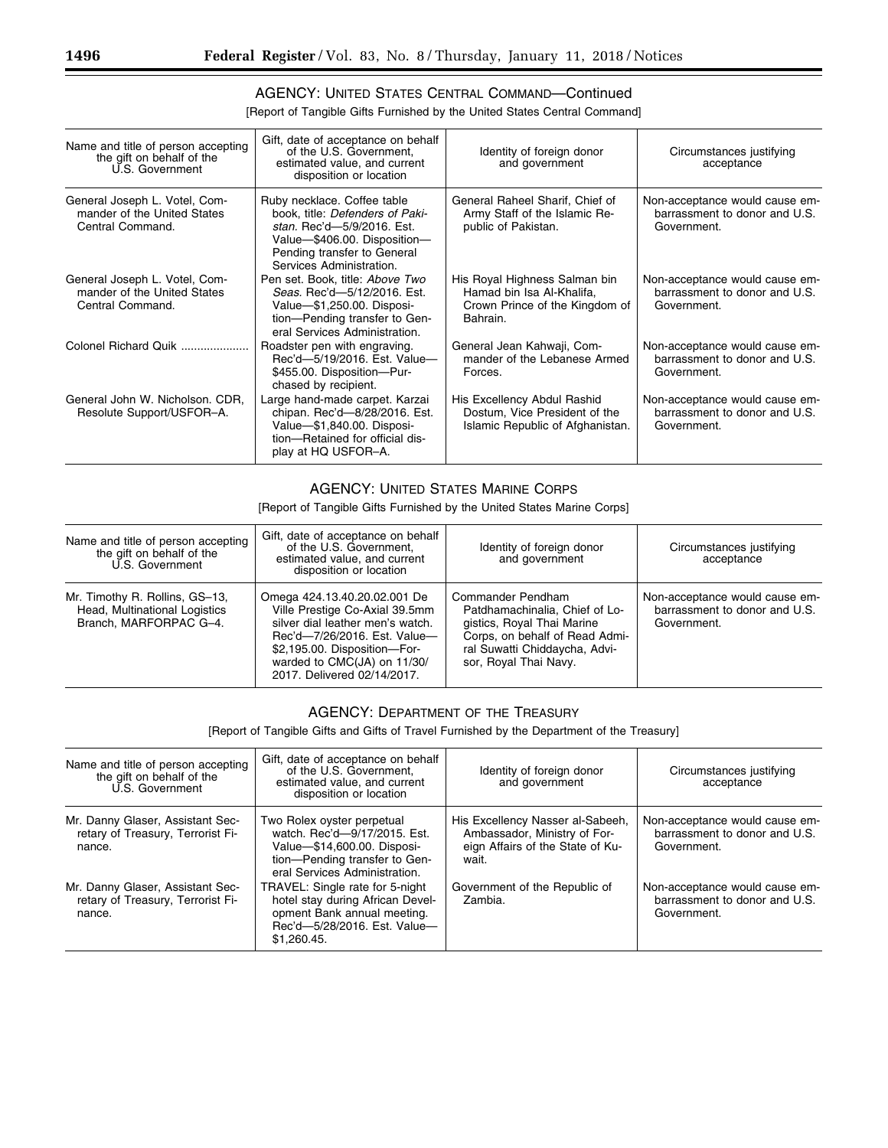## AGENCY: UNITED STATES CENTRAL COMMAND—Continued

[Report of Tangible Gifts Furnished by the United States Central Command]

| Name and title of person accepting<br>the gift on behalf of the<br>U.S. Government | Gift, date of acceptance on behalf<br>of the U.S. Government,<br>estimated value, and current<br>disposition or location                                                                | Identity of foreign donor<br>and government                                                              | Circumstances justifying<br>acceptance                                         |
|------------------------------------------------------------------------------------|-----------------------------------------------------------------------------------------------------------------------------------------------------------------------------------------|----------------------------------------------------------------------------------------------------------|--------------------------------------------------------------------------------|
| General Joseph L. Votel, Com-<br>mander of the United States<br>Central Command.   | Ruby necklace. Coffee table<br>book, title: Defenders of Paki-<br>stan. Rec'd-5/9/2016. Est.<br>Value-\$406.00. Disposition-<br>Pending transfer to General<br>Services Administration. | General Raheel Sharif, Chief of<br>Army Staff of the Islamic Re-<br>public of Pakistan.                  | Non-acceptance would cause em-<br>barrassment to donor and U.S.<br>Government. |
| General Joseph L. Votel, Com-<br>mander of the United States<br>Central Command.   | Pen set. Book, title: Above Two<br>Seas. Rec'd-5/12/2016. Est.<br>Value-\$1,250.00. Disposi-<br>tion-Pending transfer to Gen-<br>eral Services Administration.                          | His Royal Highness Salman bin<br>Hamad bin Isa Al-Khalifa,<br>Crown Prince of the Kingdom of<br>Bahrain. | Non-acceptance would cause em-<br>barrassment to donor and U.S.<br>Government. |
| Colonel Richard Quik                                                               | Roadster pen with engraving.<br>Rec'd-5/19/2016. Est. Value-<br>\$455.00. Disposition-Pur-<br>chased by recipient.                                                                      | General Jean Kahwaji, Com-<br>mander of the Lebanese Armed<br>Forces.                                    | Non-acceptance would cause em-<br>barrassment to donor and U.S.<br>Government. |
| General John W. Nicholson. CDR.<br>Resolute Support/USFOR-A.                       | Large hand-made carpet. Karzai<br>chipan. Rec'd-8/28/2016. Est.<br>Value-\$1,840.00. Disposi-<br>tion-Retained for official dis-<br>play at HQ USFOR-A.                                 | His Excellency Abdul Rashid<br>Dostum, Vice President of the<br>Islamic Republic of Afghanistan.         | Non-acceptance would cause em-<br>barrassment to donor and U.S.<br>Government. |

#### AGENCY: UNITED STATES MARINE CORPS

[Report of Tangible Gifts Furnished by the United States Marine Corps]

| Name and title of person accepting<br>the gift on behalf of the<br>U.S. Government        | Gift, date of acceptance on behalf<br>of the U.S. Government,<br>estimated value, and current<br>disposition or location                                                                                                         | Identity of foreign donor<br>and government                                                                                                                                   | Circumstances justifying<br>acceptance                                         |
|-------------------------------------------------------------------------------------------|----------------------------------------------------------------------------------------------------------------------------------------------------------------------------------------------------------------------------------|-------------------------------------------------------------------------------------------------------------------------------------------------------------------------------|--------------------------------------------------------------------------------|
| Mr. Timothy R. Rollins, GS-13,<br>Head, Multinational Logistics<br>Branch, MARFORPAC G-4. | Omega 424.13.40.20.02.001 De<br>Ville Prestige Co-Axial 39.5mm<br>silver dial leather men's watch.<br>Rec'd-7/26/2016. Est. Value-<br>\$2,195.00. Disposition-For-<br>warded to CMC(JA) on 11/30/<br>2017. Delivered 02/14/2017. | Commander Pendham<br>Patdhamachinalia, Chief of Lo-<br>gistics, Royal Thai Marine<br>Corps, on behalf of Read Admi-<br>ral Suwatti Chiddaycha, Advi-<br>sor, Royal Thai Navy. | Non-acceptance would cause em-<br>barrassment to donor and U.S.<br>Government. |

#### AGENCY: DEPARTMENT OF THE TREASURY

[Report of Tangible Gifts and Gifts of Travel Furnished by the Department of the Treasury]

| Name and title of person accepting<br>the gift on behalf of the<br>U.S. Government | Gift, date of acceptance on behalf<br>of the U.S. Government.<br>estimated value, and current<br>disposition or location                                    | Identity of foreign donor<br>and government                                                                   | Circumstances justifying<br>acceptance                                         |
|------------------------------------------------------------------------------------|-------------------------------------------------------------------------------------------------------------------------------------------------------------|---------------------------------------------------------------------------------------------------------------|--------------------------------------------------------------------------------|
| Mr. Danny Glaser, Assistant Sec-<br>retary of Treasury, Terrorist Fi-<br>nance.    | Two Rolex oyster perpetual<br>watch. Rec'd-9/17/2015. Est.<br>Value-\$14,600.00. Disposi-<br>tion-Pending transfer to Gen-<br>eral Services Administration. | His Excellency Nasser al-Sabeeh,<br>Ambassador, Ministry of For-<br>eign Affairs of the State of Ku-<br>wait. | Non-acceptance would cause em-<br>barrassment to donor and U.S.<br>Government. |
| Mr. Danny Glaser, Assistant Sec-<br>retary of Treasury, Terrorist Fi-<br>nance.    | TRAVEL: Single rate for 5-night<br>hotel stay during African Devel-<br>opment Bank annual meeting.<br>Rec'd-5/28/2016. Est. Value-<br>\$1.260.45.           | Government of the Republic of<br>Zambia.                                                                      | Non-acceptance would cause em-<br>barrassment to donor and U.S.<br>Government. |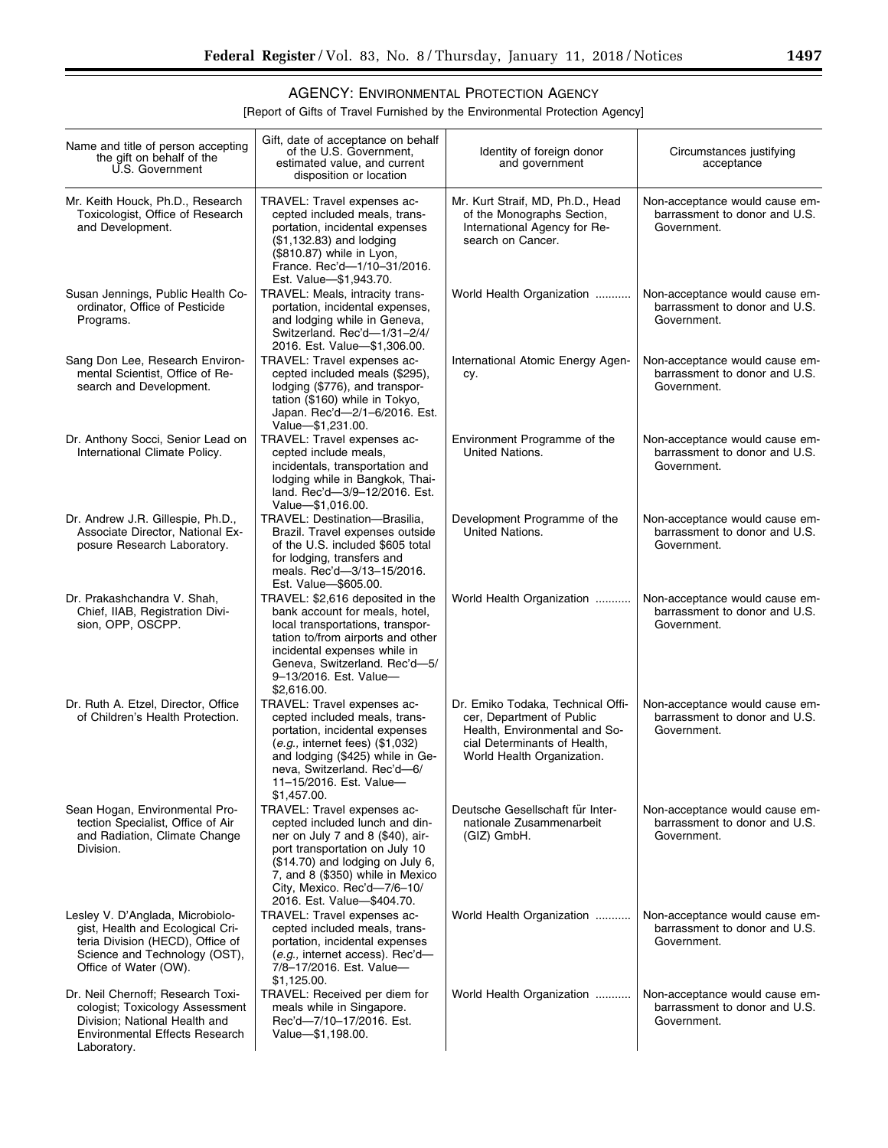▀

## AGENCY: ENVIRONMENTAL PROTECTION AGENCY

[Report of Gifts of Travel Furnished by the Environmental Protection Agency]

| Name and title of person accepting<br>the gift on behalf of the<br>U.S. Government                                                                                 | Gift, date of acceptance on behalf<br>of the U.S. Government,<br>estimated value, and current<br>disposition or location                                                                                                                                                 | Identity of foreign donor<br>and government                                                                                                                   | Circumstances justifying<br>acceptance                                         |
|--------------------------------------------------------------------------------------------------------------------------------------------------------------------|--------------------------------------------------------------------------------------------------------------------------------------------------------------------------------------------------------------------------------------------------------------------------|---------------------------------------------------------------------------------------------------------------------------------------------------------------|--------------------------------------------------------------------------------|
| Mr. Keith Houck, Ph.D., Research<br>Toxicologist, Office of Research<br>and Development.                                                                           | TRAVEL: Travel expenses ac-<br>cepted included meals, trans-<br>portation, incidental expenses<br>(\$1,132.83) and lodging<br>(\$810.87) while in Lyon,<br>France. Rec'd-1/10-31/2016.<br>Est. Value-\$1,943.70.                                                         | Mr. Kurt Straif, MD, Ph.D., Head<br>of the Monographs Section,<br>International Agency for Re-<br>search on Cancer.                                           | Non-acceptance would cause em-<br>barrassment to donor and U.S.<br>Government. |
| Susan Jennings, Public Health Co-<br>ordinator, Office of Pesticide<br>Programs.                                                                                   | TRAVEL: Meals, intracity trans-<br>portation, incidental expenses,<br>and lodging while in Geneva,<br>Switzerland. Rec'd-1/31-2/4/<br>2016. Est. Value-\$1,306.00.                                                                                                       | World Health Organization                                                                                                                                     | Non-acceptance would cause em-<br>barrassment to donor and U.S.<br>Government. |
| Sang Don Lee, Research Environ-<br>mental Scientist, Office of Re-<br>search and Development.                                                                      | TRAVEL: Travel expenses ac-<br>cepted included meals (\$295),<br>lodging (\$776), and transpor-<br>tation (\$160) while in Tokyo,<br>Japan. Rec'd-2/1-6/2016. Est.<br>Value-\$1,231.00.                                                                                  | International Atomic Energy Agen-<br>cy.                                                                                                                      | Non-acceptance would cause em-<br>barrassment to donor and U.S.<br>Government. |
| Dr. Anthony Socci, Senior Lead on<br>International Climate Policy.                                                                                                 | TRAVEL: Travel expenses ac-<br>cepted include meals,<br>incidentals, transportation and<br>lodging while in Bangkok, Thai-<br>land. Rec'd-3/9-12/2016. Est.<br>Value-\$1,016.00.                                                                                         | Environment Programme of the<br>United Nations.                                                                                                               | Non-acceptance would cause em-<br>barrassment to donor and U.S.<br>Government. |
| Dr. Andrew J.R. Gillespie, Ph.D.,<br>Associate Director, National Ex-<br>posure Research Laboratory.                                                               | TRAVEL: Destination-Brasilia,<br>Brazil. Travel expenses outside<br>of the U.S. included \$605 total<br>for lodging, transfers and<br>meals. Rec'd-3/13-15/2016.<br>Est. Value-\$605.00.                                                                                 | Development Programme of the<br>United Nations.                                                                                                               | Non-acceptance would cause em-<br>barrassment to donor and U.S.<br>Government. |
| Dr. Prakashchandra V. Shah,<br>Chief, IIAB, Registration Divi-<br>sion, OPP, OSCPP.                                                                                | TRAVEL: \$2,616 deposited in the<br>bank account for meals, hotel,<br>local transportations, transpor-<br>tation to/from airports and other<br>incidental expenses while in<br>Geneva, Switzerland. Rec'd-5/<br>9-13/2016. Est. Value-<br>\$2,616.00.                    | World Health Organization                                                                                                                                     | Non-acceptance would cause em-<br>barrassment to donor and U.S.<br>Government. |
| Dr. Ruth A. Etzel, Director, Office<br>of Children's Health Protection.                                                                                            | TRAVEL: Travel expenses ac-<br>cepted included meals, trans-<br>portation, incidental expenses<br>$(e.g.,$ internet fees) $(\$1,032)$<br>and lodging (\$425) while in Ge-<br>neva, Switzerland. Rec'd-6/<br>11-15/2016. Est. Value-<br>\$1,457.00.                       | Dr. Emiko Todaka, Technical Offi-<br>cer, Department of Public<br>Health, Environmental and So-<br>cial Determinants of Health,<br>World Health Organization. | Non-acceptance would cause em-<br>barrassment to donor and U.S.<br>Government. |
| Sean Hogan, Environmental Pro-<br>tection Specialist, Office of Air<br>and Radiation, Climate Change<br>Division.                                                  | TRAVEL: Travel expenses ac-<br>cepted included lunch and din-<br>ner on July 7 and 8 (\$40), air-<br>port transportation on July 10<br>(\$14.70) and lodging on July 6,<br>7, and 8 (\$350) while in Mexico<br>City, Mexico. Rec'd-7/6-10/<br>2016. Est. Value-\$404.70. | Deutsche Gesellschaft für Inter-<br>nationale Zusammenarbeit<br>(GIZ) GmbH.                                                                                   | Non-acceptance would cause em-<br>barrassment to donor and U.S.<br>Government. |
| Lesley V. D'Anglada, Microbiolo-<br>gist, Health and Ecological Cri-<br>teria Division (HECD), Office of<br>Science and Technology (OST),<br>Office of Water (OW). | TRAVEL: Travel expenses ac-<br>cepted included meals, trans-<br>portation, incidental expenses<br>(e.g., internet access). Rec'd-<br>7/8-17/2016. Est. Value-<br>\$1,125.00.                                                                                             | World Health Organization                                                                                                                                     | Non-acceptance would cause em-<br>barrassment to donor and U.S.<br>Government. |
| Dr. Neil Chernoff; Research Toxi-<br>cologist; Toxicology Assessment<br>Division; National Health and<br>Environmental Effects Research<br>Laboratory.             | TRAVEL: Received per diem for<br>meals while in Singapore.<br>Rec'd-7/10-17/2016. Est.<br>Value-\$1,198.00.                                                                                                                                                              | World Health Organization                                                                                                                                     | Non-acceptance would cause em-<br>barrassment to donor and U.S.<br>Government. |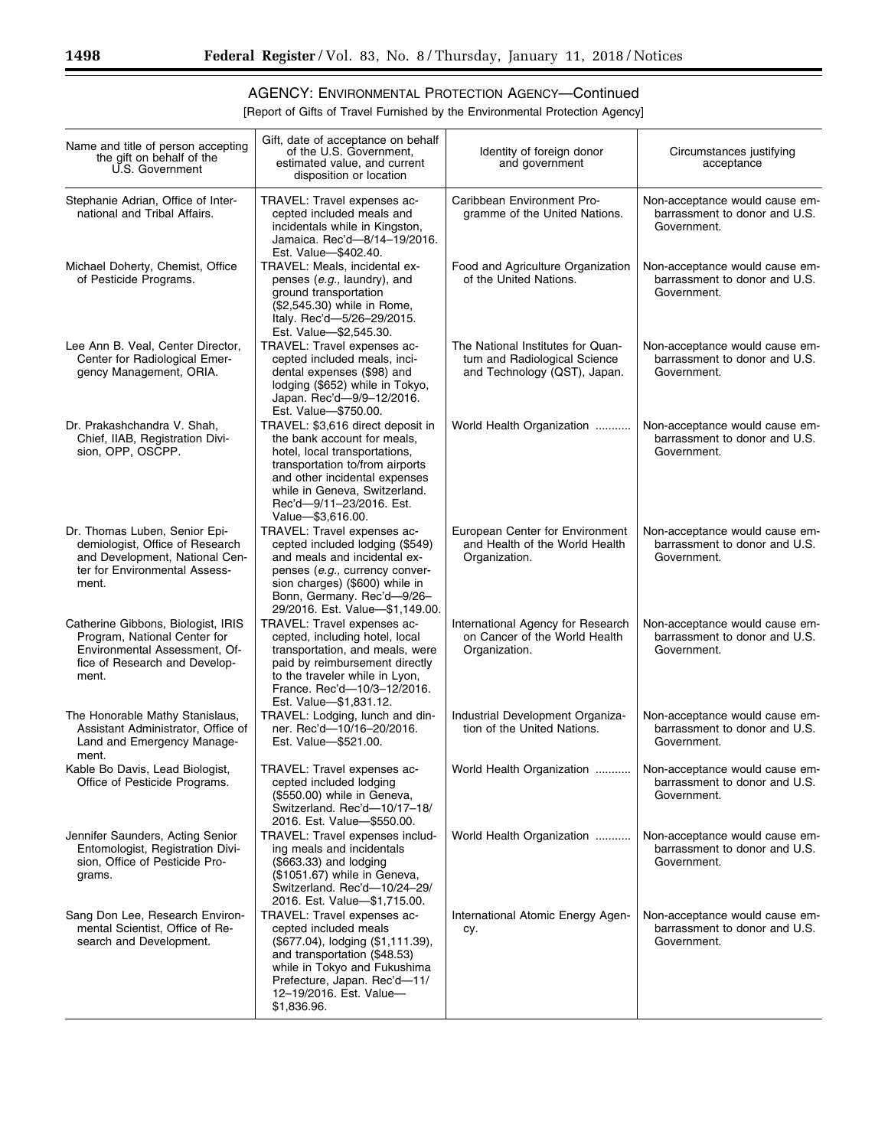## AGENCY: ENVIRONMENTAL PROTECTION AGENCY—Continued

[Report of Gifts of Travel Furnished by the Environmental Protection Agency]

| Name and title of person accepting<br>the gift on behalf of the<br>U.S. Government                                                            | Gift, date of acceptance on behalf<br>of the U.S. Government.<br>estimated value, and current<br>disposition or location                                                                                                                                | Identity of foreign donor<br>and government                                                       | Circumstances justifying<br>acceptance                                         |
|-----------------------------------------------------------------------------------------------------------------------------------------------|---------------------------------------------------------------------------------------------------------------------------------------------------------------------------------------------------------------------------------------------------------|---------------------------------------------------------------------------------------------------|--------------------------------------------------------------------------------|
| Stephanie Adrian, Office of Inter-<br>national and Tribal Affairs.                                                                            | TRAVEL: Travel expenses ac-<br>cepted included meals and<br>incidentals while in Kingston,<br>Jamaica. Rec'd-8/14-19/2016.<br>Est. Value-\$402.40.                                                                                                      | Caribbean Environment Pro-<br>gramme of the United Nations.                                       | Non-acceptance would cause em-<br>barrassment to donor and U.S.<br>Government. |
| Michael Doherty, Chemist, Office<br>of Pesticide Programs.                                                                                    | TRAVEL: Meals, incidental ex-<br>penses (e.g., laundry), and<br>ground transportation<br>(\$2,545.30) while in Rome,<br>Italy. Rec'd-5/26-29/2015.<br>Est. Value-\$2,545.30.                                                                            | Food and Agriculture Organization<br>of the United Nations.                                       | Non-acceptance would cause em-<br>barrassment to donor and U.S.<br>Government. |
| Lee Ann B. Veal, Center Director,<br>Center for Radiological Emer-<br>gency Management, ORIA.                                                 | TRAVEL: Travel expenses ac-<br>cepted included meals, inci-<br>dental expenses (\$98) and<br>lodging (\$652) while in Tokyo,<br>Japan. Rec'd-9/9-12/2016.<br>Est. Value-\$750.00.                                                                       | The National Institutes for Quan-<br>tum and Radiological Science<br>and Technology (QST), Japan. | Non-acceptance would cause em-<br>barrassment to donor and U.S.<br>Government. |
| Dr. Prakashchandra V. Shah,<br>Chief, IIAB, Registration Divi-<br>sion, OPP, OSCPP.                                                           | TRAVEL: \$3,616 direct deposit in<br>the bank account for meals,<br>hotel, local transportations,<br>transportation to/from airports<br>and other incidental expenses<br>while in Geneva, Switzerland.<br>Rec'd-9/11-23/2016. Est.<br>Value-\$3,616.00. | World Health Organization                                                                         | Non-acceptance would cause em-<br>barrassment to donor and U.S.<br>Government. |
| Dr. Thomas Luben, Senior Epi-<br>demiologist, Office of Research<br>and Development, National Cen-<br>ter for Environmental Assess-<br>ment.  | TRAVEL: Travel expenses ac-<br>cepted included lodging (\$549)<br>and meals and incidental ex-<br>penses (e.g., currency conver-<br>sion charges) (\$600) while in<br>Bonn, Germany. Rec'd-9/26-<br>29/2016. Est. Value-- \$1,149.00.                   | European Center for Environment<br>and Health of the World Health<br>Organization.                | Non-acceptance would cause em-<br>barrassment to donor and U.S.<br>Government. |
| Catherine Gibbons, Biologist, IRIS<br>Program, National Center for<br>Environmental Assessment, Of-<br>fice of Research and Develop-<br>ment. | TRAVEL: Travel expenses ac-<br>cepted, including hotel, local<br>transportation, and meals, were<br>paid by reimbursement directly<br>to the traveler while in Lyon,<br>France. Rec'd-10/3-12/2016.<br>Est. Value-\$1,831.12.                           | International Agency for Research<br>on Cancer of the World Health<br>Organization.               | Non-acceptance would cause em-<br>barrassment to donor and U.S.<br>Government. |
| The Honorable Mathy Stanislaus,<br>Assistant Administrator, Office of<br>Land and Emergency Manage-<br>ment.                                  | TRAVEL: Lodging, lunch and din-<br>ner. Rec'd-10/16-20/2016.<br>Est. Value-\$521.00.                                                                                                                                                                    | Industrial Development Organiza-<br>tion of the United Nations.                                   | Non-acceptance would cause em-<br>barrassment to donor and U.S.<br>Government. |
| Kable Bo Davis, Lead Biologist,<br>Office of Pesticide Programs.                                                                              | TRAVEL: Travel expenses ac-<br>cepted included lodging<br>(\$550.00) while in Geneva,<br>Switzerland. Rec'd-10/17-18/<br>2016. Est. Value-\$550.00.                                                                                                     | World Health Organization                                                                         | Non-acceptance would cause em-<br>barrassment to donor and U.S.<br>Government. |
| Jennifer Saunders, Acting Senior<br>Entomologist, Registration Divi-<br>sion, Office of Pesticide Pro-<br>grams.                              | TRAVEL: Travel expenses includ-<br>ing meals and incidentals<br>(\$663.33) and lodging<br>(\$1051.67) while in Geneva,<br>Switzerland. Rec'd-10/24-29/<br>2016. Est. Value- \$1,715.00.                                                                 | World Health Organization                                                                         | Non-acceptance would cause em-<br>barrassment to donor and U.S.<br>Government. |
| Sang Don Lee, Research Environ-<br>mental Scientist, Office of Re-<br>search and Development.                                                 | TRAVEL: Travel expenses ac-<br>cepted included meals<br>(\$677.04), lodging (\$1,111.39),<br>and transportation (\$48.53)<br>while in Tokyo and Fukushima<br>Prefecture, Japan. Rec'd-11/<br>12-19/2016. Est. Value-<br>\$1,836.96.                     | International Atomic Energy Agen-<br>cy.                                                          | Non-acceptance would cause em-<br>barrassment to donor and U.S.<br>Government. |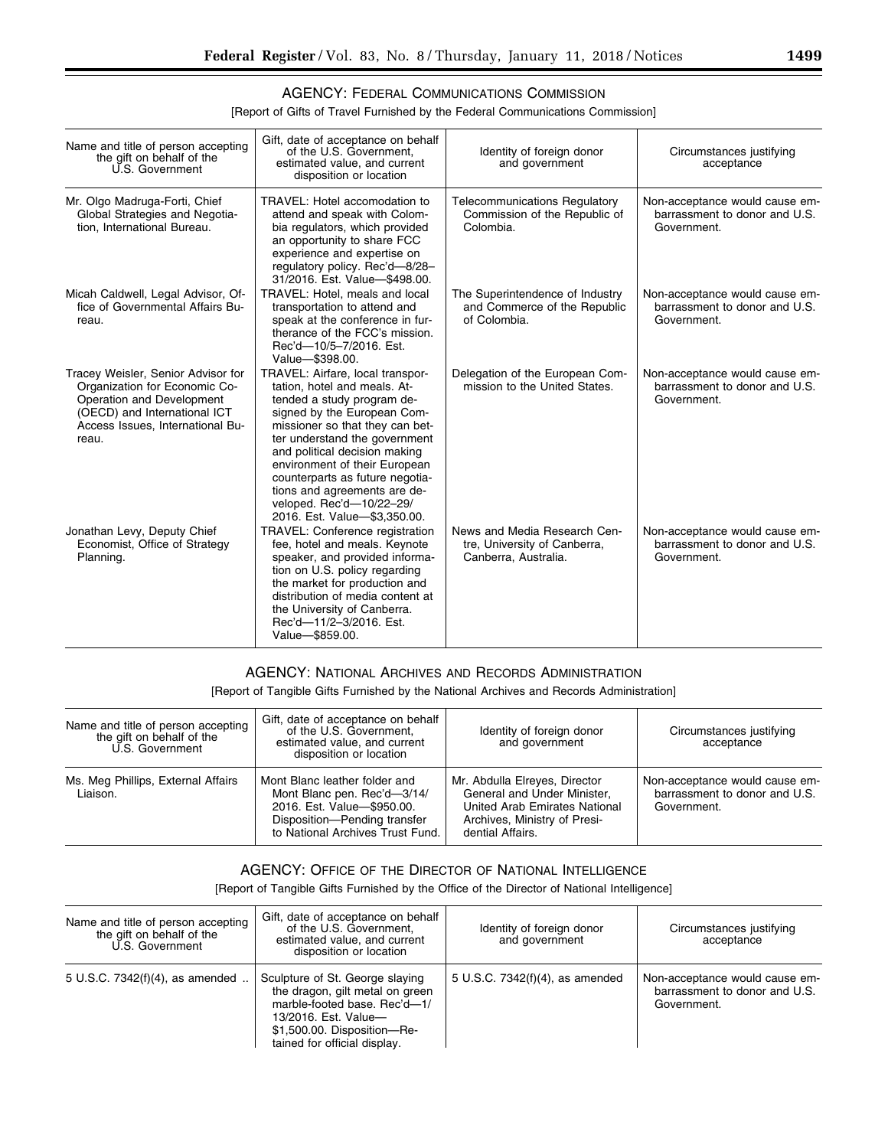### AGENCY: FEDERAL COMMUNICATIONS COMMISSION

[Report of Gifts of Travel Furnished by the Federal Communications Commission]

| Name and title of person accepting<br>the gift on behalf of the<br>U.S. Government                                                                                            | Gift, date of acceptance on behalf<br>of the U.S. Government.<br>estimated value, and current<br>disposition or location                                                                                                                                                                                                                                                                           | Identity of foreign donor<br>and government                                          | Circumstances justifying<br>acceptance                                         |
|-------------------------------------------------------------------------------------------------------------------------------------------------------------------------------|----------------------------------------------------------------------------------------------------------------------------------------------------------------------------------------------------------------------------------------------------------------------------------------------------------------------------------------------------------------------------------------------------|--------------------------------------------------------------------------------------|--------------------------------------------------------------------------------|
| Mr. Olgo Madruga-Forti, Chief<br>Global Strategies and Negotia-<br>tion, International Bureau.                                                                                | TRAVEL: Hotel accomodation to<br>attend and speak with Colom-<br>bia regulators, which provided<br>an opportunity to share FCC<br>experience and expertise on<br>regulatory policy. Rec'd-8/28-<br>31/2016. Est. Value-\$498.00.                                                                                                                                                                   | <b>Telecommunications Regulatory</b><br>Commission of the Republic of<br>Colombia.   | Non-acceptance would cause em-<br>barrassment to donor and U.S.<br>Government. |
| Micah Caldwell, Legal Advisor, Of-<br>fice of Governmental Affairs Bu-<br>reau.                                                                                               | TRAVEL: Hotel, meals and local<br>transportation to attend and<br>speak at the conference in fur-<br>therance of the FCC's mission.<br>Rec'd-10/5-7/2016. Est.<br>Value-\$398.00.                                                                                                                                                                                                                  | The Superintendence of Industry<br>and Commerce of the Republic<br>of Colombia.      | Non-acceptance would cause em-<br>barrassment to donor and U.S.<br>Government. |
| Tracey Weisler, Senior Advisor for<br>Organization for Economic Co-<br>Operation and Development<br>(OECD) and International ICT<br>Access Issues, International Bu-<br>reau. | TRAVEL: Airfare, local transpor-<br>tation, hotel and meals. At-<br>tended a study program de-<br>signed by the European Com-<br>missioner so that they can bet-<br>ter understand the government<br>and political decision making<br>environment of their European<br>counterparts as future negotia-<br>tions and agreements are de-<br>veloped. Rec'd-10/22-29/<br>2016. Est. Value-\$3,350.00. | Delegation of the European Com-<br>mission to the United States.                     | Non-acceptance would cause em-<br>barrassment to donor and U.S.<br>Government. |
| Jonathan Levy, Deputy Chief<br>Economist, Office of Strategy<br>Planning.                                                                                                     | <b>TRAVEL: Conference registration</b><br>fee, hotel and meals. Keynote<br>speaker, and provided informa-<br>tion on U.S. policy regarding<br>the market for production and<br>distribution of media content at<br>the University of Canberra.<br>Rec'd-11/2-3/2016. Est.<br>Value-\$859.00.                                                                                                       | News and Media Research Cen-<br>tre, University of Canberra,<br>Canberra, Australia. | Non-acceptance would cause em-<br>barrassment to donor and U.S.<br>Government. |

## AGENCY: NATIONAL ARCHIVES AND RECORDS ADMINISTRATION

[Report of Tangible Gifts Furnished by the National Archives and Records Administration]

| Name and title of person accepting<br>the gift on behalf of the<br>U.S. Government | Gift, date of acceptance on behalf<br>of the U.S. Government,<br>estimated value, and current<br>disposition or location                                       | Identity of foreign donor<br>and government                                                                                                       | Circumstances justifying<br>acceptance                                         |
|------------------------------------------------------------------------------------|----------------------------------------------------------------------------------------------------------------------------------------------------------------|---------------------------------------------------------------------------------------------------------------------------------------------------|--------------------------------------------------------------------------------|
| Ms. Meg Phillips, External Affairs<br>Liaison.                                     | Mont Blanc leather folder and<br>Mont Blanc pen. Rec'd-3/14/<br>2016. Est. Value-\$950.00.<br>Disposition-Pending transfer<br>to National Archives Trust Fund. | Mr. Abdulla Elreyes, Director<br>General and Under Minister.<br>United Arab Emirates National<br>Archives, Ministry of Presi-<br>dential Affairs. | Non-acceptance would cause em-<br>barrassment to donor and U.S.<br>Government. |

## AGENCY: OFFICE OF THE DIRECTOR OF NATIONAL INTELLIGENCE

[Report of Tangible Gifts Furnished by the Office of the Director of National Intelligence]

| Name and title of person accepting<br>the gift on behalf of the<br>U.S. Government | Gift, date of acceptance on behalf<br>of the U.S. Government.<br>estimated value, and current<br>disposition or location                                                                  | Identity of foreign donor<br>and government | Circumstances justifying<br>acceptance                                         |
|------------------------------------------------------------------------------------|-------------------------------------------------------------------------------------------------------------------------------------------------------------------------------------------|---------------------------------------------|--------------------------------------------------------------------------------|
| 5 U.S.C. 7342(f)(4), as amended                                                    | Sculpture of St. George slaying<br>the dragon, gilt metal on green<br>marble-footed base. Rec'd-1/<br>13/2016. Est. Value-<br>\$1,500.00. Disposition-Re-<br>tained for official display. | 5 U.S.C. 7342(f)(4), as amended             | Non-acceptance would cause em-<br>barrassment to donor and U.S.<br>Government. |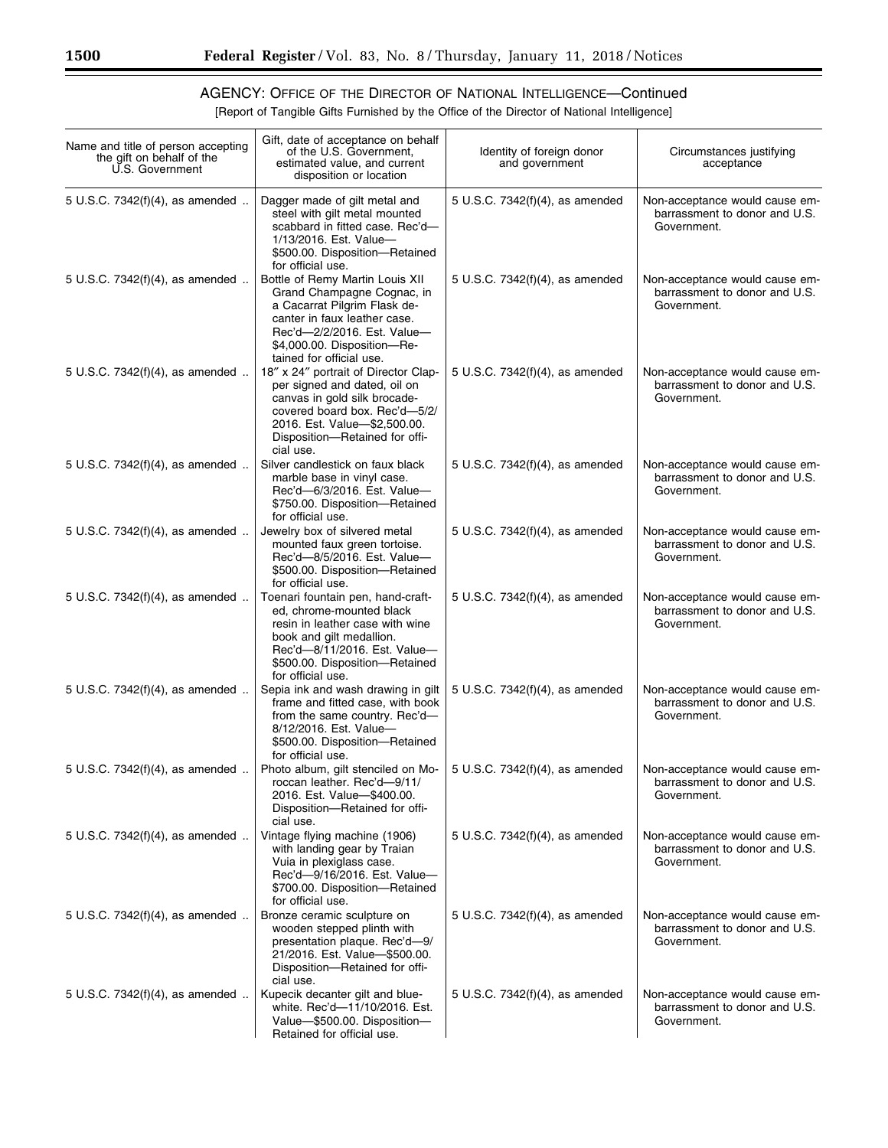## AGENCY: OFFICE OF THE DIRECTOR OF NATIONAL INTELLIGENCE—Continued

[Report of Tangible Gifts Furnished by the Office of the Director of National Intelligence]

| Name and title of person accepting<br>the gift on behalf of the<br>U.S. Government | Gift, date of acceptance on behalf<br>of the U.S. Government,<br>estimated value, and current<br>disposition or location                                                                                                | Identity of foreign donor<br>and government | Circumstances justifying<br>acceptance                                         |
|------------------------------------------------------------------------------------|-------------------------------------------------------------------------------------------------------------------------------------------------------------------------------------------------------------------------|---------------------------------------------|--------------------------------------------------------------------------------|
| 5 U.S.C. 7342(f)(4), as amended                                                    | Dagger made of gilt metal and<br>steel with gilt metal mounted<br>scabbard in fitted case. Rec'd-<br>1/13/2016. Est. Value-<br>\$500.00. Disposition-Retained<br>for official use.                                      | 5 U.S.C. 7342(f)(4), as amended             | Non-acceptance would cause em-<br>barrassment to donor and U.S.<br>Government. |
| 5 U.S.C. 7342(f)(4), as amended                                                    | Bottle of Remy Martin Louis XII<br>Grand Champagne Cognac, in<br>a Cacarrat Pilgrim Flask de-<br>canter in faux leather case.<br>Rec'd-2/2/2016. Est. Value-<br>\$4,000.00. Disposition-Re-<br>tained for official use. | 5 U.S.C. 7342(f)(4), as amended             | Non-acceptance would cause em-<br>barrassment to donor and U.S.<br>Government. |
| 5 U.S.C. 7342(f)(4), as amended                                                    | 18" x 24" portrait of Director Clap-<br>per signed and dated, oil on<br>canvas in gold silk brocade-<br>covered board box. Rec'd-5/2/<br>2016. Est. Value-\$2,500.00.<br>Disposition-Retained for offi-<br>cial use.    | 5 U.S.C. 7342(f)(4), as amended             | Non-acceptance would cause em-<br>barrassment to donor and U.S.<br>Government. |
| 5 U.S.C. 7342(f)(4), as amended                                                    | Silver candlestick on faux black<br>marble base in vinyl case.<br>Rec'd-6/3/2016. Est. Value-<br>\$750.00. Disposition-Retained<br>for official use.                                                                    | 5 U.S.C. 7342(f)(4), as amended             | Non-acceptance would cause em-<br>barrassment to donor and U.S.<br>Government. |
| 5 U.S.C. 7342(f)(4), as amended                                                    | Jewelry box of silvered metal<br>mounted faux green tortoise.<br>Rec'd-8/5/2016. Est. Value-<br>\$500.00. Disposition-Retained<br>for official use.                                                                     | 5 U.S.C. 7342(f)(4), as amended             | Non-acceptance would cause em-<br>barrassment to donor and U.S.<br>Government. |
| 5 U.S.C. 7342(f)(4), as amended                                                    | Toenari fountain pen, hand-craft-<br>ed, chrome-mounted black<br>resin in leather case with wine<br>book and gilt medallion.<br>Rec'd-8/11/2016. Est. Value-<br>\$500.00. Disposition-Retained<br>for official use.     | 5 U.S.C. 7342(f)(4), as amended             | Non-acceptance would cause em-<br>barrassment to donor and U.S.<br>Government. |
| 5 U.S.C. 7342(f)(4), as amended                                                    | Sepia ink and wash drawing in gilt<br>frame and fitted case, with book<br>from the same country. Rec'd-<br>8/12/2016. Est. Value-<br>\$500.00. Disposition-Retained<br>for official use.                                | 5 U.S.C. 7342(f)(4), as amended             | Non-acceptance would cause em-<br>barrassment to donor and U.S.<br>Government. |
| 5 U.S.C. 7342(f)(4), as amended                                                    | Photo album, gilt stenciled on Mo-<br>roccan leather. Rec'd-9/11/<br>2016. Est. Value-\$400.00.<br>Disposition-Retained for offi-<br>cial use.                                                                          | 5 U.S.C. 7342(f)(4), as amended             | Non-acceptance would cause em-<br>barrassment to donor and U.S.<br>Government. |
| 5 U.S.C. 7342(f)(4), as amended                                                    | Vintage flying machine (1906)<br>with landing gear by Traian<br>Vuia in plexiglass case.<br>Rec'd-9/16/2016. Est. Value-<br>\$700.00. Disposition-Retained<br>for official use.                                         | 5 U.S.C. $7342(f)(4)$ , as amended          | Non-acceptance would cause em-<br>barrassment to donor and U.S.<br>Government. |
| 5 U.S.C. 7342(f)(4), as amended                                                    | Bronze ceramic sculpture on<br>wooden stepped plinth with<br>presentation plaque. Rec'd-9/<br>21/2016. Est. Value-\$500.00.<br>Disposition-Retained for offi-<br>cial use.                                              | 5 U.S.C. 7342(f)(4), as amended             | Non-acceptance would cause em-<br>barrassment to donor and U.S.<br>Government. |
| 5 U.S.C. 7342(f)(4), as amended                                                    | Kupecik decanter gilt and blue-<br>white. Rec'd-11/10/2016. Est.<br>Value-\$500.00. Disposition-<br>Retained for official use.                                                                                          | 5 U.S.C. 7342(f)(4), as amended             | Non-acceptance would cause em-<br>barrassment to donor and U.S.<br>Government. |

 $\equiv$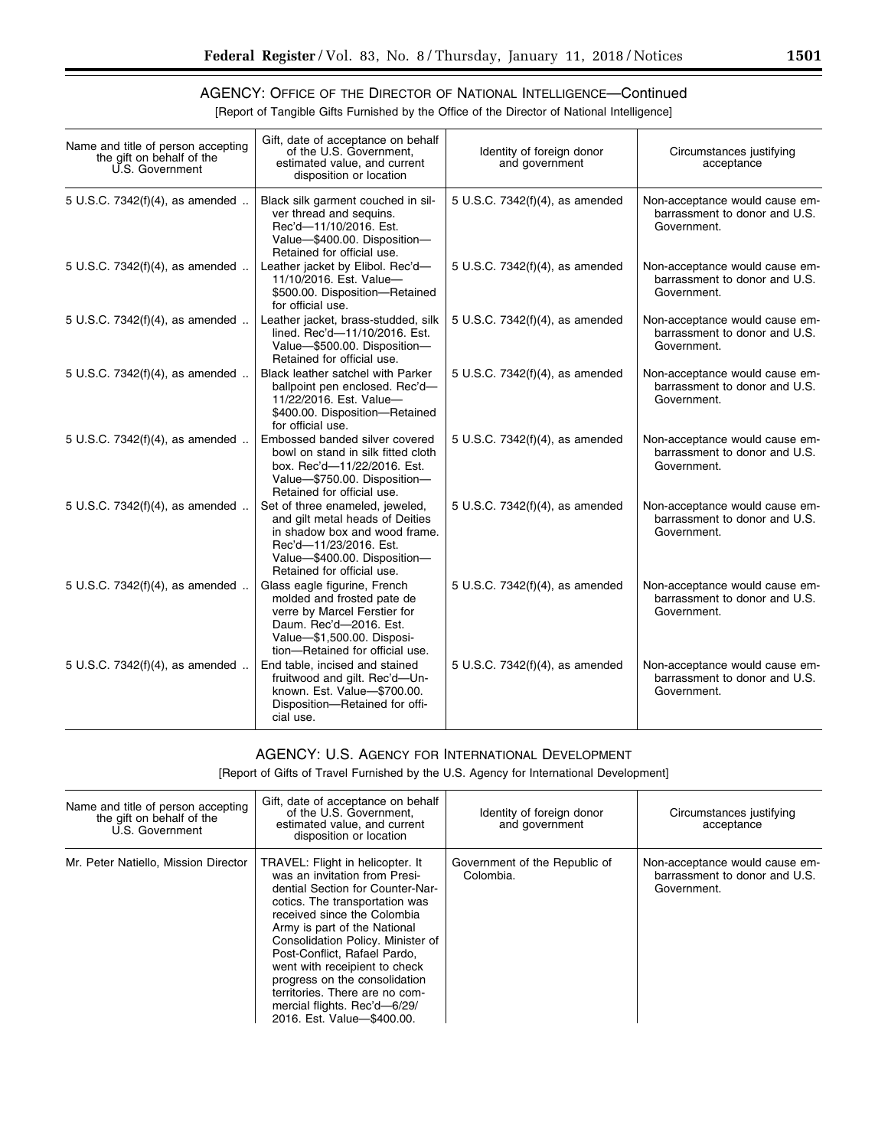٠

## AGENCY: OFFICE OF THE DIRECTOR OF NATIONAL INTELLIGENCE—Continued

[Report of Tangible Gifts Furnished by the Office of the Director of National Intelligence]

| Name and title of person accepting<br>the gift on behalf of the<br>U.S. Government | Gift, date of acceptance on behalf<br>of the U.S. Government,<br>estimated value, and current<br>disposition or location                                                                    | Identity of foreign donor<br>and government | Circumstances justifying<br>acceptance                                         |
|------------------------------------------------------------------------------------|---------------------------------------------------------------------------------------------------------------------------------------------------------------------------------------------|---------------------------------------------|--------------------------------------------------------------------------------|
| 5 U.S.C. 7342(f)(4), as amended                                                    | Black silk garment couched in sil-<br>ver thread and sequins.<br>Rec'd-11/10/2016. Est.<br>Value-\$400.00. Disposition-<br>Retained for official use.                                       | 5 U.S.C. 7342(f)(4), as amended             | Non-acceptance would cause em-<br>barrassment to donor and U.S.<br>Government. |
| 5 U.S.C. 7342(f)(4), as amended                                                    | Leather jacket by Elibol. Rec'd-<br>11/10/2016. Est. Value-<br>\$500.00. Disposition-Retained<br>for official use.                                                                          | 5 U.S.C. 7342(f)(4), as amended             | Non-acceptance would cause em-<br>barrassment to donor and U.S.<br>Government. |
| 5 U.S.C. 7342(f)(4), as amended                                                    | Leather jacket, brass-studded, silk<br>lined. Rec'd-11/10/2016. Est.<br>Value-\$500.00. Disposition-<br>Retained for official use.                                                          | 5 U.S.C. 7342(f)(4), as amended             | Non-acceptance would cause em-<br>barrassment to donor and U.S.<br>Government. |
| 5 U.S.C. 7342(f)(4), as amended                                                    | <b>Black leather satchel with Parker</b><br>ballpoint pen enclosed. Rec'd-<br>11/22/2016. Est. Value-<br>\$400.00. Disposition-Retained<br>for official use.                                | 5 U.S.C. 7342(f)(4), as amended             | Non-acceptance would cause em-<br>barrassment to donor and U.S.<br>Government. |
| 5 U.S.C. 7342(f)(4), as amended                                                    | Embossed banded silver covered<br>bowl on stand in silk fitted cloth<br>box. Rec'd-11/22/2016. Est.<br>Value-\$750.00. Disposition-<br>Retained for official use.                           | 5 U.S.C. 7342(f)(4), as amended             | Non-acceptance would cause em-<br>barrassment to donor and U.S.<br>Government. |
| 5 U.S.C. 7342(f)(4), as amended                                                    | Set of three enameled, jeweled,<br>and gilt metal heads of Deities<br>in shadow box and wood frame.<br>Rec'd-11/23/2016. Est.<br>Value-\$400.00. Disposition-<br>Retained for official use. | 5 U.S.C. 7342(f)(4), as amended             | Non-acceptance would cause em-<br>barrassment to donor and U.S.<br>Government. |
| 5 U.S.C. 7342(f)(4), as amended                                                    | Glass eagle figurine, French<br>molded and frosted pate de<br>verre by Marcel Ferstier for<br>Daum. Rec'd-2016. Est.<br>Value-\$1,500.00. Disposi-<br>tion-Retained for official use.       | 5 U.S.C. 7342(f)(4), as amended             | Non-acceptance would cause em-<br>barrassment to donor and U.S.<br>Government. |
| 5 U.S.C. 7342(f)(4), as amended                                                    | End table, incised and stained<br>fruitwood and gilt. Rec'd-Un-<br>known. Est. Value-\$700.00.<br>Disposition-Retained for offi-<br>cial use.                                               | 5 U.S.C. 7342(f)(4), as amended             | Non-acceptance would cause em-<br>barrassment to donor and U.S.<br>Government. |

#### AGENCY: U.S. AGENCY FOR INTERNATIONAL DEVELOPMENT

[Report of Gifts of Travel Furnished by the U.S. Agency for International Development]

| Name and title of person accepting<br>the gift on behalf of the<br>U.S. Government | Gift, date of acceptance on behalf<br>of the U.S. Government,<br>estimated value, and current<br>disposition or location                                                                                                                                                                                                                                                                                                                      | Identity of foreign donor<br>and government | Circumstances justifying<br>acceptance                                         |
|------------------------------------------------------------------------------------|-----------------------------------------------------------------------------------------------------------------------------------------------------------------------------------------------------------------------------------------------------------------------------------------------------------------------------------------------------------------------------------------------------------------------------------------------|---------------------------------------------|--------------------------------------------------------------------------------|
| Mr. Peter Natiello, Mission Director                                               | TRAVEL: Flight in helicopter. It<br>was an invitation from Presi-<br>dential Section for Counter-Nar-<br>cotics. The transportation was<br>received since the Colombia<br>Army is part of the National<br>Consolidation Policy. Minister of<br>Post-Conflict. Rafael Pardo.<br>went with receipient to check<br>progress on the consolidation<br>territories. There are no com-<br>mercial flights. Rec'd-6/29/<br>2016. Est. Value-\$400.00. | Government of the Republic of<br>Colombia.  | Non-acceptance would cause em-<br>barrassment to donor and U.S.<br>Government. |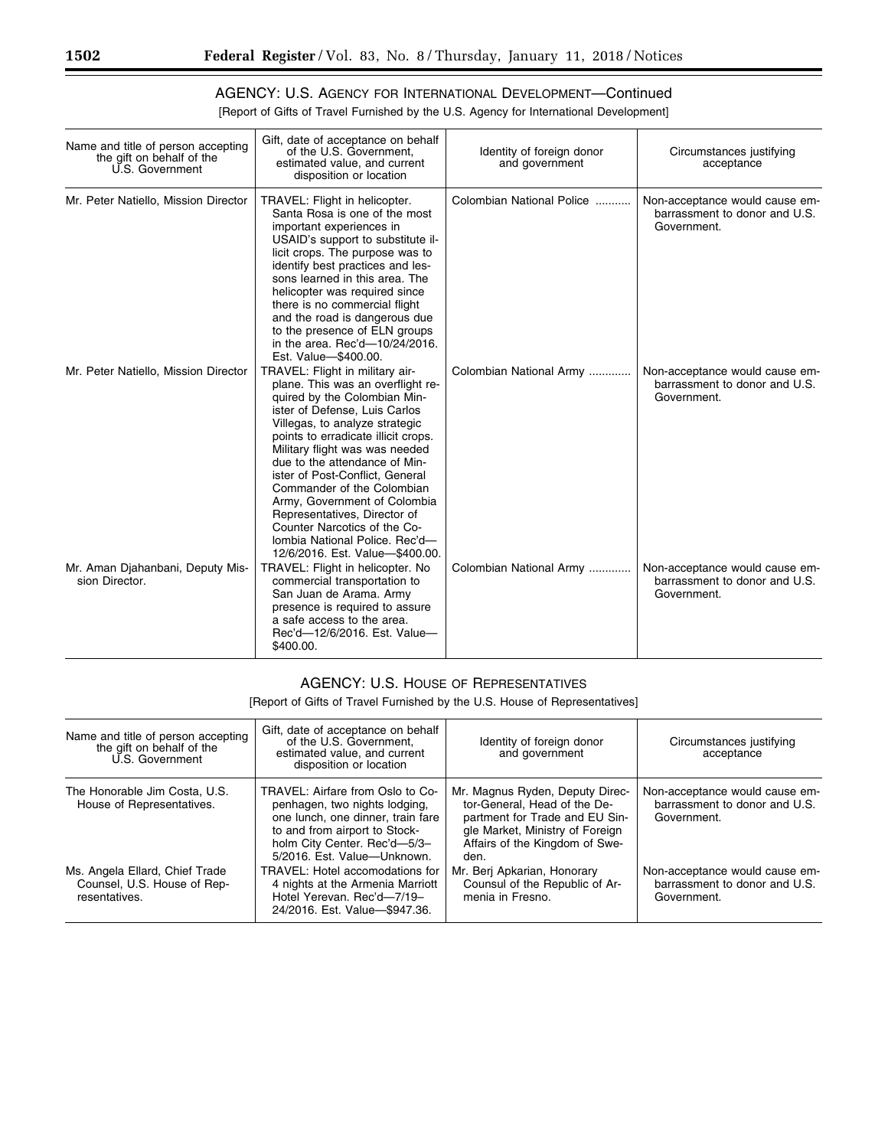## AGENCY: U.S. AGENCY FOR INTERNATIONAL DEVELOPMENT—Continued

[Report of Gifts of Travel Furnished by the U.S. Agency for International Development]

| Name and title of person accepting<br>the gift on behalf of the<br>U.S. Government | Gift, date of acceptance on behalf<br>of the U.S. Government,<br>estimated value, and current<br>disposition or location                                                                                                                                                                                                                                                                                                                                                             | Identity of foreign donor<br>and government | Circumstances justifying<br>acceptance                                         |
|------------------------------------------------------------------------------------|--------------------------------------------------------------------------------------------------------------------------------------------------------------------------------------------------------------------------------------------------------------------------------------------------------------------------------------------------------------------------------------------------------------------------------------------------------------------------------------|---------------------------------------------|--------------------------------------------------------------------------------|
| Mr. Peter Natiello, Mission Director                                               | TRAVEL: Flight in helicopter.<br>Santa Rosa is one of the most<br>important experiences in<br>USAID's support to substitute il-<br>licit crops. The purpose was to<br>identify best practices and les-<br>sons learned in this area. The<br>helicopter was required since<br>there is no commercial flight<br>and the road is dangerous due<br>to the presence of ELN groups<br>in the area. Rec'd-10/24/2016.<br>Est. Value-\$400.00.                                               | Colombian National Police                   | Non-acceptance would cause em-<br>barrassment to donor and U.S.<br>Government. |
| Mr. Peter Natiello, Mission Director                                               | TRAVEL: Flight in military air-<br>plane. This was an overflight re-<br>quired by the Colombian Min-<br>ister of Defense, Luis Carlos<br>Villegas, to analyze strategic<br>points to erradicate illicit crops.<br>Military flight was was needed<br>due to the attendance of Min-<br>ister of Post-Conflict. General<br>Commander of the Colombian<br>Army, Government of Colombia<br>Representatives, Director of<br>Counter Narcotics of the Co-<br>lombia National Police, Rec'd- | Colombian National Army                     | Non-acceptance would cause em-<br>barrassment to donor and U.S.<br>Government. |
| Mr. Aman Djahanbani, Deputy Mis-<br>sion Director.                                 | 12/6/2016. Est. Value-\$400.00.<br>TRAVEL: Flight in helicopter. No<br>commercial transportation to<br>San Juan de Arama. Army<br>presence is required to assure<br>a safe access to the area.<br>Rec'd-12/6/2016. Est. Value-<br>\$400.00.                                                                                                                                                                                                                                          | Colombian National Army                     | Non-acceptance would cause em-<br>barrassment to donor and U.S.<br>Government. |

#### AGENCY: U.S. HOUSE OF REPRESENTATIVES

[Report of Gifts of Travel Furnished by the U.S. House of Representatives]

| Name and title of person accepting<br>the gift on behalf of the<br>U.S. Government | Gift, date of acceptance on behalf<br>of the U.S. Government.<br>estimated value, and current<br>disposition or location                                                                               | Identity of foreign donor<br>and government                                                                                                                                    | Circumstances justifying<br>acceptance                                         |
|------------------------------------------------------------------------------------|--------------------------------------------------------------------------------------------------------------------------------------------------------------------------------------------------------|--------------------------------------------------------------------------------------------------------------------------------------------------------------------------------|--------------------------------------------------------------------------------|
| The Honorable Jim Costa, U.S.<br>House of Representatives.                         | TRAVEL: Airfare from Oslo to Co-<br>penhagen, two nights lodging,<br>one lunch, one dinner, train fare<br>to and from airport to Stock-<br>holm City Center. Rec'd-5/3-<br>5/2016. Est. Value-Unknown. | Mr. Magnus Ryden, Deputy Direc-<br>tor-General, Head of the De-<br>partment for Trade and EU Sin-<br>gle Market, Ministry of Foreign<br>Affairs of the Kingdom of Swe-<br>den. | Non-acceptance would cause em-<br>barrassment to donor and U.S.<br>Government. |
| Ms. Angela Ellard, Chief Trade<br>Counsel, U.S. House of Rep-<br>resentatives.     | TRAVEL: Hotel accomodations for<br>4 nights at the Armenia Marriott<br>Hotel Yerevan, Rec'd-7/19-<br>24/2016. Est. Value-\$947.36.                                                                     | Mr. Berj Apkarian, Honorary<br>Counsul of the Republic of Ar-<br>menia in Fresno.                                                                                              | Non-acceptance would cause em-<br>barrassment to donor and U.S.<br>Government. |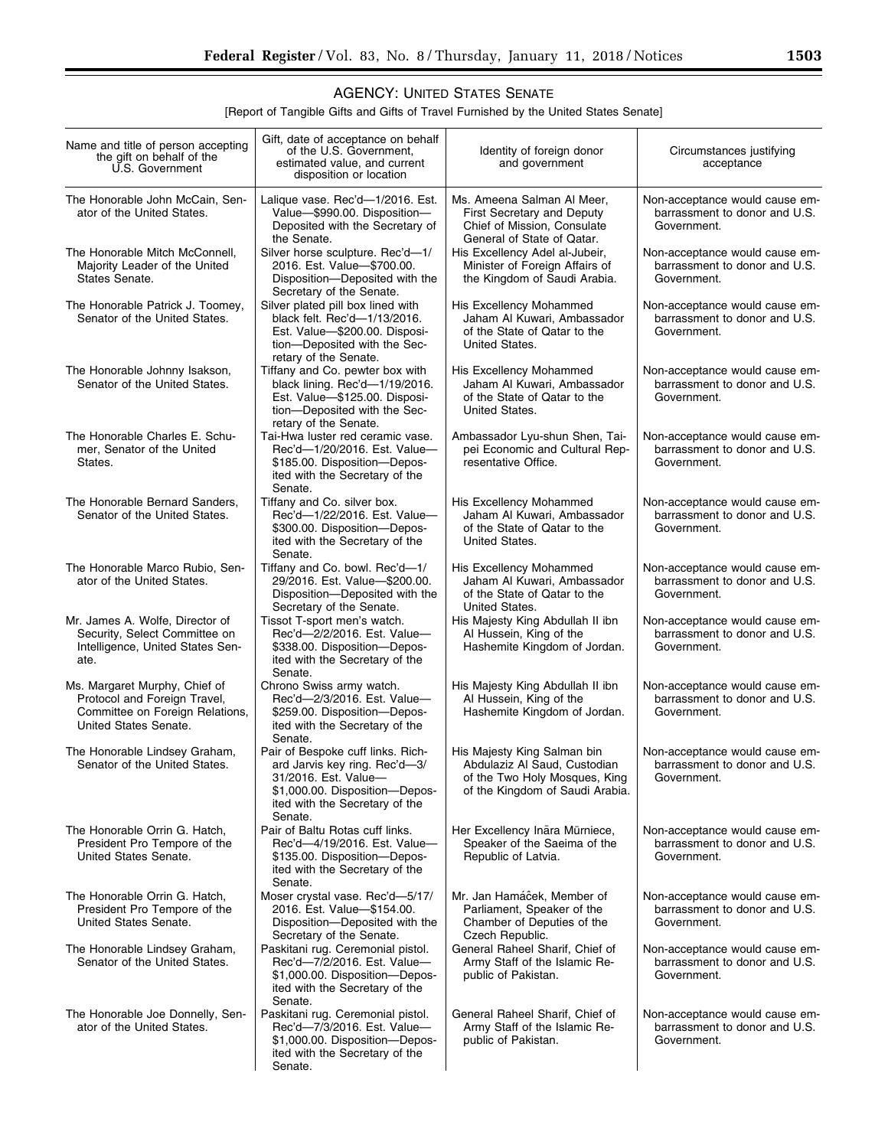#### [Report of Tangible Gifts and Gifts of Travel Furnished by the United States Senate]

| Name and title of person accepting<br>the gift on behalf of the<br>U.S. Government                                        | Gift, date of acceptance on behalf<br>of the U.S. Government,<br>estimated value, and current<br>disposition or location                                                  | Identity of foreign donor<br>and government                                                                                     | Circumstances justifying<br>acceptance                                         |
|---------------------------------------------------------------------------------------------------------------------------|---------------------------------------------------------------------------------------------------------------------------------------------------------------------------|---------------------------------------------------------------------------------------------------------------------------------|--------------------------------------------------------------------------------|
| The Honorable John McCain, Sen-<br>ator of the United States.                                                             | Lalique vase. Rec'd-1/2016. Est.<br>Value-\$990.00. Disposition-<br>Deposited with the Secretary of<br>the Senate.                                                        | Ms. Ameena Salman Al Meer,<br>First Secretary and Deputy<br>Chief of Mission, Consulate<br>General of State of Qatar.           | Non-acceptance would cause em-<br>barrassment to donor and U.S.<br>Government. |
| The Honorable Mitch McConnell,<br>Majority Leader of the United<br>States Senate.                                         | Silver horse sculpture. Rec'd-1/<br>2016. Est. Value-\$700.00.<br>Disposition-Deposited with the<br>Secretary of the Senate.                                              | His Excellency Adel al-Jubeir,<br>Minister of Foreign Affairs of<br>the Kingdom of Saudi Arabia.                                | Non-acceptance would cause em-<br>barrassment to donor and U.S.<br>Government. |
| The Honorable Patrick J. Toomey,<br>Senator of the United States.                                                         | Silver plated pill box lined with<br>black felt. Rec'd-1/13/2016.<br>Est. Value-\$200.00. Disposi-<br>tion-Deposited with the Sec-<br>retary of the Senate.               | His Excellency Mohammed<br>Jaham Al Kuwari, Ambassador<br>of the State of Qatar to the<br>United States.                        | Non-acceptance would cause em-<br>barrassment to donor and U.S.<br>Government. |
| The Honorable Johnny Isakson,<br>Senator of the United States.                                                            | Tiffany and Co. pewter box with<br>black lining. Rec'd-1/19/2016.<br>Est. Value-\$125.00. Disposi-<br>tion-Deposited with the Sec-<br>retary of the Senate.               | His Excellency Mohammed<br>Jaham Al Kuwari, Ambassador<br>of the State of Qatar to the<br>United States.                        | Non-acceptance would cause em-<br>barrassment to donor and U.S.<br>Government. |
| The Honorable Charles E. Schu-<br>mer. Senator of the United<br>States.                                                   | Tai-Hwa luster red ceramic vase.<br>Rec'd-1/20/2016. Est. Value-<br>\$185.00. Disposition-Depos-<br>ited with the Secretary of the<br>Senate.                             | Ambassador Lyu-shun Shen, Tai-<br>pei Economic and Cultural Rep-<br>resentative Office.                                         | Non-acceptance would cause em-<br>barrassment to donor and U.S.<br>Government. |
| The Honorable Bernard Sanders,<br>Senator of the United States.                                                           | Tiffany and Co. silver box.<br>Rec'd-1/22/2016. Est. Value-<br>\$300.00. Disposition-Depos-<br>ited with the Secretary of the<br>Senate.                                  | His Excellency Mohammed<br>Jaham Al Kuwari, Ambassador<br>of the State of Qatar to the<br>United States.                        | Non-acceptance would cause em-<br>barrassment to donor and U.S.<br>Government. |
| The Honorable Marco Rubio, Sen-<br>ator of the United States.                                                             | Tiffany and Co. bowl. Rec'd-1/<br>29/2016. Est. Value-\$200.00.<br>Disposition-Deposited with the<br>Secretary of the Senate.                                             | His Excellency Mohammed<br>Jaham Al Kuwari, Ambassador<br>of the State of Qatar to the<br>United States.                        | Non-acceptance would cause em-<br>barrassment to donor and U.S.<br>Government. |
| Mr. James A. Wolfe, Director of<br>Security, Select Committee on<br>Intelligence, United States Sen-<br>ate.              | Tissot T-sport men's watch.<br>Rec'd-2/2/2016. Est. Value-<br>\$338.00. Disposition-Depos-<br>ited with the Secretary of the<br>Senate.                                   | His Majesty King Abdullah II ibn<br>Al Hussein, King of the<br>Hashemite Kingdom of Jordan.                                     | Non-acceptance would cause em-<br>barrassment to donor and U.S.<br>Government. |
| Ms. Margaret Murphy, Chief of<br>Protocol and Foreign Travel,<br>Committee on Foreign Relations,<br>United States Senate. | Chrono Swiss army watch.<br>Rec'd-2/3/2016. Est. Value-<br>\$259.00. Disposition-Depos-<br>ited with the Secretary of the<br>Senate.                                      | His Majesty King Abdullah II ibn<br>Al Hussein, King of the<br>Hashemite Kingdom of Jordan.                                     | Non-acceptance would cause em-<br>barrassment to donor and U.S.<br>Government. |
| The Honorable Lindsey Graham,<br>Senator of the United States.                                                            | Pair of Bespoke cuff links. Rich-<br>ard Jarvis key ring. Rec'd-3/<br>31/2016. Est. Value-<br>\$1,000.00. Disposition-Depos-<br>ited with the Secretary of the<br>Senate. | His Majesty King Salman bin<br>Abdulaziz Al Saud, Custodian<br>of the Two Holy Mosques, King<br>of the Kingdom of Saudi Arabia. | Non-acceptance would cause em-<br>barrassment to donor and U.S.<br>Government. |
| The Honorable Orrin G. Hatch,<br>President Pro Tempore of the<br>United States Senate.                                    | Pair of Baltu Rotas cuff links.<br>Rec'd-4/19/2016. Est. Value-<br>\$135.00. Disposition-Depos-<br>ited with the Secretary of the<br>Senate.                              | Her Excellency Ināra Mūrniece,<br>Speaker of the Saeima of the<br>Republic of Latvia.                                           | Non-acceptance would cause em-<br>barrassment to donor and U.S.<br>Government. |
| The Honorable Orrin G. Hatch,<br>President Pro Tempore of the<br>United States Senate.                                    | Moser crystal vase. Rec'd-5/17/<br>2016. Est. Value-\$154.00.<br>Disposition-Deposited with the<br>Secretary of the Senate.                                               | Mr. Jan Hamáĉek, Member of<br>Parliament, Speaker of the<br>Chamber of Deputies of the<br>Czech Republic.                       | Non-acceptance would cause em-<br>barrassment to donor and U.S.<br>Government. |
| The Honorable Lindsey Graham,<br>Senator of the United States.                                                            | Paskitani rug. Ceremonial pistol.<br>Rec'd-7/2/2016. Est. Value-<br>\$1,000.00. Disposition-Depos-<br>ited with the Secretary of the<br>Senate.                           | General Raheel Sharif, Chief of<br>Army Staff of the Islamic Re-<br>public of Pakistan.                                         | Non-acceptance would cause em-<br>barrassment to donor and U.S.<br>Government. |
| The Honorable Joe Donnelly, Sen-<br>ator of the United States.                                                            | Paskitani rug. Ceremonial pistol.<br>Rec'd-7/3/2016. Est. Value-<br>\$1,000.00. Disposition-Depos-<br>ited with the Secretary of the<br>Senate.                           | General Raheel Sharif, Chief of<br>Army Staff of the Islamic Re-<br>public of Pakistan.                                         | Non-acceptance would cause em-<br>barrassment to donor and U.S.<br>Government. |

▀